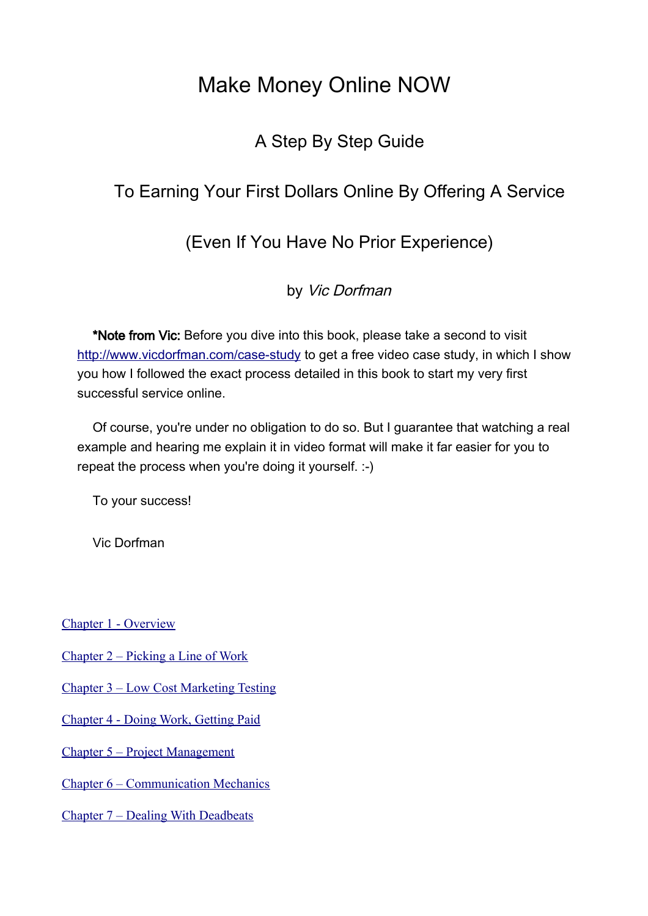## Make Money Online NOW

## A Step By Step Guide

## To Earning Your First Dollars Online By Offering A Service

## (Even If You Have No Prior Experience)

by Vic Dorfman

\*Note from Vic: Before you dive into this book, please take a second to visit <http://www.vicdorfman.com/case-study>to get a free video case study, in which I show you how I followed the exact process detailed in this book to start my very first successful service online.

Of course, you're under no obligation to do so. But I guarantee that watching a real example and hearing me explain it in video format will make it far easier for you to repeat the process when you're doing it yourself. :-)

To your success!

Vic Dorfman

[Chapter 1 - Overview](#page-2-0)

[Chapter 2 – Picking a Line of Work](#page-8-0)

[Chapter 3 – Low Cost Marketing Testing](#page-18-0)

[Chapter 4 - Doing Work, Getting Paid](#page-28-0)

[Chapter 5 – Project Management](#page-34-0)

[Chapter 6 – Communication Mechanics](#page-47-0)

[Chapter 7 – Dealing With Deadbeats](#page-62-0)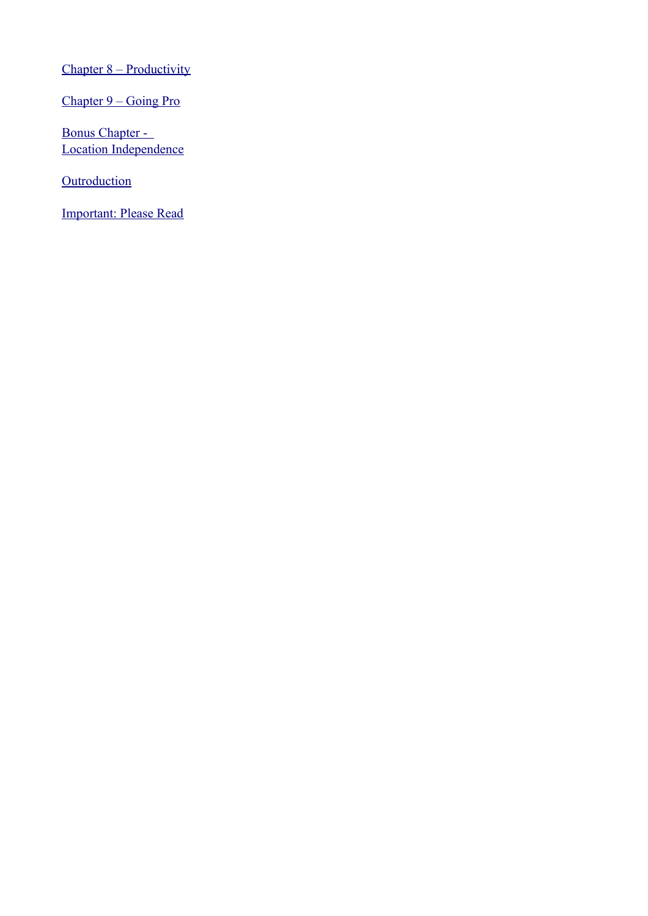[Chapter 8 – Productivity](#page-65-0)

[Chapter 9 – Going Pro](#page-71-0)

[Bonus Chapter -](#page-89-0)  [Location Independence](#page-89-0)

**[Outroduction](#page-94-0)** 

[Important: Please Read](#page-97-0)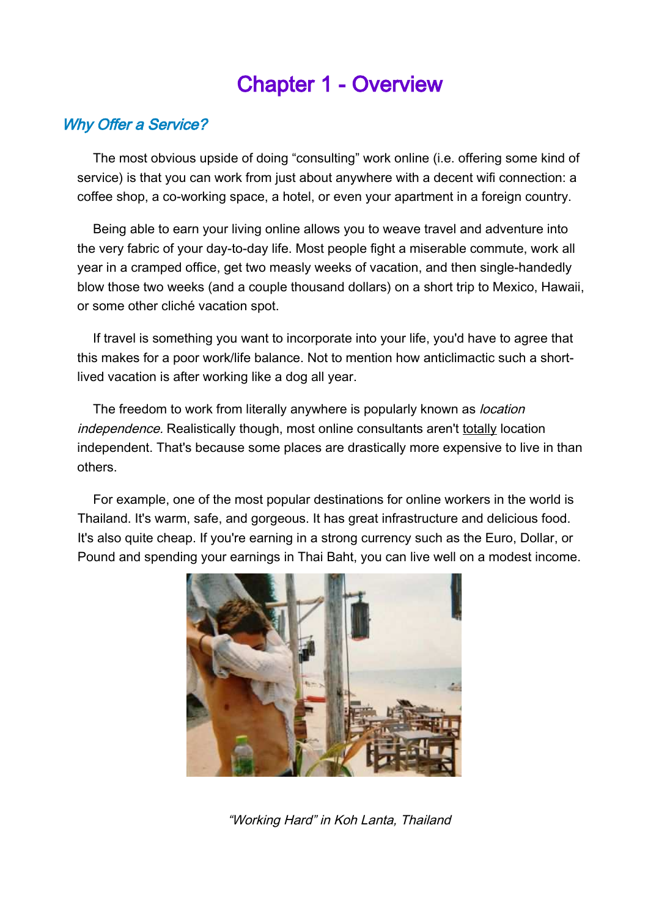# <span id="page-2-0"></span>Chapter 1 - Overview

## Why Offer a Service?

The most obvious upside of doing "consulting" work online (i.e. offering some kind of service) is that you can work from just about anywhere with a decent wifi connection: a coffee shop, a co-working space, a hotel, or even your apartment in a foreign country.

Being able to earn your living online allows you to weave travel and adventure into the very fabric of your day-to-day life. Most people fight a miserable commute, work all year in a cramped office, get two measly weeks of vacation, and then single-handedly blow those two weeks (and a couple thousand dollars) on a short trip to Mexico, Hawaii, or some other cliché vacation spot.

If travel is something you want to incorporate into your life, you'd have to agree that this makes for a poor work/life balance. Not to mention how anticlimactic such a shortlived vacation is after working like a dog all year.

The freedom to work from literally anywhere is popularly known as *location* independence. Realistically though, most online consultants aren't totally location independent. That's because some places are drastically more expensive to live in than others.

For example, one of the most popular destinations for online workers in the world is Thailand. It's warm, safe, and gorgeous. It has great infrastructure and delicious food. It's also quite cheap. If you're earning in a strong currency such as the Euro, Dollar, or Pound and spending your earnings in Thai Baht, you can live well on a modest income.



"Working Hard" in Koh Lanta, Thailand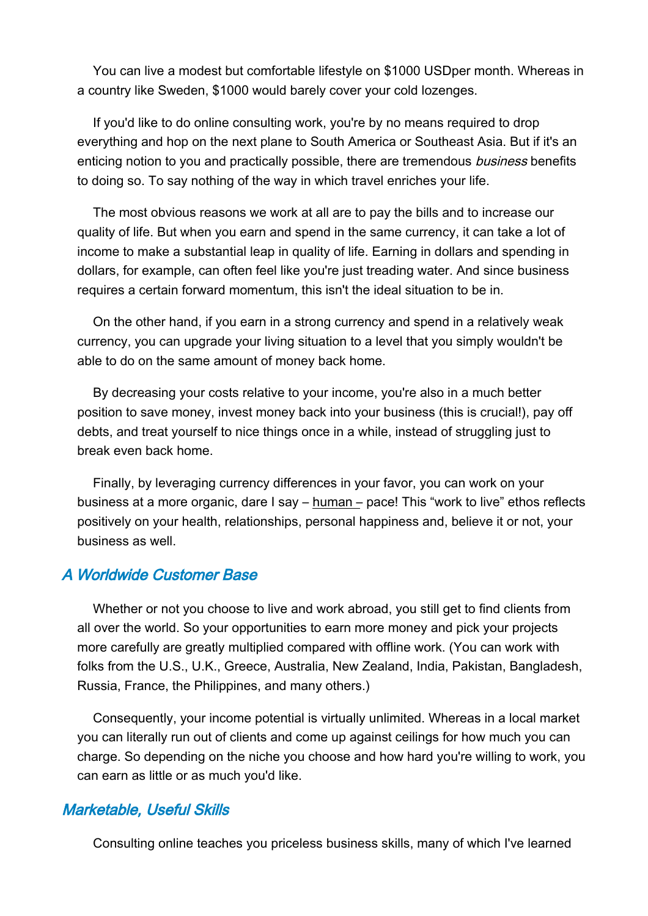You can live a modest but comfortable lifestyle on \$1000 USDper month. Whereas in a country like Sweden, \$1000 would barely cover your cold lozenges.

If you'd like to do online consulting work, you're by no means required to drop everything and hop on the next plane to South America or Southeast Asia. But if it's an enticing notion to you and practically possible, there are tremendous *business* benefits to doing so. To say nothing of the way in which travel enriches your life.

The most obvious reasons we work at all are to pay the bills and to increase our quality of life. But when you earn and spend in the same currency, it can take a lot of income to make a substantial leap in quality of life. Earning in dollars and spending in dollars, for example, can often feel like you're just treading water. And since business requires a certain forward momentum, this isn't the ideal situation to be in.

On the other hand, if you earn in a strong currency and spend in a relatively weak currency, you can upgrade your living situation to a level that you simply wouldn't be able to do on the same amount of money back home.

By decreasing your costs relative to your income, you're also in a much better position to save money, invest money back into your business (this is crucial!), pay off debts, and treat yourself to nice things once in a while, instead of struggling just to break even back home.

Finally, by leveraging currency differences in your favor, you can work on your business at a more organic, dare I say – human – pace! This "work to live" ethos reflects positively on your health, relationships, personal happiness and, believe it or not, your business as well.

#### A Worldwide Customer Base

Whether or not you choose to live and work abroad, you still get to find clients from all over the world. So your opportunities to earn more money and pick your projects more carefully are greatly multiplied compared with offline work. (You can work with folks from the U.S., U.K., Greece, Australia, New Zealand, India, Pakistan, Bangladesh, Russia, France, the Philippines, and many others.)

Consequently, your income potential is virtually unlimited. Whereas in a local market you can literally run out of clients and come up against ceilings for how much you can charge. So depending on the niche you choose and how hard you're willing to work, you can earn as little or as much you'd like.

#### Marketable, Useful Skills

Consulting online teaches you priceless business skills, many of which I've learned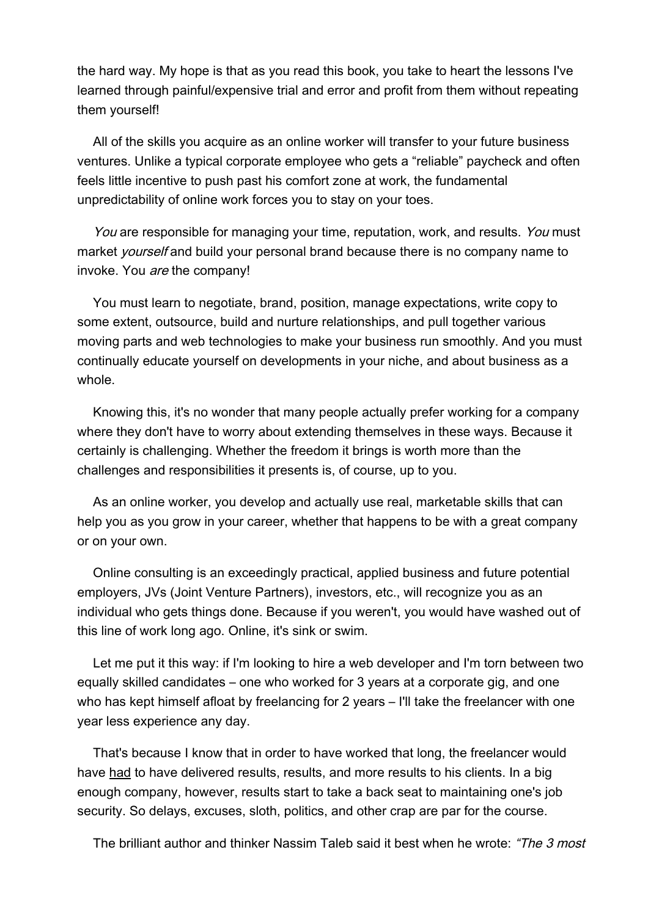the hard way. My hope is that as you read this book, you take to heart the lessons I've learned through painful/expensive trial and error and profit from them without repeating them yourself!

All of the skills you acquire as an online worker will transfer to your future business ventures. Unlike a typical corporate employee who gets a "reliable" paycheck and often feels little incentive to push past his comfort zone at work, the fundamental unpredictability of online work forces you to stay on your toes.

You are responsible for managing your time, reputation, work, and results. You must market *yourself* and build your personal brand because there is no company name to invoke. You are the company!

You must learn to negotiate, brand, position, manage expectations, write copy to some extent, outsource, build and nurture relationships, and pull together various moving parts and web technologies to make your business run smoothly. And you must continually educate yourself on developments in your niche, and about business as a whole.

Knowing this, it's no wonder that many people actually prefer working for a company where they don't have to worry about extending themselves in these ways. Because it certainly is challenging. Whether the freedom it brings is worth more than the challenges and responsibilities it presents is, of course, up to you.

As an online worker, you develop and actually use real, marketable skills that can help you as you grow in your career, whether that happens to be with a great company or on your own.

Online consulting is an exceedingly practical, applied business and future potential employers, JVs (Joint Venture Partners), investors, etc., will recognize you as an individual who gets things done. Because if you weren't, you would have washed out of this line of work long ago. Online, it's sink or swim.

Let me put it this way: if I'm looking to hire a web developer and I'm torn between two equally skilled candidates – one who worked for 3 years at a corporate gig, and one who has kept himself afloat by freelancing for 2 years – I'll take the freelancer with one year less experience any day.

That's because I know that in order to have worked that long, the freelancer would have had to have delivered results, results, and more results to his clients. In a big enough company, however, results start to take a back seat to maintaining one's job security. So delays, excuses, sloth, politics, and other crap are par for the course.

The brilliant author and thinker Nassim Taleb said it best when he wrote: "The 3 most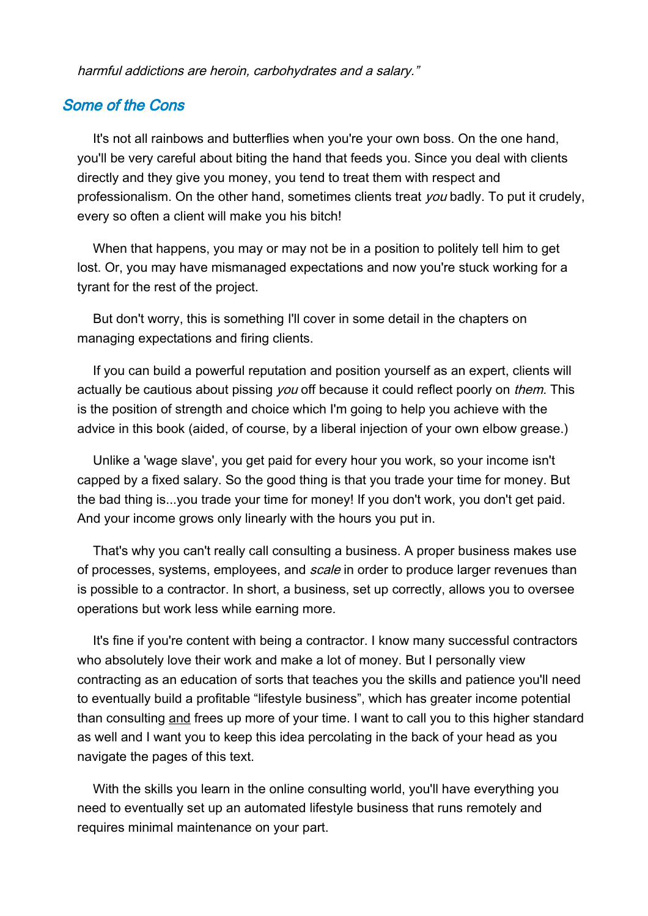harmful addictions are heroin, carbohydrates and a salary."

### Some of the Cons

It's not all rainbows and butterflies when you're your own boss. On the one hand, you'll be very careful about biting the hand that feeds you. Since you deal with clients directly and they give you money, you tend to treat them with respect and professionalism. On the other hand, sometimes clients treat you badly. To put it crudely, every so often a client will make you his bitch!

When that happens, you may or may not be in a position to politely tell him to get lost. Or, you may have mismanaged expectations and now you're stuck working for a tyrant for the rest of the project.

But don't worry, this is something I'll cover in some detail in the chapters on managing expectations and firing clients.

If you can build a powerful reputation and position yourself as an expert, clients will actually be cautious about pissing you off because it could reflect poorly on *them*. This is the position of strength and choice which I'm going to help you achieve with the advice in this book (aided, of course, by a liberal injection of your own elbow grease.)

Unlike a 'wage slave', you get paid for every hour you work, so your income isn't capped by a fixed salary. So the good thing is that you trade your time for money. But the bad thing is...you trade your time for money! If you don't work, you don't get paid. And your income grows only linearly with the hours you put in.

That's why you can't really call consulting a business. A proper business makes use of processes, systems, employees, and scale in order to produce larger revenues than is possible to a contractor. In short, a business, set up correctly, allows you to oversee operations but work less while earning more.

It's fine if you're content with being a contractor. I know many successful contractors who absolutely love their work and make a lot of money. But I personally view contracting as an education of sorts that teaches you the skills and patience you'll need to eventually build a profitable "lifestyle business", which has greater income potential than consulting and frees up more of your time. I want to call you to this higher standard as well and I want you to keep this idea percolating in the back of your head as you navigate the pages of this text.

With the skills you learn in the online consulting world, you'll have everything you need to eventually set up an automated lifestyle business that runs remotely and requires minimal maintenance on your part.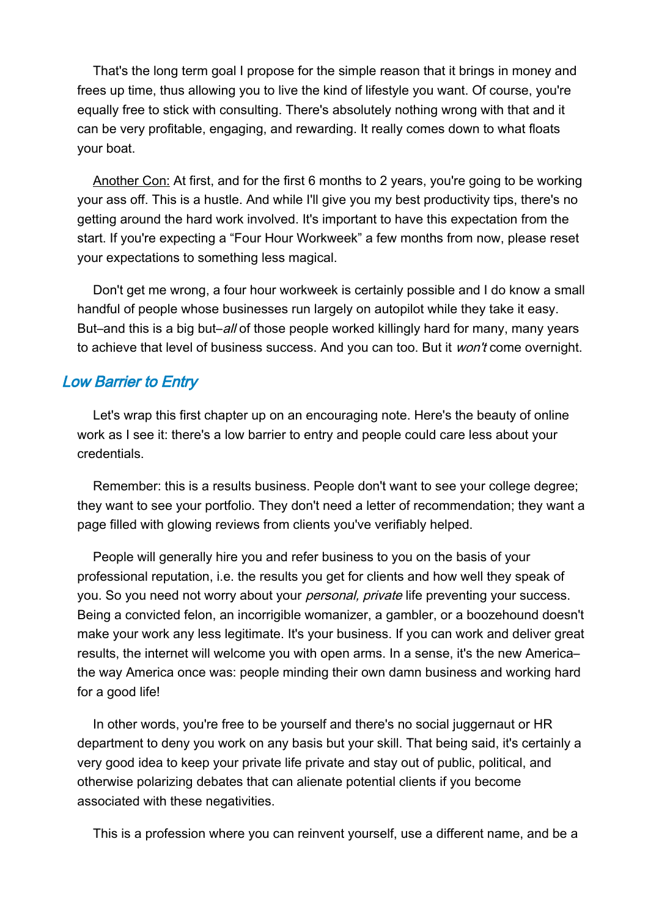That's the long term goal I propose for the simple reason that it brings in money and frees up time, thus allowing you to live the kind of lifestyle you want. Of course, you're equally free to stick with consulting. There's absolutely nothing wrong with that and it can be very profitable, engaging, and rewarding. It really comes down to what floats your boat.

Another Con: At first, and for the first 6 months to 2 years, you're going to be working your ass off. This is a hustle. And while I'll give you my best productivity tips, there's no getting around the hard work involved. It's important to have this expectation from the start. If you're expecting a "Four Hour Workweek" a few months from now, please reset your expectations to something less magical.

Don't get me wrong, a four hour workweek is certainly possible and I do know a small handful of people whose businesses run largely on autopilot while they take it easy. But–and this is a big but–all of those people worked killingly hard for many, many years to achieve that level of business success. And you can too. But it won't come overnight.

## Low Barrier to Entry

Let's wrap this first chapter up on an encouraging note. Here's the beauty of online work as I see it: there's a low barrier to entry and people could care less about your credentials.

Remember: this is a results business. People don't want to see your college degree; they want to see your portfolio. They don't need a letter of recommendation; they want a page filled with glowing reviews from clients you've verifiably helped.

People will generally hire you and refer business to you on the basis of your professional reputation, i.e. the results you get for clients and how well they speak of you. So you need not worry about your *personal, private* life preventing your success. Being a convicted felon, an incorrigible womanizer, a gambler, or a boozehound doesn't make your work any less legitimate. It's your business. If you can work and deliver great results, the internet will welcome you with open arms. In a sense, it's the new America– the way America once was: people minding their own damn business and working hard for a good life!

In other words, you're free to be yourself and there's no social juggernaut or HR department to deny you work on any basis but your skill. That being said, it's certainly a very good idea to keep your private life private and stay out of public, political, and otherwise polarizing debates that can alienate potential clients if you become associated with these negativities.

This is a profession where you can reinvent yourself, use a different name, and be a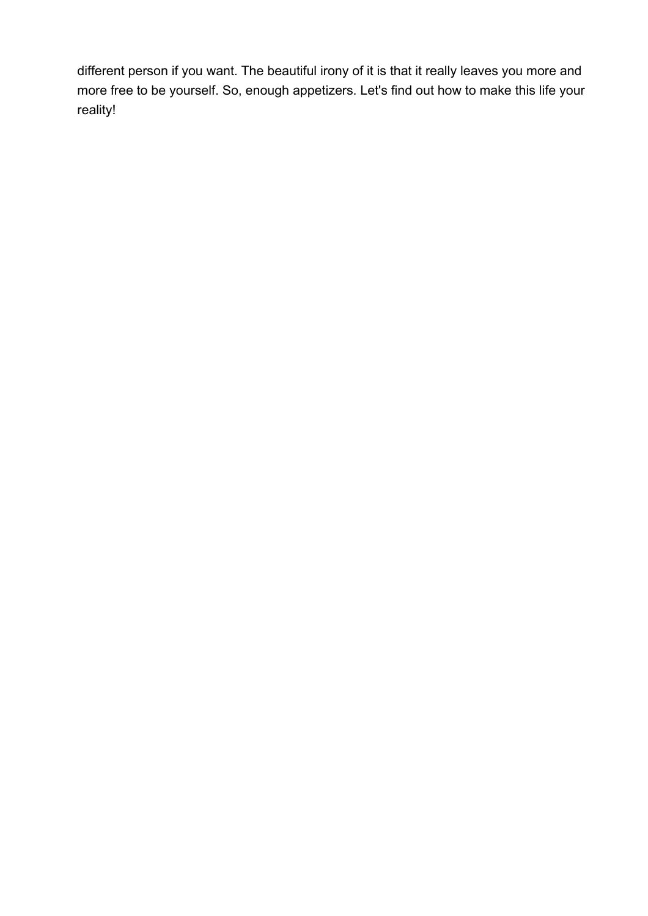different person if you want. The beautiful irony of it is that it really leaves you more and more free to be yourself. So, enough appetizers. Let's find out how to make this life your reality!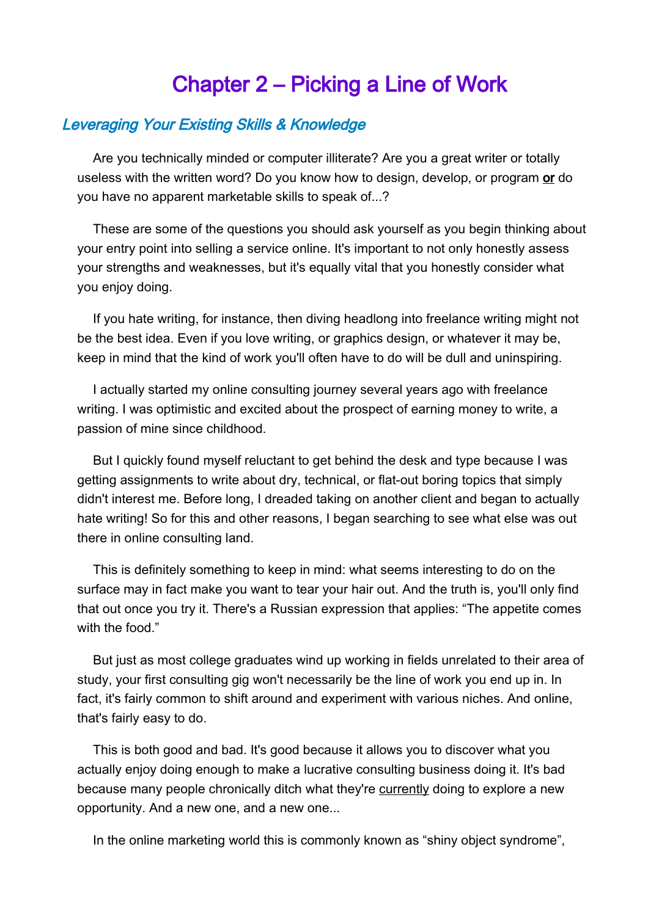## <span id="page-8-0"></span>Chapter 2 – Picking a Line of Work

## Leveraging Your Existing Skills & Knowledge

Are you technically minded or computer illiterate? Are you a great writer or totally useless with the written word? Do you know how to design, develop, or program or do you have no apparent marketable skills to speak of...?

These are some of the questions you should ask yourself as you begin thinking about your entry point into selling a service online. It's important to not only honestly assess your strengths and weaknesses, but it's equally vital that you honestly consider what you enjoy doing.

If you hate writing, for instance, then diving headlong into freelance writing might not be the best idea. Even if you love writing, or graphics design, or whatever it may be, keep in mind that the kind of work you'll often have to do will be dull and uninspiring.

I actually started my online consulting journey several years ago with freelance writing. I was optimistic and excited about the prospect of earning money to write, a passion of mine since childhood.

But I quickly found myself reluctant to get behind the desk and type because I was getting assignments to write about dry, technical, or flat-out boring topics that simply didn't interest me. Before long, I dreaded taking on another client and began to actually hate writing! So for this and other reasons, I began searching to see what else was out there in online consulting land.

This is definitely something to keep in mind: what seems interesting to do on the surface may in fact make you want to tear your hair out. And the truth is, you'll only find that out once you try it. There's a Russian expression that applies: "The appetite comes with the food."

But just as most college graduates wind up working in fields unrelated to their area of study, your first consulting gig won't necessarily be the line of work you end up in. In fact, it's fairly common to shift around and experiment with various niches. And online, that's fairly easy to do.

This is both good and bad. It's good because it allows you to discover what you actually enjoy doing enough to make a lucrative consulting business doing it. It's bad because many people chronically ditch what they're currently doing to explore a new opportunity. And a new one, and a new one...

In the online marketing world this is commonly known as "shiny object syndrome",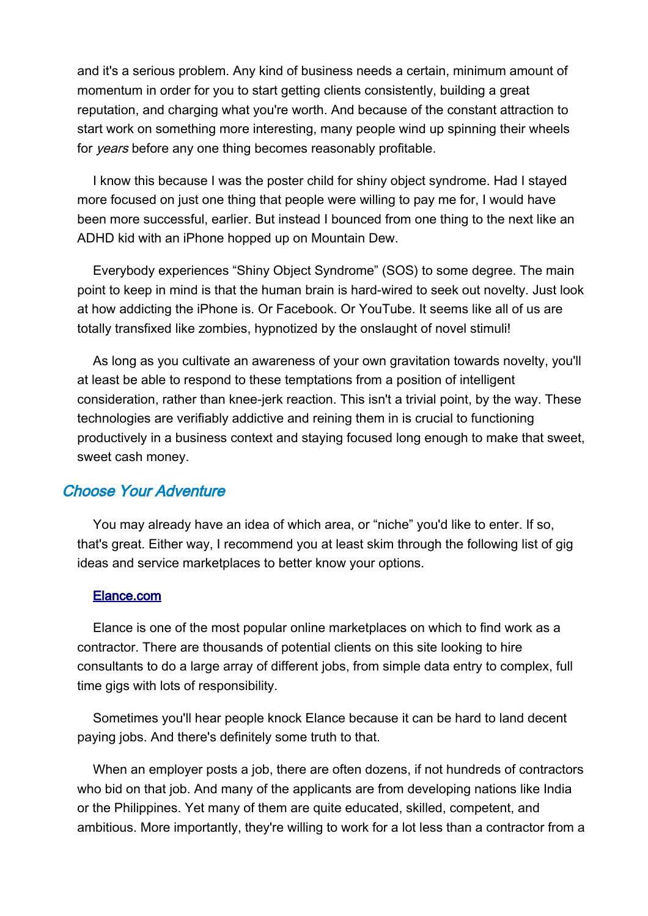and it's a serious problem. Any kind of business needs a certain, minimum amount of momentum in order for you to start getting clients consistently, building a great reputation, and charging what you're worth. And because of the constant attraction to start work on something more interesting, many people wind up spinning their wheels for years before any one thing becomes reasonably profitable.

I know this because I was the poster child for shiny object syndrome. Had I stayed more focused on just one thing that people were willing to pay me for, I would have been more successful, earlier. But instead I bounced from one thing to the next like an ADHD kid with an iPhone hopped up on Mountain Dew.

Everybody experiences "Shiny Object Syndrome" (SOS) to some degree. The main point to keep in mind is that the human brain is hard-wired to seek out novelty. Just look at how addicting the iPhone is. Or Facebook. Or YouTube. It seems like all of us are totally transfixed like zombies, hypnotized by the onslaught of novel stimuli!

As long as you cultivate an awareness of your own gravitation towards novelty, you'll at least be able to respond to these temptations from a position of intelligent consideration, rather than knee-jerk reaction. This isn't a trivial point, by the way. These technologies are verifiably addictive and reining them in is crucial to functioning productively in a business context and staying focused long enough to make that sweet, sweet cash money.

## Choose Your Adventure

You may already have an idea of which area, or "niche" you'd like to enter. If so, that's great. Either way, I recommend you at least skim through the following list of gig ideas and service marketplaces to better know your options.

#### [Elance.com](http://www.elance.com/)

Elance is one of the most popular online marketplaces on which to find work as a contractor. There are thousands of potential clients on this site looking to hire consultants to do a large array of different jobs, from simple data entry to complex, full time gigs with lots of responsibility.

Sometimes you'll hear people knock Elance because it can be hard to land decent paying jobs. And there's definitely some truth to that.

When an employer posts a job, there are often dozens, if not hundreds of contractors who bid on that job. And many of the applicants are from developing nations like India or the Philippines. Yet many of them are quite educated, skilled, competent, and ambitious. More importantly, they're willing to work for a lot less than a contractor from a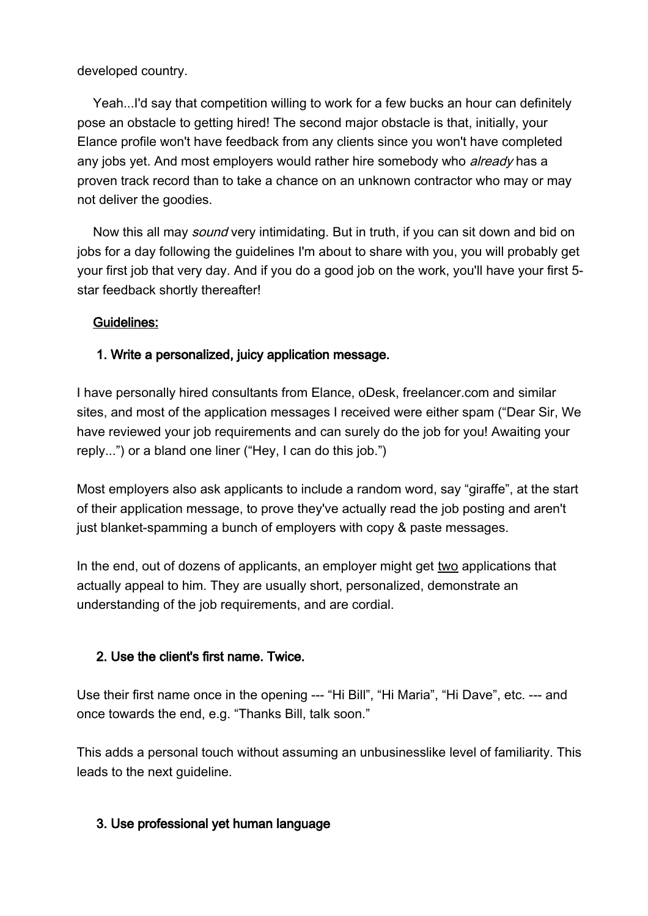#### developed country.

Yeah...I'd say that competition willing to work for a few bucks an hour can definitely pose an obstacle to getting hired! The second major obstacle is that, initially, your Elance profile won't have feedback from any clients since you won't have completed any jobs yet. And most employers would rather hire somebody who *already* has a proven track record than to take a chance on an unknown contractor who may or may not deliver the goodies.

Now this all may sound very intimidating. But in truth, if you can sit down and bid on jobs for a day following the guidelines I'm about to share with you, you will probably get your first job that very day. And if you do a good job on the work, you'll have your first 5 star feedback shortly thereafter!

## Guidelines:

## 1. Write a personalized, juicy application message.

I have personally hired consultants from Elance, oDesk, freelancer.com and similar sites, and most of the application messages I received were either spam ("Dear Sir, We have reviewed your job requirements and can surely do the job for you! Awaiting your reply...") or a bland one liner ("Hey, I can do this job.")

Most employers also ask applicants to include a random word, say "giraffe", at the start of their application message, to prove they've actually read the job posting and aren't just blanket-spamming a bunch of employers with copy & paste messages.

In the end, out of dozens of applicants, an employer might get two applications that actually appeal to him. They are usually short, personalized, demonstrate an understanding of the job requirements, and are cordial.

## 2. Use the client's first name. Twice.

Use their first name once in the opening --- "Hi Bill", "Hi Maria", "Hi Dave", etc. --- and once towards the end, e.g. "Thanks Bill, talk soon."

This adds a personal touch without assuming an unbusinesslike level of familiarity. This leads to the next guideline.

## 3. Use professional yet human language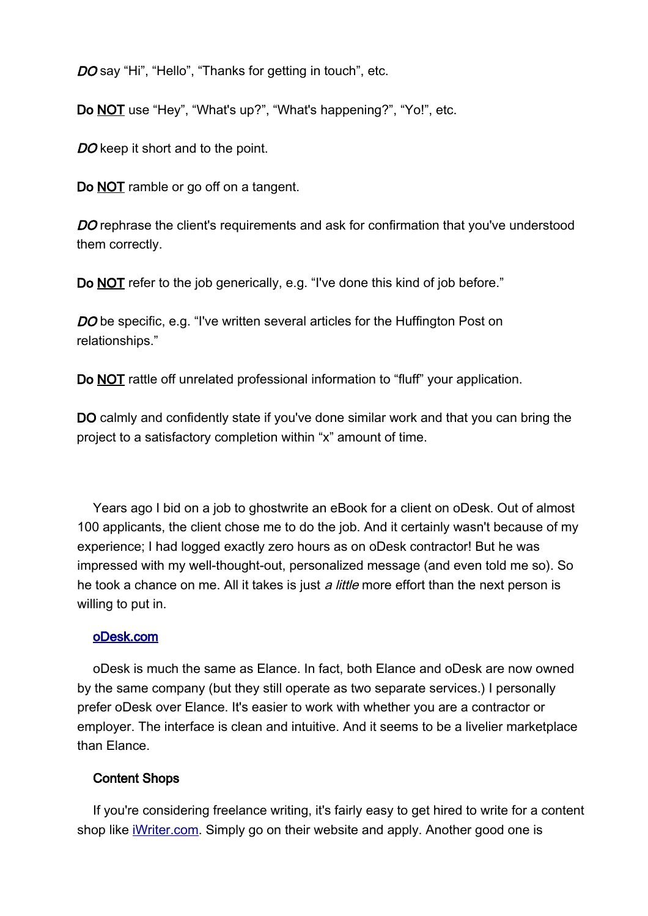DO say "Hi", "Hello", "Thanks for getting in touch", etc.

Do NOT use "Hey", "What's up?", "What's happening?", "Yo!", etc.

DO keep it short and to the point.

Do NOT ramble or go off on a tangent.

DO rephrase the client's requirements and ask for confirmation that you've understood them correctly.

Do NOT refer to the job generically, e.g. "I've done this kind of job before."

DO be specific, e.g. "I've written several articles for the Huffington Post on relationships."

Do NOT rattle off unrelated professional information to "fluff" your application.

DO calmly and confidently state if you've done similar work and that you can bring the project to a satisfactory completion within "x" amount of time.

Years ago I bid on a job to ghostwrite an eBook for a client on oDesk. Out of almost 100 applicants, the client chose me to do the job. And it certainly wasn't because of my experience; I had logged exactly zero hours as on oDesk contractor! But he was impressed with my well-thought-out, personalized message (and even told me so). So he took a chance on me. All it takes is just a little more effort than the next person is willing to put in.

#### [oDesk.com](http://www.odesk.com/)

oDesk is much the same as Elance. In fact, both Elance and oDesk are now owned by the same company (but they still operate as two separate services.) I personally prefer oDesk over Elance. It's easier to work with whether you are a contractor or employer. The interface is clean and intuitive. And it seems to be a livelier marketplace than Elance.

#### Content Shops

If you're considering freelance writing, it's fairly easy to get hired to write for a content shop like [iWriter.com.](http://www.iwriter.com/) Simply go on their website and apply. Another good one is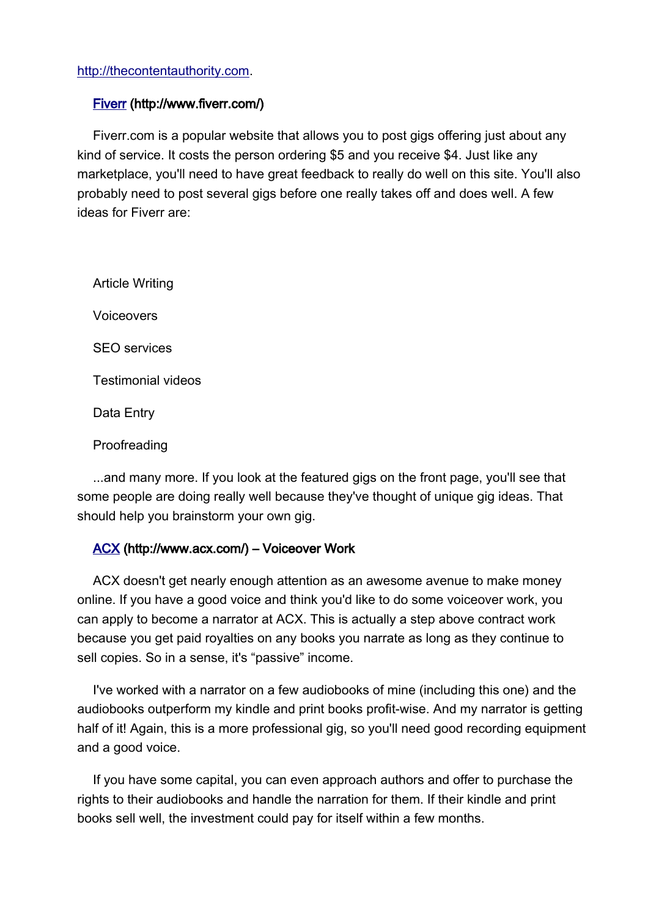#### [http://thecontentauthority.com.](http://thecontentauthority.com/)

#### [Fiverr](http://www.fiverr.com/) (http://www.fiverr.com/)

Fiverr.com is a popular website that allows you to post gigs offering just about any kind of service. It costs the person ordering \$5 and you receive \$4. Just like any marketplace, you'll need to have great feedback to really do well on this site. You'll also probably need to post several gigs before one really takes off and does well. A few ideas for Fiverr are:

Article Writing Voiceovers SEO services Testimonial videos Data Entry

Proofreading

...and many more. If you look at the featured gigs on the front page, you'll see that some people are doing really well because they've thought of unique gig ideas. That should help you brainstorm your own gig.

#### [ACX](http://www.acx.com/) (http://www.acx.com/) – Voiceover Work

ACX doesn't get nearly enough attention as an awesome avenue to make money online. If you have a good voice and think you'd like to do some voiceover work, you can apply to become a narrator at ACX. This is actually a step above contract work because you get paid royalties on any books you narrate as long as they continue to sell copies. So in a sense, it's "passive" income.

I've worked with a narrator on a few audiobooks of mine (including this one) and the audiobooks outperform my kindle and print books profit-wise. And my narrator is getting half of it! Again, this is a more professional gig, so you'll need good recording equipment and a good voice.

If you have some capital, you can even approach authors and offer to purchase the rights to their audiobooks and handle the narration for them. If their kindle and print books sell well, the investment could pay for itself within a few months.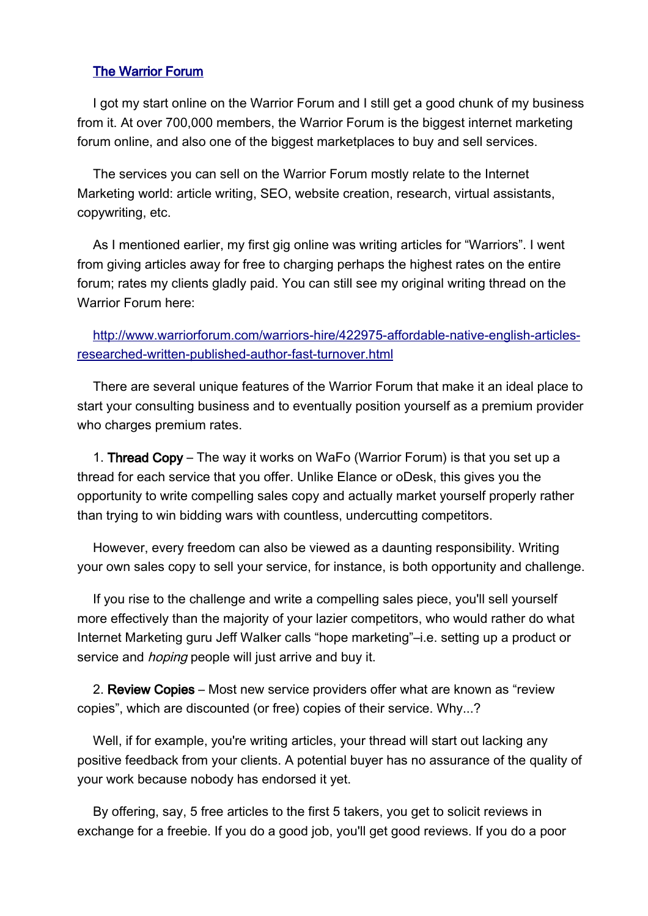#### [The Warrior Forum](http://www.warriorforum.com/index.php?referrerid=254615)

I got my start online on the Warrior Forum and I still get a good chunk of my business from it. At over 700,000 members, the Warrior Forum is the biggest internet marketing forum online, and also one of the biggest marketplaces to buy and sell services.

The services you can sell on the Warrior Forum mostly relate to the Internet Marketing world: article writing, SEO, website creation, research, virtual assistants, copywriting, etc.

As I mentioned earlier, my first gig online was writing articles for "Warriors". I went from giving articles away for free to charging perhaps the highest rates on the entire forum; rates my clients gladly paid. You can still see my original writing thread on the Warrior Forum here:

[http://www.warriorforum.com/warriors-hire/422975-affordable-native-english-articles](http://www.warriorforum.com/warriors-hire/422975-affordable-native-english-articles-researched-written-published-author-fast-turnover.html)[researched-written-published-author-fast-turnover.html](http://www.warriorforum.com/warriors-hire/422975-affordable-native-english-articles-researched-written-published-author-fast-turnover.html)

There are several unique features of the Warrior Forum that make it an ideal place to start your consulting business and to eventually position yourself as a premium provider who charges premium rates.

1. Thread Copy – The way it works on WaFo (Warrior Forum) is that you set up a thread for each service that you offer. Unlike Elance or oDesk, this gives you the opportunity to write compelling sales copy and actually market yourself properly rather than trying to win bidding wars with countless, undercutting competitors.

However, every freedom can also be viewed as a daunting responsibility. Writing your own sales copy to sell your service, for instance, is both opportunity and challenge.

If you rise to the challenge and write a compelling sales piece, you'll sell yourself more effectively than the majority of your lazier competitors, who would rather do what Internet Marketing guru Jeff Walker calls "hope marketing"–i.e. setting up a product or service and *hoping* people will just arrive and buy it.

2. Review Copies – Most new service providers offer what are known as "review copies", which are discounted (or free) copies of their service. Why...?

Well, if for example, you're writing articles, your thread will start out lacking any positive feedback from your clients. A potential buyer has no assurance of the quality of your work because nobody has endorsed it yet.

By offering, say, 5 free articles to the first 5 takers, you get to solicit reviews in exchange for a freebie. If you do a good job, you'll get good reviews. If you do a poor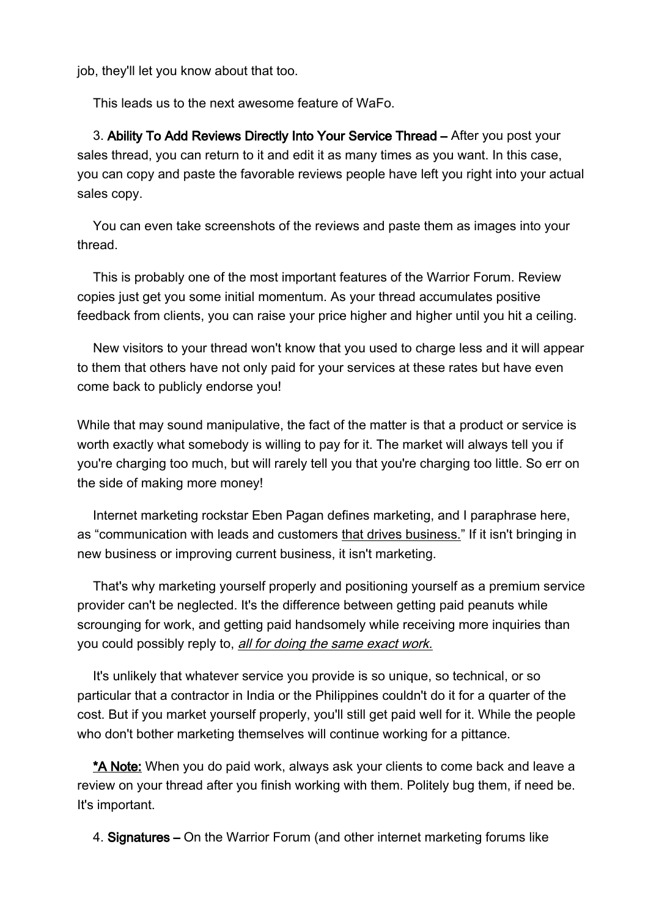job, they'll let you know about that too.

This leads us to the next awesome feature of WaFo.

3. Ability To Add Reviews Directly Into Your Service Thread – After you post your sales thread, you can return to it and edit it as many times as you want. In this case, you can copy and paste the favorable reviews people have left you right into your actual sales copy.

You can even take screenshots of the reviews and paste them as images into your thread.

This is probably one of the most important features of the Warrior Forum. Review copies just get you some initial momentum. As your thread accumulates positive feedback from clients, you can raise your price higher and higher until you hit a ceiling.

New visitors to your thread won't know that you used to charge less and it will appear to them that others have not only paid for your services at these rates but have even come back to publicly endorse you!

While that may sound manipulative, the fact of the matter is that a product or service is worth exactly what somebody is willing to pay for it. The market will always tell you if you're charging too much, but will rarely tell you that you're charging too little. So err on the side of making more money!

Internet marketing rockstar Eben Pagan defines marketing, and I paraphrase here, as "communication with leads and customers that drives business." If it isn't bringing in new business or improving current business, it isn't marketing.

That's why marketing yourself properly and positioning yourself as a premium service provider can't be neglected. It's the difference between getting paid peanuts while scrounging for work, and getting paid handsomely while receiving more inquiries than you could possibly reply to, all for doing the same exact work.

It's unlikely that whatever service you provide is so unique, so technical, or so particular that a contractor in India or the Philippines couldn't do it for a quarter of the cost. But if you market yourself properly, you'll still get paid well for it. While the people who don't bother marketing themselves will continue working for a pittance.

\*A Note: When you do paid work, always ask your clients to come back and leave a review on your thread after you finish working with them. Politely bug them, if need be. It's important.

4. Signatures – On the Warrior Forum (and other internet marketing forums like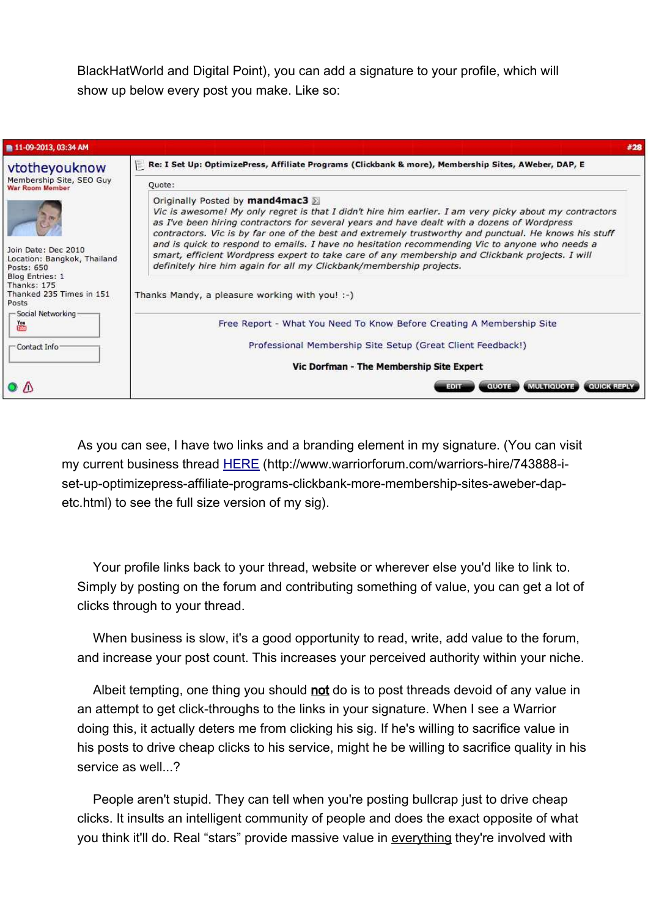BlackHatWorld and Digital Point), you can add a signature to your profile, which will show up below every post you make. Like so:

| <b>11-09-2013, 03:34 AM</b>                                                                                                                                                                                                                           | #28                                                                                                                                                                                                                                                                                                                                                                                                                                                                                                                                                                                                                                                                            |
|-------------------------------------------------------------------------------------------------------------------------------------------------------------------------------------------------------------------------------------------------------|--------------------------------------------------------------------------------------------------------------------------------------------------------------------------------------------------------------------------------------------------------------------------------------------------------------------------------------------------------------------------------------------------------------------------------------------------------------------------------------------------------------------------------------------------------------------------------------------------------------------------------------------------------------------------------|
| vtotheyouknow<br>Membership Site, SEO Guy<br>War Room Member<br>Join Date: Dec 2010<br>Location: Bangkok, Thailand<br>Posts: 650<br>Blog Entries: 1<br>Thanks: 175<br>Thanked 235 Times in 151<br>Posts<br>- Social Networking<br>圖<br>- Contact Info | Re: I Set Up: OptimizePress, Affiliate Programs (Clickbank & more), Membership Sites, AWeber, DAP, E<br>Quote:                                                                                                                                                                                                                                                                                                                                                                                                                                                                                                                                                                 |
|                                                                                                                                                                                                                                                       | Originally Posted by mand4mac3<br>Vic is awesome! My only regret is that I didn't hire him earlier. I am very picky about my contractors<br>as I've been hiring contractors for several years and have dealt with a dozens of Wordpress<br>contractors. Vic is by far one of the best and extremely trustworthy and punctual. He knows his stuff<br>and is quick to respond to emails. I have no hesitation recommending Vic to anyone who needs a<br>smart, efficient Wordpress expert to take care of any membership and Clickbank projects. I will<br>definitely hire him again for all my Clickbank/membership projects.<br>Thanks Mandy, a pleasure working with you! :-) |
|                                                                                                                                                                                                                                                       | Free Report - What You Need To Know Before Creating A Membership Site<br>Professional Membership Site Setup (Great Client Feedback!)<br>Vic Dorfman - The Membership Site Expert                                                                                                                                                                                                                                                                                                                                                                                                                                                                                               |
| $\Omega$ $\Lambda$                                                                                                                                                                                                                                    | <b>MULTIQUOTE</b><br><b>QUICK REPL</b><br>QUOTE                                                                                                                                                                                                                                                                                                                                                                                                                                                                                                                                                                                                                                |

As you can see, I have two links and a branding element in my signature. (You can visit my current business thread [HERE](http://www.warriorforum.com/warriors-hire/743888-i-set-up-optimizepress-affiliate-programs-clickbank-more-membership-sites-aweber-dap-etc.html) (http://www.warriorforum.com/warriors-hire/743888-iset-up-optimizepress-affiliate-programs-clickbank-more-membership-sites-aweber-dapetc.html) to see the full size version of my sig).

Your profile links back to your thread, website or wherever else you'd like to link to. Simply by posting on the forum and contributing something of value, you can get a lot of clicks through to your thread.

When business is slow, it's a good opportunity to read, write, add value to the forum, and increase your post count. This increases your perceived authority within your niche.

Albeit tempting, one thing you should not do is to post threads devoid of any value in an attempt to get click-throughs to the links in your signature. When I see a Warrior doing this, it actually deters me from clicking his sig. If he's willing to sacrifice value in his posts to drive cheap clicks to his service, might he be willing to sacrifice quality in his service as well...?

People aren't stupid. They can tell when you're posting bullcrap just to drive cheap clicks. It insults an intelligent community of people and does the exact opposite of what you think it'll do. Real "stars" provide massive value in everything they're involved with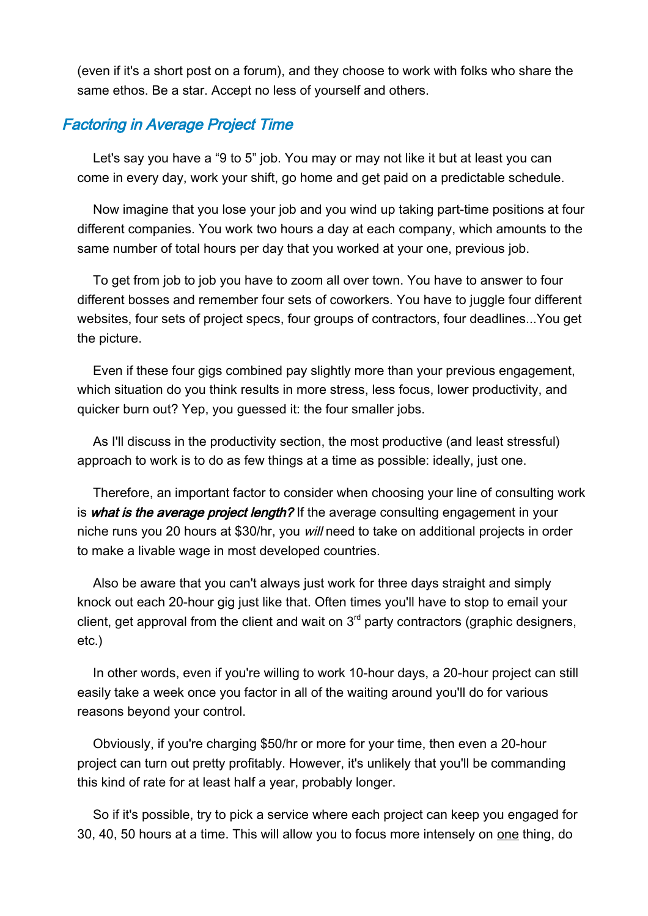(even if it's a short post on a forum), and they choose to work with folks who share the same ethos. Be a star. Accept no less of yourself and others.

## Factoring in Average Project Time

Let's say you have a "9 to 5" job. You may or may not like it but at least you can come in every day, work your shift, go home and get paid on a predictable schedule.

Now imagine that you lose your job and you wind up taking part-time positions at four different companies. You work two hours a day at each company, which amounts to the same number of total hours per day that you worked at your one, previous job.

To get from job to job you have to zoom all over town. You have to answer to four different bosses and remember four sets of coworkers. You have to juggle four different websites, four sets of project specs, four groups of contractors, four deadlines...You get the picture.

Even if these four gigs combined pay slightly more than your previous engagement, which situation do you think results in more stress, less focus, lower productivity, and quicker burn out? Yep, you guessed it: the four smaller jobs.

As I'll discuss in the productivity section, the most productive (and least stressful) approach to work is to do as few things at a time as possible: ideally, just one.

Therefore, an important factor to consider when choosing your line of consulting work is what is the average project length? If the average consulting engagement in your niche runs you 20 hours at \$30/hr, you will need to take on additional projects in order to make a livable wage in most developed countries.

Also be aware that you can't always just work for three days straight and simply knock out each 20-hour gig just like that. Often times you'll have to stop to email your client, get approval from the client and wait on  $3<sup>rd</sup>$  party contractors (graphic designers, etc.)

In other words, even if you're willing to work 10-hour days, a 20-hour project can still easily take a week once you factor in all of the waiting around you'll do for various reasons beyond your control.

Obviously, if you're charging \$50/hr or more for your time, then even a 20-hour project can turn out pretty profitably. However, it's unlikely that you'll be commanding this kind of rate for at least half a year, probably longer.

So if it's possible, try to pick a service where each project can keep you engaged for 30, 40, 50 hours at a time. This will allow you to focus more intensely on one thing, do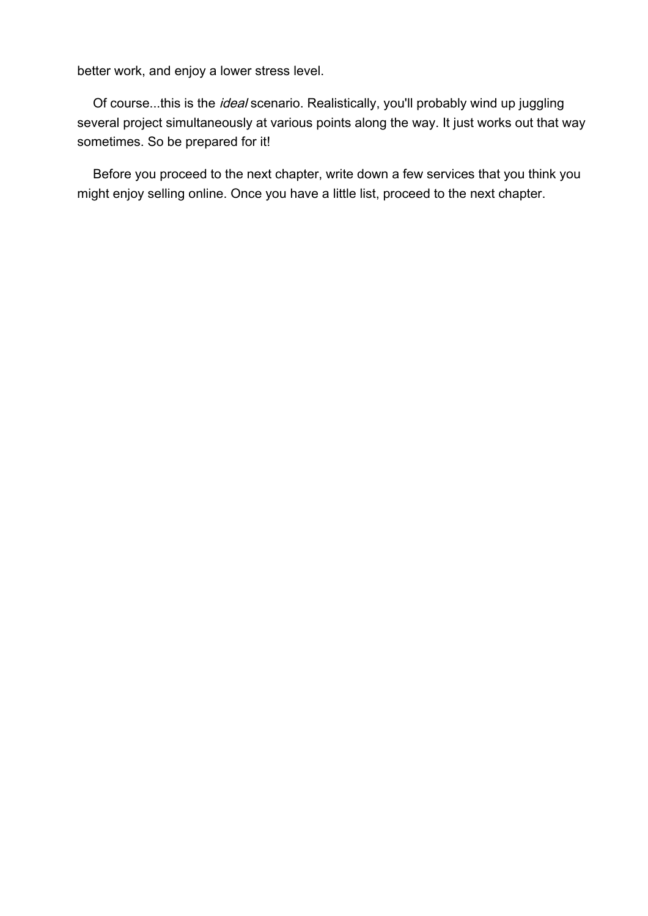better work, and enjoy a lower stress level.

Of course...this is the ideal scenario. Realistically, you'll probably wind up juggling several project simultaneously at various points along the way. It just works out that way sometimes. So be prepared for it!

Before you proceed to the next chapter, write down a few services that you think you might enjoy selling online. Once you have a little list, proceed to the next chapter.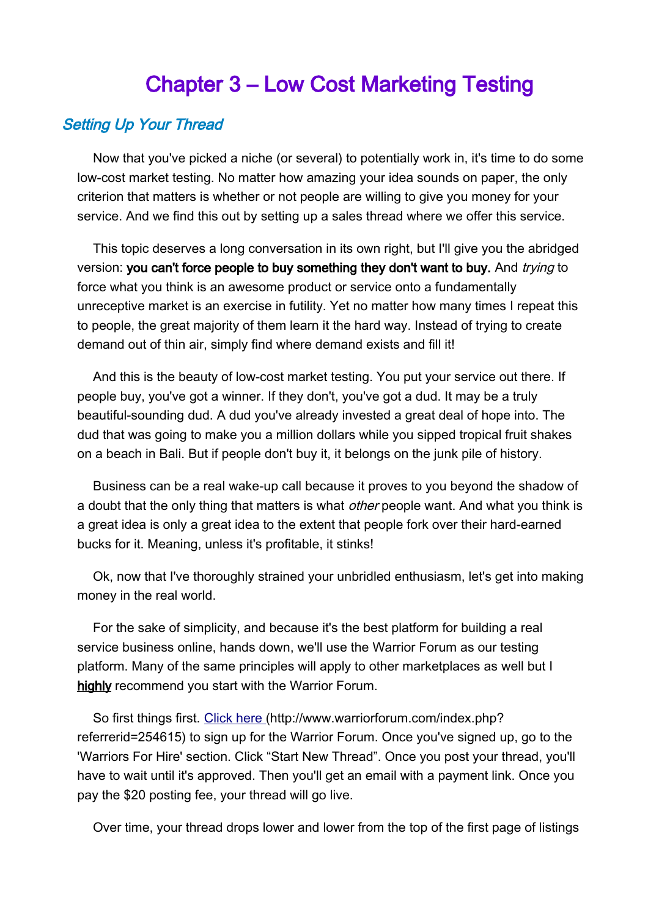## <span id="page-18-0"></span>Chapter 3 – Low Cost Marketing Testing

### Setting Up Your Thread

Now that you've picked a niche (or several) to potentially work in, it's time to do some low-cost market testing. No matter how amazing your idea sounds on paper, the only criterion that matters is whether or not people are willing to give you money for your service. And we find this out by setting up a sales thread where we offer this service.

This topic deserves a long conversation in its own right, but I'll give you the abridged version: you can't force people to buy something they don't want to buy. And trying to force what you think is an awesome product or service onto a fundamentally unreceptive market is an exercise in futility. Yet no matter how many times I repeat this to people, the great majority of them learn it the hard way. Instead of trying to create demand out of thin air, simply find where demand exists and fill it!

And this is the beauty of low-cost market testing. You put your service out there. If people buy, you've got a winner. If they don't, you've got a dud. It may be a truly beautiful-sounding dud. A dud you've already invested a great deal of hope into. The dud that was going to make you a million dollars while you sipped tropical fruit shakes on a beach in Bali. But if people don't buy it, it belongs on the junk pile of history.

Business can be a real wake-up call because it proves to you beyond the shadow of a doubt that the only thing that matters is what *other* people want. And what you think is a great idea is only a great idea to the extent that people fork over their hard-earned bucks for it. Meaning, unless it's profitable, it stinks!

Ok, now that I've thoroughly strained your unbridled enthusiasm, let's get into making money in the real world.

For the sake of simplicity, and because it's the best platform for building a real service business online, hands down, we'll use the Warrior Forum as our testing platform. Many of the same principles will apply to other marketplaces as well but I highly recommend you start with the Warrior Forum.

So first things first. [Click here](http://www.warriorforum.com/index.php?referrerid=254615) (http://www.warriorforum.com/index.php? referrerid=254615) to sign up for the Warrior Forum. Once you've signed up, go to the 'Warriors For Hire' section. Click "Start New Thread". Once you post your thread, you'll have to wait until it's approved. Then you'll get an email with a payment link. Once you pay the \$20 posting fee, your thread will go live.

Over time, your thread drops lower and lower from the top of the first page of listings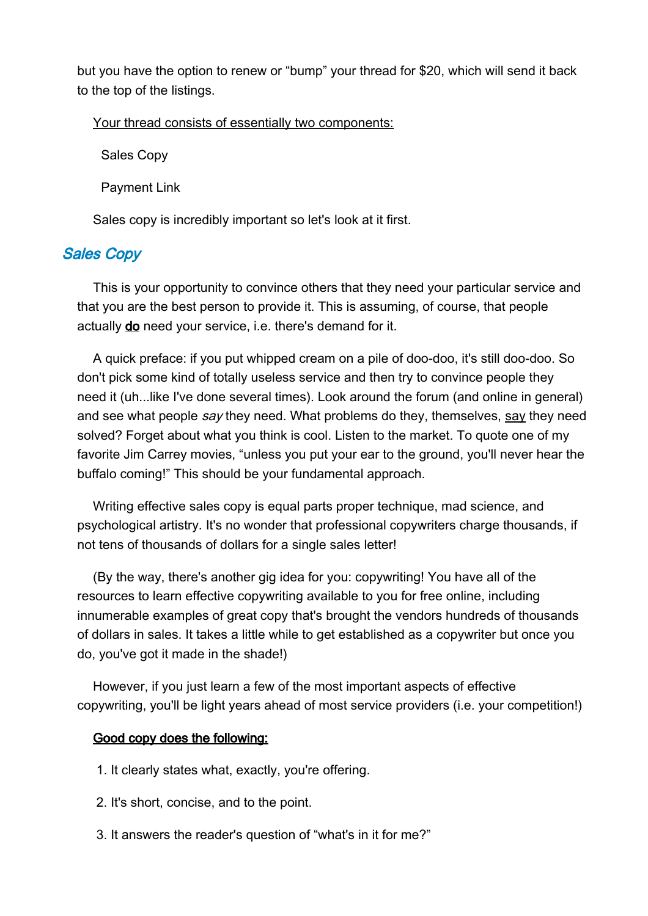but you have the option to renew or "bump" your thread for \$20, which will send it back to the top of the listings.

Your thread consists of essentially two components:

Sales Copy

Payment Link

Sales copy is incredibly important so let's look at it first.

## Sales Copy

This is your opportunity to convince others that they need your particular service and that you are the best person to provide it. This is assuming, of course, that people actually do need your service, i.e. there's demand for it.

A quick preface: if you put whipped cream on a pile of doo-doo, it's still doo-doo. So don't pick some kind of totally useless service and then try to convince people they need it (uh...like I've done several times). Look around the forum (and online in general) and see what people say they need. What problems do they, themselves, say they need solved? Forget about what you think is cool. Listen to the market. To quote one of my favorite Jim Carrey movies, "unless you put your ear to the ground, you'll never hear the buffalo coming!" This should be your fundamental approach.

Writing effective sales copy is equal parts proper technique, mad science, and psychological artistry. It's no wonder that professional copywriters charge thousands, if not tens of thousands of dollars for a single sales letter!

(By the way, there's another gig idea for you: copywriting! You have all of the resources to learn effective copywriting available to you for free online, including innumerable examples of great copy that's brought the vendors hundreds of thousands of dollars in sales. It takes a little while to get established as a copywriter but once you do, you've got it made in the shade!)

However, if you just learn a few of the most important aspects of effective copywriting, you'll be light years ahead of most service providers (i.e. your competition!)

#### Good copy does the following:

- 1. It clearly states what, exactly, you're offering.
- 2. It's short, concise, and to the point.
- 3. It answers the reader's question of "what's in it for me?"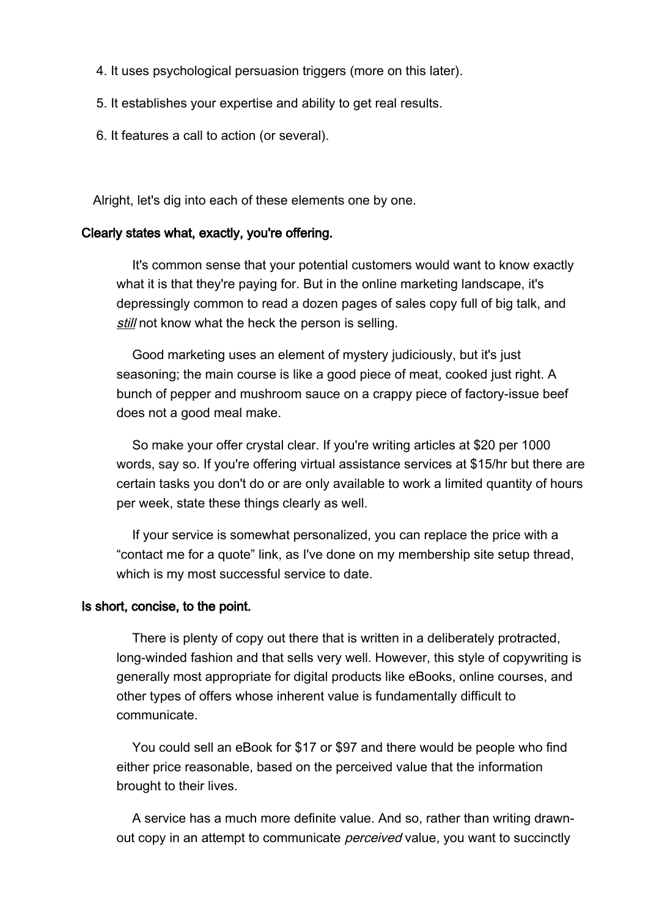- 4. It uses psychological persuasion triggers (more on this later).
- 5. It establishes your expertise and ability to get real results.
- 6. It features a call to action (or several).

Alright, let's dig into each of these elements one by one.

#### Clearly states what, exactly, you're offering.

It's common sense that your potential customers would want to know exactly what it is that they're paying for. But in the online marketing landscape, it's depressingly common to read a dozen pages of sales copy full of big talk, and still not know what the heck the person is selling.

Good marketing uses an element of mystery judiciously, but it's just seasoning; the main course is like a good piece of meat, cooked just right. A bunch of pepper and mushroom sauce on a crappy piece of factory-issue beef does not a good meal make.

So make your offer crystal clear. If you're writing articles at \$20 per 1000 words, say so. If you're offering virtual assistance services at \$15/hr but there are certain tasks you don't do or are only available to work a limited quantity of hours per week, state these things clearly as well.

If your service is somewhat personalized, you can replace the price with a "contact me for a quote" link, as I've done on my membership site setup thread, which is my most successful service to date.

#### Is short, concise, to the point.

There is plenty of copy out there that is written in a deliberately protracted, long-winded fashion and that sells very well. However, this style of copywriting is generally most appropriate for digital products like eBooks, online courses, and other types of offers whose inherent value is fundamentally difficult to communicate.

You could sell an eBook for \$17 or \$97 and there would be people who find either price reasonable, based on the perceived value that the information brought to their lives.

A service has a much more definite value. And so, rather than writing drawnout copy in an attempt to communicate *perceived* value, you want to succinctly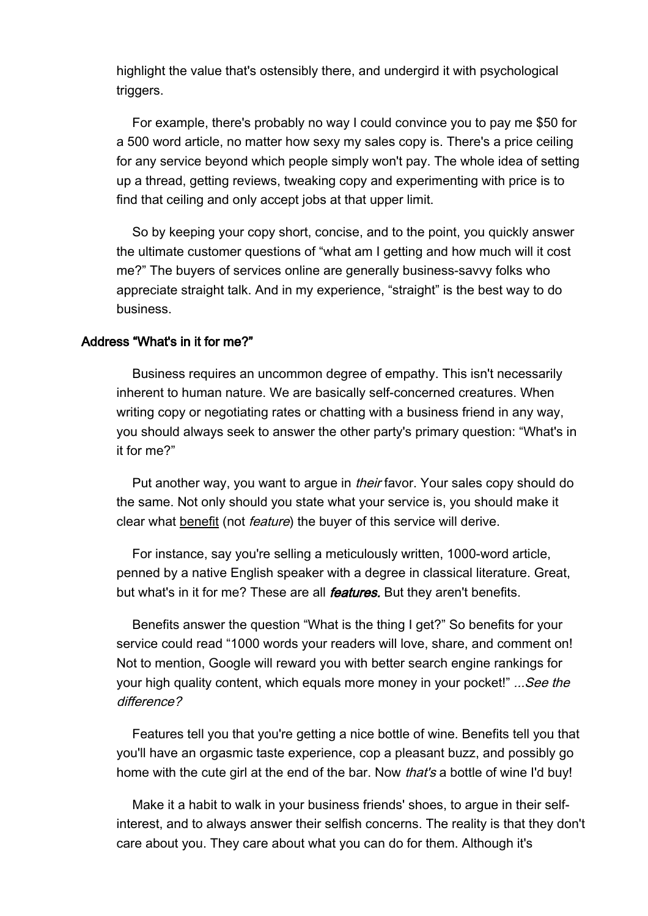highlight the value that's ostensibly there, and undergird it with psychological triggers.

For example, there's probably no way I could convince you to pay me \$50 for a 500 word article, no matter how sexy my sales copy is. There's a price ceiling for any service beyond which people simply won't pay. The whole idea of setting up a thread, getting reviews, tweaking copy and experimenting with price is to find that ceiling and only accept jobs at that upper limit.

So by keeping your copy short, concise, and to the point, you quickly answer the ultimate customer questions of "what am I getting and how much will it cost me?" The buyers of services online are generally business-savvy folks who appreciate straight talk. And in my experience, "straight" is the best way to do business.

#### Address "What's in it for me?"

Business requires an uncommon degree of empathy. This isn't necessarily inherent to human nature. We are basically self-concerned creatures. When writing copy or negotiating rates or chatting with a business friend in any way, you should always seek to answer the other party's primary question: "What's in it for me?"

Put another way, you want to argue in *their* favor. Your sales copy should do the same. Not only should you state what your service is, you should make it clear what benefit (not feature) the buyer of this service will derive.

For instance, say you're selling a meticulously written, 1000-word article, penned by a native English speaker with a degree in classical literature. Great, but what's in it for me? These are all *features*. But they aren't benefits.

Benefits answer the question "What is the thing I get?" So benefits for your service could read "1000 words your readers will love, share, and comment on! Not to mention, Google will reward you with better search engine rankings for your high quality content, which equals more money in your pocket!" ...See the difference?

Features tell you that you're getting a nice bottle of wine. Benefits tell you that you'll have an orgasmic taste experience, cop a pleasant buzz, and possibly go home with the cute girl at the end of the bar. Now *that's* a bottle of wine I'd buy!

Make it a habit to walk in your business friends' shoes, to argue in their selfinterest, and to always answer their selfish concerns. The reality is that they don't care about you. They care about what you can do for them. Although it's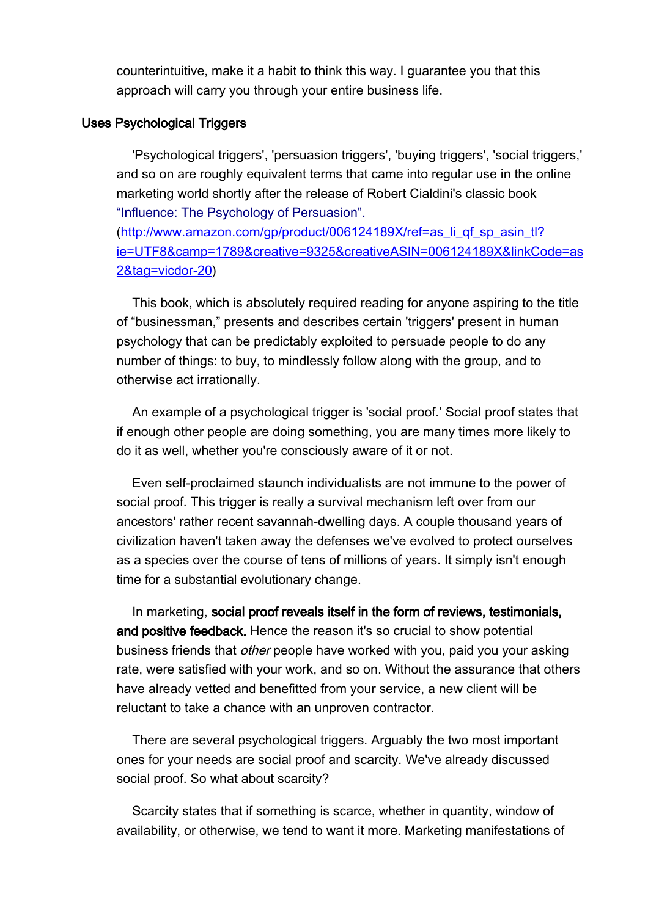counterintuitive, make it a habit to think this way. I guarantee you that this approach will carry you through your entire business life.

#### Uses Psychological Triggers

'Psychological triggers', 'persuasion triggers', 'buying triggers', 'social triggers,' and so on are roughly equivalent terms that came into regular use in the online marketing world shortly after the release of Robert Cialdini's classic book ["Influence: The Psychology of Persuasion".](http://www.amazon.com/gp/product/006124189X/ref=as_li_qf_sp_asin_tl?ie=UTF8&camp=1789&creative=9325&creativeASIN=006124189X&linkCode=as2&tag=vicdor-20)

[\(http://www.amazon.com/gp/product/006124189X/ref=as\\_li\\_qf\\_sp\\_asin\\_tl?](http://www.amazon.com/gp/product/006124189X/ref=as_li_qf_sp_asin_tl?ie=UTF8&camp=1789&creative=9325&creativeASIN=006124189X&linkCode=as2&tag=vicdor-20) [ie=UTF8&camp=1789&creative=9325&creativeASIN=006124189X&linkCode=as](http://www.amazon.com/gp/product/006124189X/ref=as_li_qf_sp_asin_tl?ie=UTF8&camp=1789&creative=9325&creativeASIN=006124189X&linkCode=as2&tag=vicdor-20) [2&tag=vicdor-20\)](http://www.amazon.com/gp/product/006124189X/ref=as_li_qf_sp_asin_tl?ie=UTF8&camp=1789&creative=9325&creativeASIN=006124189X&linkCode=as2&tag=vicdor-20)

This book, which is absolutely required reading for anyone aspiring to the title of "businessman," presents and describes certain 'triggers' present in human psychology that can be predictably exploited to persuade people to do any number of things: to buy, to mindlessly follow along with the group, and to otherwise act irrationally.

An example of a psychological trigger is 'social proof.' Social proof states that if enough other people are doing something, you are many times more likely to do it as well, whether you're consciously aware of it or not.

Even self-proclaimed staunch individualists are not immune to the power of social proof. This trigger is really a survival mechanism left over from our ancestors' rather recent savannah-dwelling days. A couple thousand years of civilization haven't taken away the defenses we've evolved to protect ourselves as a species over the course of tens of millions of years. It simply isn't enough time for a substantial evolutionary change.

In marketing, social proof reveals itself in the form of reviews, testimonials, and positive feedback. Hence the reason it's so crucial to show potential business friends that *other* people have worked with you, paid you your asking rate, were satisfied with your work, and so on. Without the assurance that others have already vetted and benefitted from your service, a new client will be reluctant to take a chance with an unproven contractor.

There are several psychological triggers. Arguably the two most important ones for your needs are social proof and scarcity. We've already discussed social proof. So what about scarcity?

Scarcity states that if something is scarce, whether in quantity, window of availability, or otherwise, we tend to want it more. Marketing manifestations of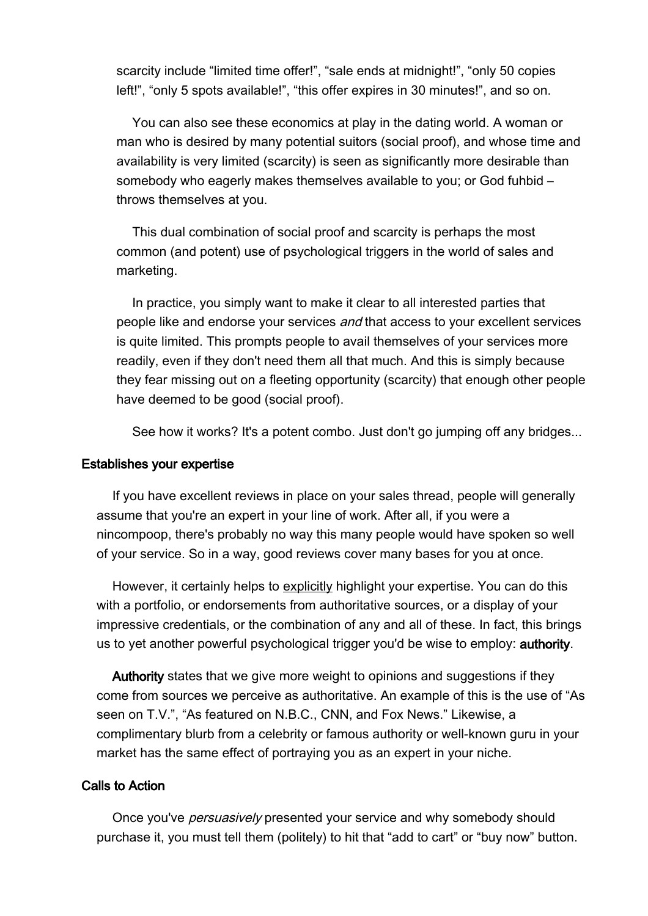scarcity include "limited time offer!", "sale ends at midnight!", "only 50 copies left!", "only 5 spots available!", "this offer expires in 30 minutes!", and so on.

You can also see these economics at play in the dating world. A woman or man who is desired by many potential suitors (social proof), and whose time and availability is very limited (scarcity) is seen as significantly more desirable than somebody who eagerly makes themselves available to you; or God fuhbid – throws themselves at you.

This dual combination of social proof and scarcity is perhaps the most common (and potent) use of psychological triggers in the world of sales and marketing.

In practice, you simply want to make it clear to all interested parties that people like and endorse your services and that access to your excellent services is quite limited. This prompts people to avail themselves of your services more readily, even if they don't need them all that much. And this is simply because they fear missing out on a fleeting opportunity (scarcity) that enough other people have deemed to be good (social proof).

See how it works? It's a potent combo. Just don't go jumping off any bridges...

#### Establishes your expertise

If you have excellent reviews in place on your sales thread, people will generally assume that you're an expert in your line of work. After all, if you were a nincompoop, there's probably no way this many people would have spoken so well of your service. So in a way, good reviews cover many bases for you at once.

However, it certainly helps to explicitly highlight your expertise. You can do this with a portfolio, or endorsements from authoritative sources, or a display of your impressive credentials, or the combination of any and all of these. In fact, this brings us to yet another powerful psychological trigger you'd be wise to employ: authority.

Authority states that we give more weight to opinions and suggestions if they come from sources we perceive as authoritative. An example of this is the use of "As seen on T.V.", "As featured on N.B.C., CNN, and Fox News." Likewise, a complimentary blurb from a celebrity or famous authority or well-known guru in your market has the same effect of portraying you as an expert in your niche.

#### Calls to Action

Once you've persuasively presented your service and why somebody should purchase it, you must tell them (politely) to hit that "add to cart" or "buy now" button.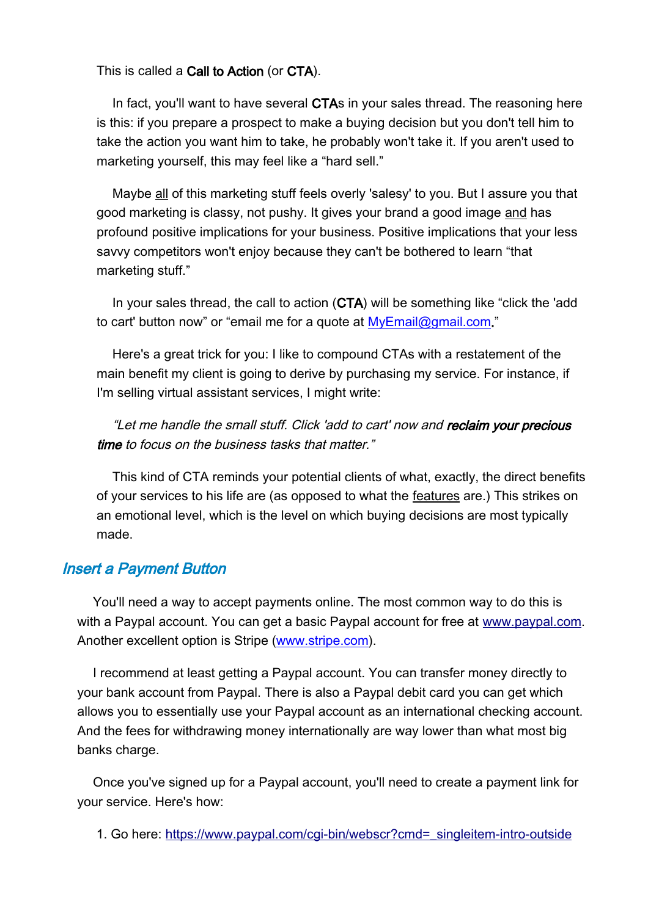#### This is called a Call to Action (or CTA).

In fact, you'll want to have several CTAs in your sales thread. The reasoning here is this: if you prepare a prospect to make a buying decision but you don't tell him to take the action you want him to take, he probably won't take it. If you aren't used to marketing yourself, this may feel like a "hard sell."

Maybe all of this marketing stuff feels overly 'salesy' to you. But I assure you that good marketing is classy, not pushy. It gives your brand a good image and has profound positive implications for your business. Positive implications that your less savvy competitors won't enjoy because they can't be bothered to learn "that marketing stuff."

In your sales thread, the call to action (CTA) will be something like "click the 'add to cart' button now" or "email me for a quote at [MyEmail@gmail.com.](mailto:MyEmail@gmail.com)"

Here's a great trick for you: I like to compound CTAs with a restatement of the main benefit my client is going to derive by purchasing my service. For instance, if I'm selling virtual assistant services, I might write:

"Let me handle the small stuff. Click 'add to cart' now and reclaim your precious time to focus on the business tasks that matter."

This kind of CTA reminds your potential clients of what, exactly, the direct benefits of your services to his life are (as opposed to what the features are.) This strikes on an emotional level, which is the level on which buying decisions are most typically made.

## Insert a Payment Button

You'll need a way to accept payments online. The most common way to do this is with a Paypal account. You can get a basic Paypal account for free at [www.paypal.com.](http://www.paypal.com/) Another excellent option is Stripe [\(www.stripe.com\)](http://www.stripe.com/).

I recommend at least getting a Paypal account. You can transfer money directly to your bank account from Paypal. There is also a Paypal debit card you can get which allows you to essentially use your Paypal account as an international checking account. And the fees for withdrawing money internationally are way lower than what most big banks charge.

Once you've signed up for a Paypal account, you'll need to create a payment link for your service. Here's how:

1. Go here: [https://www.paypal.com/cgi-bin/webscr?cmd=\\_singleitem-intro-outside](https://www.paypal.com/cgi-bin/webscr?cmd=_singleitem-intro-outside)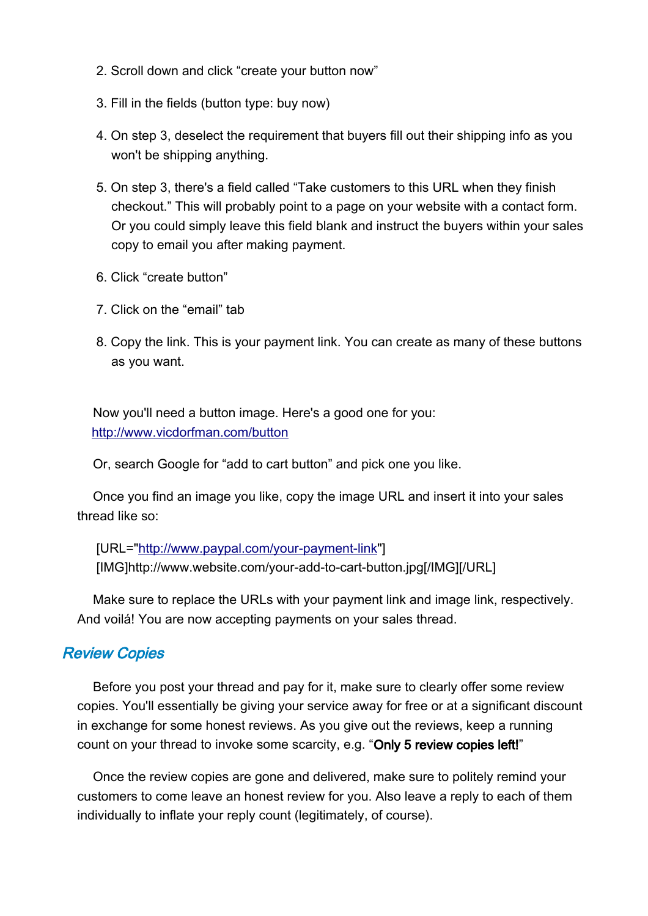- 2. Scroll down and click "create your button now"
- 3. Fill in the fields (button type: buy now)
- 4. On step 3, deselect the requirement that buyers fill out their shipping info as you won't be shipping anything.
- 5. On step 3, there's a field called "Take customers to this URL when they finish checkout." This will probably point to a page on your website with a contact form. Or you could simply leave this field blank and instruct the buyers within your sales copy to email you after making payment.
- 6. Click "create button"
- 7. Click on the "email" tab
- 8. Copy the link. This is your payment link. You can create as many of these buttons as you want.

Now you'll need a button image. Here's a good one for you: <http://www.vicdorfman.com/button>

Or, search Google for "add to cart button" and pick one you like.

Once you find an image you like, copy the image URL and insert it into your sales thread like so:

[URL=["http://www.paypal.com/your-payment-link"](http://www.paypal.com/your-payment-link)] [IMG]http://www.website.com/your-add-to-cart-button.jpg[/IMG][/URL]

Make sure to replace the URLs with your payment link and image link, respectively. And voilá! You are now accepting payments on your sales thread.

## Review Copies

Before you post your thread and pay for it, make sure to clearly offer some review copies. You'll essentially be giving your service away for free or at a significant discount in exchange for some honest reviews. As you give out the reviews, keep a running count on your thread to invoke some scarcity, e.g. "Only 5 review copies left!"

Once the review copies are gone and delivered, make sure to politely remind your customers to come leave an honest review for you. Also leave a reply to each of them individually to inflate your reply count (legitimately, of course).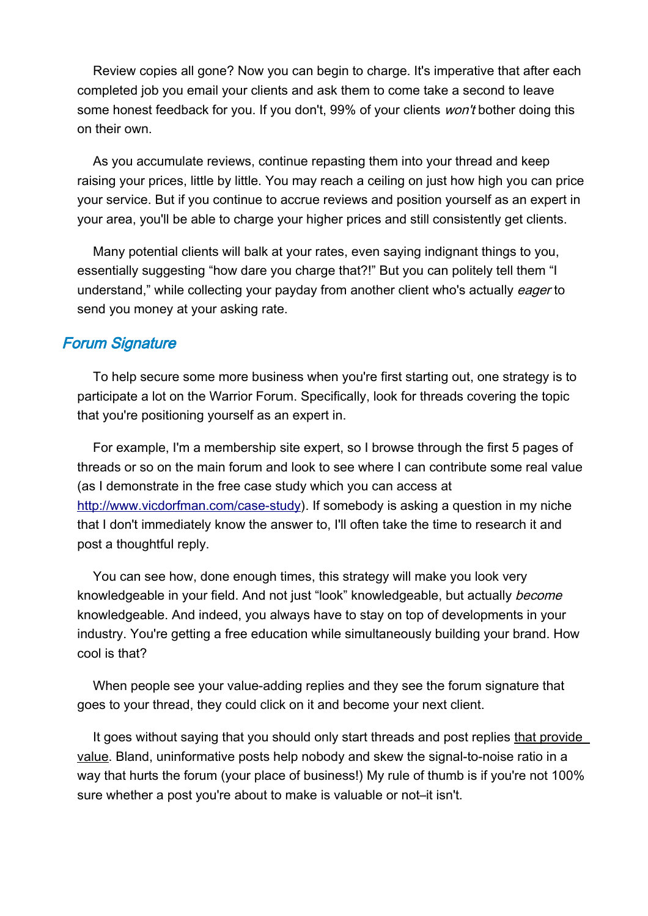Review copies all gone? Now you can begin to charge. It's imperative that after each completed job you email your clients and ask them to come take a second to leave some honest feedback for you. If you don't, 99% of your clients won't bother doing this on their own.

As you accumulate reviews, continue repasting them into your thread and keep raising your prices, little by little. You may reach a ceiling on just how high you can price your service. But if you continue to accrue reviews and position yourself as an expert in your area, you'll be able to charge your higher prices and still consistently get clients.

Many potential clients will balk at your rates, even saying indignant things to you, essentially suggesting "how dare you charge that?!" But you can politely tell them "I understand," while collecting your payday from another client who's actually eager to send you money at your asking rate.

#### Forum Signature

To help secure some more business when you're first starting out, one strategy is to participate a lot on the Warrior Forum. Specifically, look for threads covering the topic that you're positioning yourself as an expert in.

For example, I'm a membership site expert, so I browse through the first 5 pages of threads or so on the main forum and look to see where I can contribute some real value (as I demonstrate in the free case study which you can access at [http://www.vicdorfman.com/case-study\)](http://www.vicdorfman.com/case-study). If somebody is asking a question in my niche that I don't immediately know the answer to, I'll often take the time to research it and post a thoughtful reply.

You can see how, done enough times, this strategy will make you look very knowledgeable in your field. And not just "look" knowledgeable, but actually become knowledgeable. And indeed, you always have to stay on top of developments in your industry. You're getting a free education while simultaneously building your brand. How cool is that?

When people see your value-adding replies and they see the forum signature that goes to your thread, they could click on it and become your next client.

It goes without saying that you should only start threads and post replies that provide value. Bland, uninformative posts help nobody and skew the signal-to-noise ratio in a way that hurts the forum (your place of business!) My rule of thumb is if you're not 100% sure whether a post you're about to make is valuable or not–it isn't.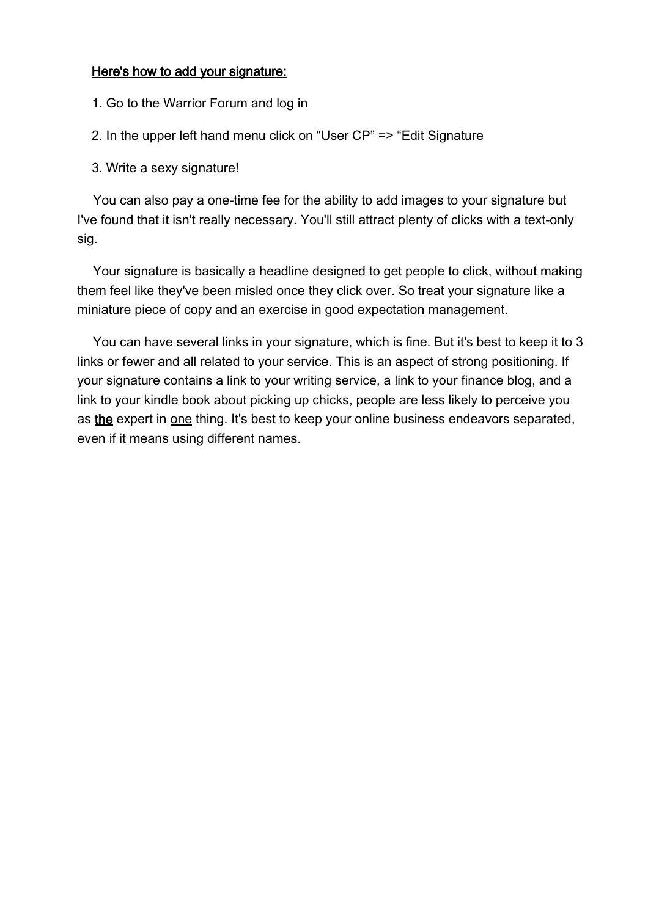#### Here's how to add your signature:

- 1. Go to the Warrior Forum and log in
- 2. In the upper left hand menu click on "User CP" => "Edit Signature
- 3. Write a sexy signature!

You can also pay a one-time fee for the ability to add images to your signature but I've found that it isn't really necessary. You'll still attract plenty of clicks with a text-only sig.

Your signature is basically a headline designed to get people to click, without making them feel like they've been misled once they click over. So treat your signature like a miniature piece of copy and an exercise in good expectation management.

You can have several links in your signature, which is fine. But it's best to keep it to 3 links or fewer and all related to your service. This is an aspect of strong positioning. If your signature contains a link to your writing service, a link to your finance blog, and a link to your kindle book about picking up chicks, people are less likely to perceive you as the expert in one thing. It's best to keep your online business endeavors separated, even if it means using different names.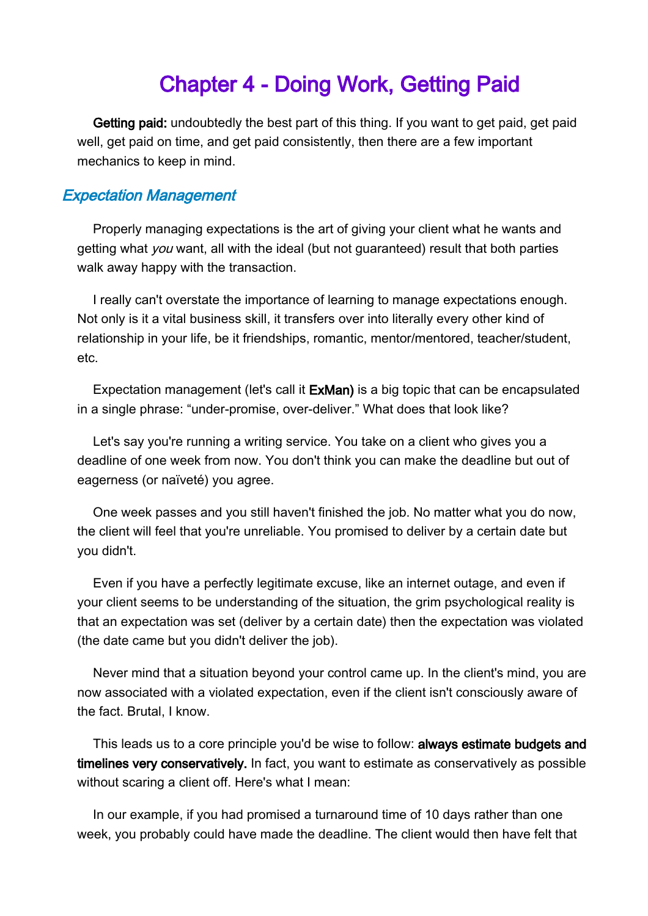# <span id="page-28-0"></span>Chapter 4 - Doing Work, Getting Paid

Getting paid: undoubtedly the best part of this thing. If you want to get paid, get paid well, get paid on time, and get paid consistently, then there are a few important mechanics to keep in mind.

#### Expectation Management

Properly managing expectations is the art of giving your client what he wants and getting what you want, all with the ideal (but not guaranteed) result that both parties walk away happy with the transaction.

I really can't overstate the importance of learning to manage expectations enough. Not only is it a vital business skill, it transfers over into literally every other kind of relationship in your life, be it friendships, romantic, mentor/mentored, teacher/student, etc.

Expectation management (let's call it ExMan) is a big topic that can be encapsulated in a single phrase: "under-promise, over-deliver." What does that look like?

Let's say you're running a writing service. You take on a client who gives you a deadline of one week from now. You don't think you can make the deadline but out of eagerness (or naïveté) you agree.

One week passes and you still haven't finished the job. No matter what you do now, the client will feel that you're unreliable. You promised to deliver by a certain date but you didn't.

Even if you have a perfectly legitimate excuse, like an internet outage, and even if your client seems to be understanding of the situation, the grim psychological reality is that an expectation was set (deliver by a certain date) then the expectation was violated (the date came but you didn't deliver the job).

Never mind that a situation beyond your control came up. In the client's mind, you are now associated with a violated expectation, even if the client isn't consciously aware of the fact. Brutal, I know.

This leads us to a core principle you'd be wise to follow: always estimate budgets and timelines very conservatively. In fact, you want to estimate as conservatively as possible without scaring a client off. Here's what I mean:

In our example, if you had promised a turnaround time of 10 days rather than one week, you probably could have made the deadline. The client would then have felt that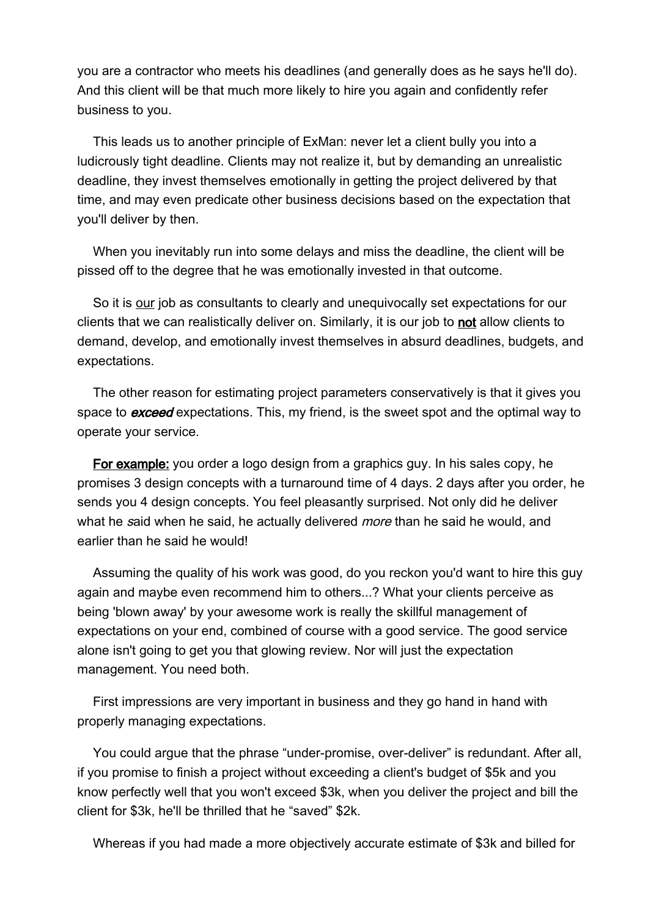you are a contractor who meets his deadlines (and generally does as he says he'll do). And this client will be that much more likely to hire you again and confidently refer business to you.

This leads us to another principle of ExMan: never let a client bully you into a ludicrously tight deadline. Clients may not realize it, but by demanding an unrealistic deadline, they invest themselves emotionally in getting the project delivered by that time, and may even predicate other business decisions based on the expectation that you'll deliver by then.

When you inevitably run into some delays and miss the deadline, the client will be pissed off to the degree that he was emotionally invested in that outcome.

So it is our job as consultants to clearly and unequivocally set expectations for our clients that we can realistically deliver on. Similarly, it is our job to not allow clients to demand, develop, and emotionally invest themselves in absurd deadlines, budgets, and expectations.

The other reason for estimating project parameters conservatively is that it gives you space to **exceed** expectations. This, my friend, is the sweet spot and the optimal way to operate your service.

For example: you order a logo design from a graphics guy. In his sales copy, he promises 3 design concepts with a turnaround time of 4 days. 2 days after you order, he sends you 4 design concepts. You feel pleasantly surprised. Not only did he deliver what he said when he said, he actually delivered *more* than he said he would, and earlier than he said he would!

Assuming the quality of his work was good, do you reckon you'd want to hire this guy again and maybe even recommend him to others...? What your clients perceive as being 'blown away' by your awesome work is really the skillful management of expectations on your end, combined of course with a good service. The good service alone isn't going to get you that glowing review. Nor will just the expectation management. You need both.

First impressions are very important in business and they go hand in hand with properly managing expectations.

You could argue that the phrase "under-promise, over-deliver" is redundant. After all, if you promise to finish a project without exceeding a client's budget of \$5k and you know perfectly well that you won't exceed \$3k, when you deliver the project and bill the client for \$3k, he'll be thrilled that he "saved" \$2k.

Whereas if you had made a more objectively accurate estimate of \$3k and billed for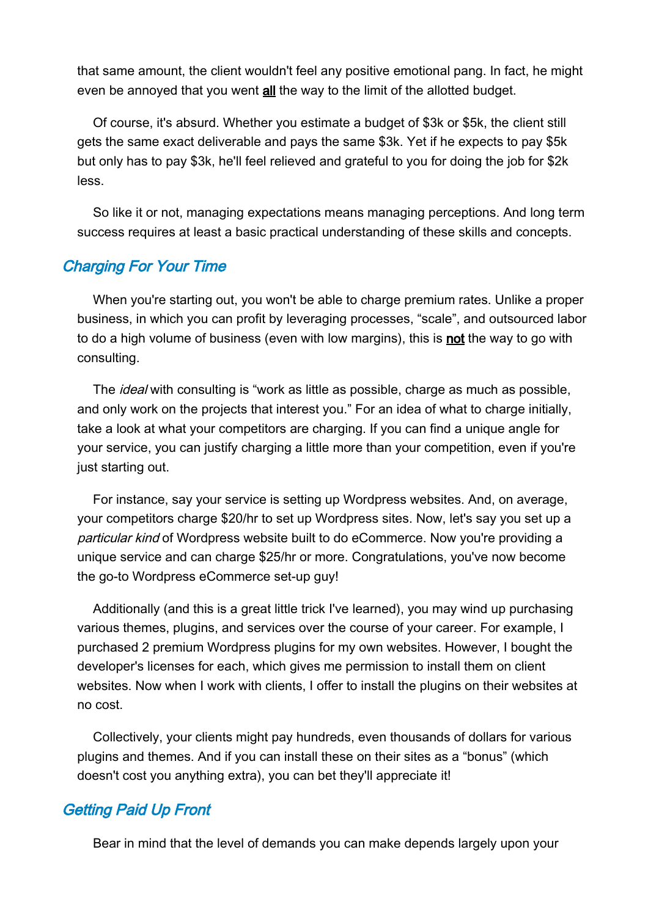that same amount, the client wouldn't feel any positive emotional pang. In fact, he might even be annoyed that you went all the way to the limit of the allotted budget.

Of course, it's absurd. Whether you estimate a budget of \$3k or \$5k, the client still gets the same exact deliverable and pays the same \$3k. Yet if he expects to pay \$5k but only has to pay \$3k, he'll feel relieved and grateful to you for doing the job for \$2k less.

So like it or not, managing expectations means managing perceptions. And long term success requires at least a basic practical understanding of these skills and concepts.

## Charging For Your Time

When you're starting out, you won't be able to charge premium rates. Unlike a proper business, in which you can profit by leveraging processes, "scale", and outsourced labor to do a high volume of business (even with low margins), this is not the way to go with consulting.

The *ideal* with consulting is "work as little as possible, charge as much as possible, and only work on the projects that interest you." For an idea of what to charge initially, take a look at what your competitors are charging. If you can find a unique angle for your service, you can justify charging a little more than your competition, even if you're just starting out.

For instance, say your service is setting up Wordpress websites. And, on average, your competitors charge \$20/hr to set up Wordpress sites. Now, let's say you set up a particular kind of Wordpress website built to do eCommerce. Now you're providing a unique service and can charge \$25/hr or more. Congratulations, you've now become the go-to Wordpress eCommerce set-up guy!

Additionally (and this is a great little trick I've learned), you may wind up purchasing various themes, plugins, and services over the course of your career. For example, I purchased 2 premium Wordpress plugins for my own websites. However, I bought the developer's licenses for each, which gives me permission to install them on client websites. Now when I work with clients, I offer to install the plugins on their websites at no cost.

Collectively, your clients might pay hundreds, even thousands of dollars for various plugins and themes. And if you can install these on their sites as a "bonus" (which doesn't cost you anything extra), you can bet they'll appreciate it!

## Getting Paid Up Front

Bear in mind that the level of demands you can make depends largely upon your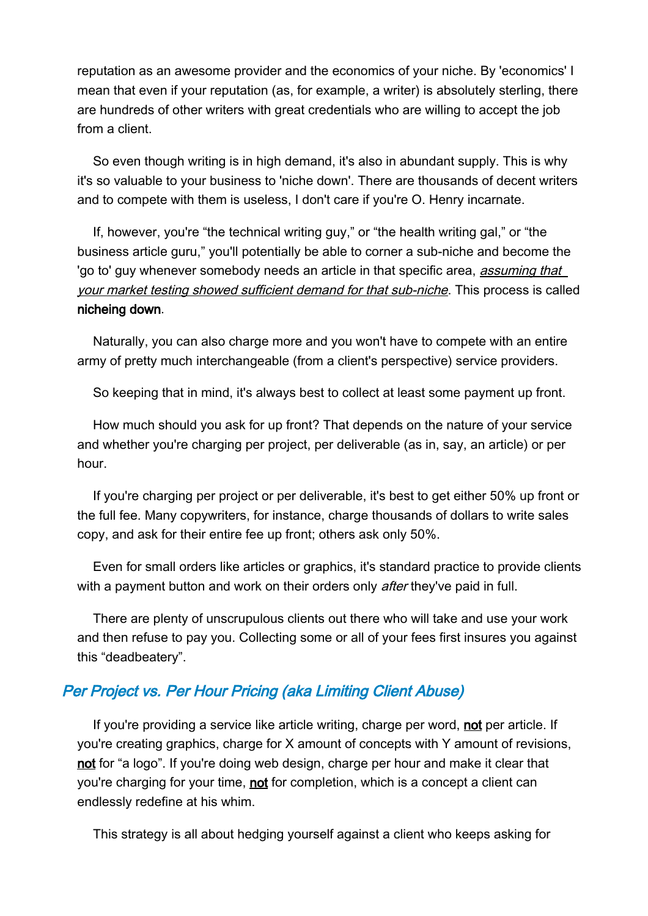reputation as an awesome provider and the economics of your niche. By 'economics' I mean that even if your reputation (as, for example, a writer) is absolutely sterling, there are hundreds of other writers with great credentials who are willing to accept the job from a client.

So even though writing is in high demand, it's also in abundant supply. This is why it's so valuable to your business to 'niche down'. There are thousands of decent writers and to compete with them is useless, I don't care if you're O. Henry incarnate.

If, however, you're "the technical writing guy," or "the health writing gal," or "the business article guru," you'll potentially be able to corner a sub-niche and become the 'go to' guy whenever somebody needs an article in that specific area, *assuming that* your market testing showed sufficient demand for that sub-niche. This process is called nicheing down.

Naturally, you can also charge more and you won't have to compete with an entire army of pretty much interchangeable (from a client's perspective) service providers.

So keeping that in mind, it's always best to collect at least some payment up front.

How much should you ask for up front? That depends on the nature of your service and whether you're charging per project, per deliverable (as in, say, an article) or per hour.

If you're charging per project or per deliverable, it's best to get either 50% up front or the full fee. Many copywriters, for instance, charge thousands of dollars to write sales copy, and ask for their entire fee up front; others ask only 50%.

Even for small orders like articles or graphics, it's standard practice to provide clients with a payment button and work on their orders only after they've paid in full.

There are plenty of unscrupulous clients out there who will take and use your work and then refuse to pay you. Collecting some or all of your fees first insures you against this "deadbeatery".

## Per Project vs. Per Hour Pricing (aka Limiting Client Abuse)

If you're providing a service like article writing, charge per word, not per article. If you're creating graphics, charge for X amount of concepts with Y amount of revisions, not for "a logo". If you're doing web design, charge per hour and make it clear that you're charging for your time, not for completion, which is a concept a client can endlessly redefine at his whim.

This strategy is all about hedging yourself against a client who keeps asking for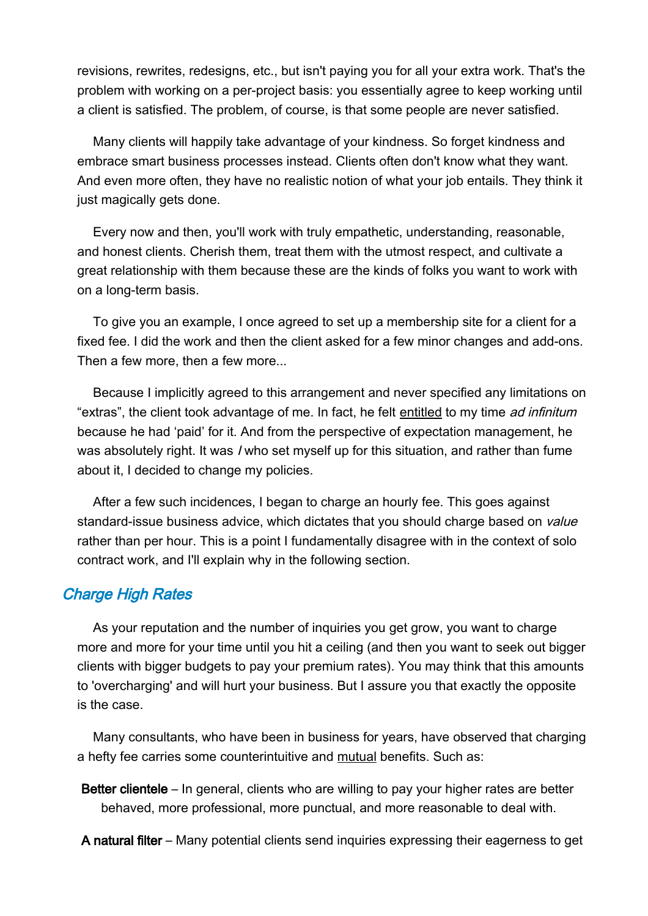revisions, rewrites, redesigns, etc., but isn't paying you for all your extra work. That's the problem with working on a per-project basis: you essentially agree to keep working until a client is satisfied. The problem, of course, is that some people are never satisfied.

Many clients will happily take advantage of your kindness. So forget kindness and embrace smart business processes instead. Clients often don't know what they want. And even more often, they have no realistic notion of what your job entails. They think it just magically gets done.

Every now and then, you'll work with truly empathetic, understanding, reasonable, and honest clients. Cherish them, treat them with the utmost respect, and cultivate a great relationship with them because these are the kinds of folks you want to work with on a long-term basis.

To give you an example, I once agreed to set up a membership site for a client for a fixed fee. I did the work and then the client asked for a few minor changes and add-ons. Then a few more, then a few more...

Because I implicitly agreed to this arrangement and never specified any limitations on "extras", the client took advantage of me. In fact, he felt entitled to my time ad infinitum because he had 'paid' for it. And from the perspective of expectation management, he was absolutely right. It was I who set myself up for this situation, and rather than fume about it, I decided to change my policies.

After a few such incidences, I began to charge an hourly fee. This goes against standard-issue business advice, which dictates that you should charge based on *value* rather than per hour. This is a point I fundamentally disagree with in the context of solo contract work, and I'll explain why in the following section.

## Charge High Rates

As your reputation and the number of inquiries you get grow, you want to charge more and more for your time until you hit a ceiling (and then you want to seek out bigger clients with bigger budgets to pay your premium rates). You may think that this amounts to 'overcharging' and will hurt your business. But I assure you that exactly the opposite is the case.

Many consultants, who have been in business for years, have observed that charging a hefty fee carries some counterintuitive and mutual benefits. Such as:

Better clientele – In general, clients who are willing to pay your higher rates are better behaved, more professional, more punctual, and more reasonable to deal with.

A natural filter – Many potential clients send inquiries expressing their eagerness to get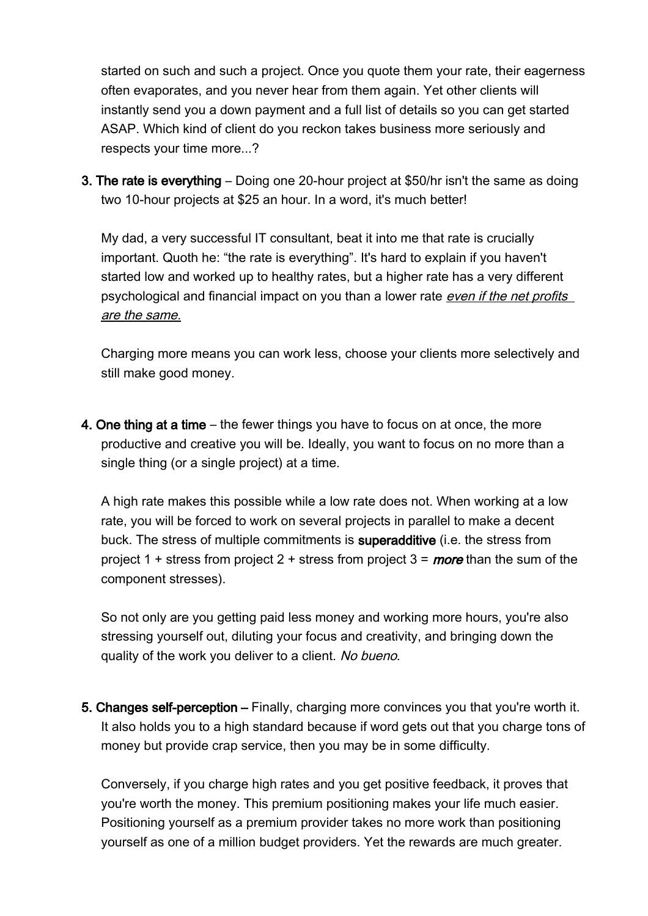started on such and such a project. Once you quote them your rate, their eagerness often evaporates, and you never hear from them again. Yet other clients will instantly send you a down payment and a full list of details so you can get started ASAP. Which kind of client do you reckon takes business more seriously and respects your time more...?

3. The rate is everything – Doing one 20-hour project at \$50/hr isn't the same as doing two 10-hour projects at \$25 an hour. In a word, it's much better!

My dad, a very successful IT consultant, beat it into me that rate is crucially important. Quoth he: "the rate is everything". It's hard to explain if you haven't started low and worked up to healthy rates, but a higher rate has a very different psychological and financial impact on you than a lower rate even if the net profits are the same.

Charging more means you can work less, choose your clients more selectively and still make good money.

4. One thing at a time – the fewer things you have to focus on at once, the more productive and creative you will be. Ideally, you want to focus on no more than a single thing (or a single project) at a time.

A high rate makes this possible while a low rate does not. When working at a low rate, you will be forced to work on several projects in parallel to make a decent buck. The stress of multiple commitments is superadditive (i.e. the stress from project 1 + stress from project 2 + stress from project  $3 =$  more than the sum of the component stresses).

So not only are you getting paid less money and working more hours, you're also stressing yourself out, diluting your focus and creativity, and bringing down the quality of the work you deliver to a client. No bueno.

5. Changes self-perception – Finally, charging more convinces you that you're worth it. It also holds you to a high standard because if word gets out that you charge tons of money but provide crap service, then you may be in some difficulty.

Conversely, if you charge high rates and you get positive feedback, it proves that you're worth the money. This premium positioning makes your life much easier. Positioning yourself as a premium provider takes no more work than positioning yourself as one of a million budget providers. Yet the rewards are much greater.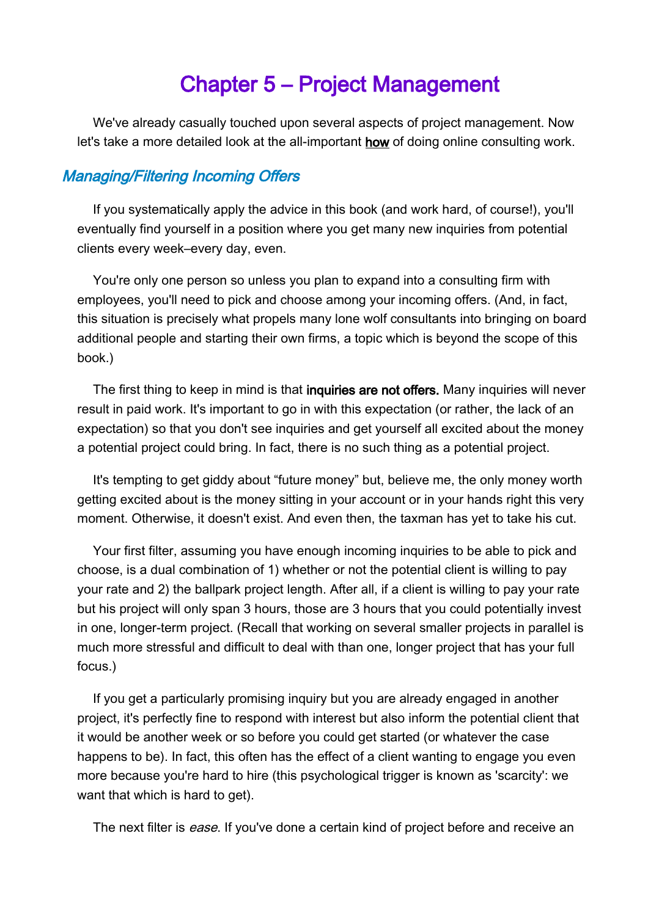# <span id="page-34-0"></span>Chapter 5 – Project Management

We've already casually touched upon several aspects of project management. Now let's take a more detailed look at the all-important how of doing online consulting work.

## Managing/Filtering Incoming Offers

If you systematically apply the advice in this book (and work hard, of course!), you'll eventually find yourself in a position where you get many new inquiries from potential clients every week–every day, even.

You're only one person so unless you plan to expand into a consulting firm with employees, you'll need to pick and choose among your incoming offers. (And, in fact, this situation is precisely what propels many lone wolf consultants into bringing on board additional people and starting their own firms, a topic which is beyond the scope of this book.)

The first thing to keep in mind is that **inquiries are not offers.** Many inquiries will never result in paid work. It's important to go in with this expectation (or rather, the lack of an expectation) so that you don't see inquiries and get yourself all excited about the money a potential project could bring. In fact, there is no such thing as a potential project.

It's tempting to get giddy about "future money" but, believe me, the only money worth getting excited about is the money sitting in your account or in your hands right this very moment. Otherwise, it doesn't exist. And even then, the taxman has yet to take his cut.

Your first filter, assuming you have enough incoming inquiries to be able to pick and choose, is a dual combination of 1) whether or not the potential client is willing to pay your rate and 2) the ballpark project length. After all, if a client is willing to pay your rate but his project will only span 3 hours, those are 3 hours that you could potentially invest in one, longer-term project. (Recall that working on several smaller projects in parallel is much more stressful and difficult to deal with than one, longer project that has your full focus.)

If you get a particularly promising inquiry but you are already engaged in another project, it's perfectly fine to respond with interest but also inform the potential client that it would be another week or so before you could get started (or whatever the case happens to be). In fact, this often has the effect of a client wanting to engage you even more because you're hard to hire (this psychological trigger is known as 'scarcity': we want that which is hard to get).

The next filter is *ease*. If you've done a certain kind of project before and receive an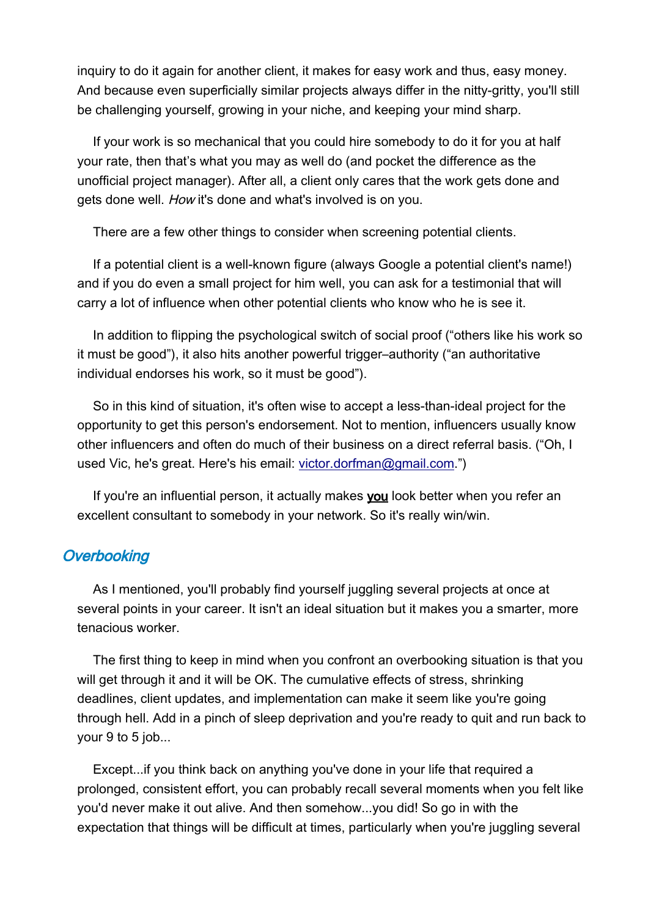inquiry to do it again for another client, it makes for easy work and thus, easy money. And because even superficially similar projects always differ in the nitty-gritty, you'll still be challenging yourself, growing in your niche, and keeping your mind sharp.

If your work is so mechanical that you could hire somebody to do it for you at half your rate, then that's what you may as well do (and pocket the difference as the unofficial project manager). After all, a client only cares that the work gets done and gets done well. How it's done and what's involved is on you.

There are a few other things to consider when screening potential clients.

If a potential client is a well-known figure (always Google a potential client's name!) and if you do even a small project for him well, you can ask for a testimonial that will carry a lot of influence when other potential clients who know who he is see it.

In addition to flipping the psychological switch of social proof ("others like his work so it must be good"), it also hits another powerful trigger–authority ("an authoritative individual endorses his work, so it must be good").

So in this kind of situation, it's often wise to accept a less-than-ideal project for the opportunity to get this person's endorsement. Not to mention, influencers usually know other influencers and often do much of their business on a direct referral basis. ("Oh, I used Vic, he's great. Here's his email: [victor.dorfman@gmail.com.](mailto:victor.dorfman@gmail.com)")

If you're an influential person, it actually makes you look better when you refer an excellent consultant to somebody in your network. So it's really win/win.

## **Overbooking**

As I mentioned, you'll probably find yourself juggling several projects at once at several points in your career. It isn't an ideal situation but it makes you a smarter, more tenacious worker.

The first thing to keep in mind when you confront an overbooking situation is that you will get through it and it will be OK. The cumulative effects of stress, shrinking deadlines, client updates, and implementation can make it seem like you're going through hell. Add in a pinch of sleep deprivation and you're ready to quit and run back to your 9 to 5 job...

Except...if you think back on anything you've done in your life that required a prolonged, consistent effort, you can probably recall several moments when you felt like you'd never make it out alive. And then somehow...you did! So go in with the expectation that things will be difficult at times, particularly when you're juggling several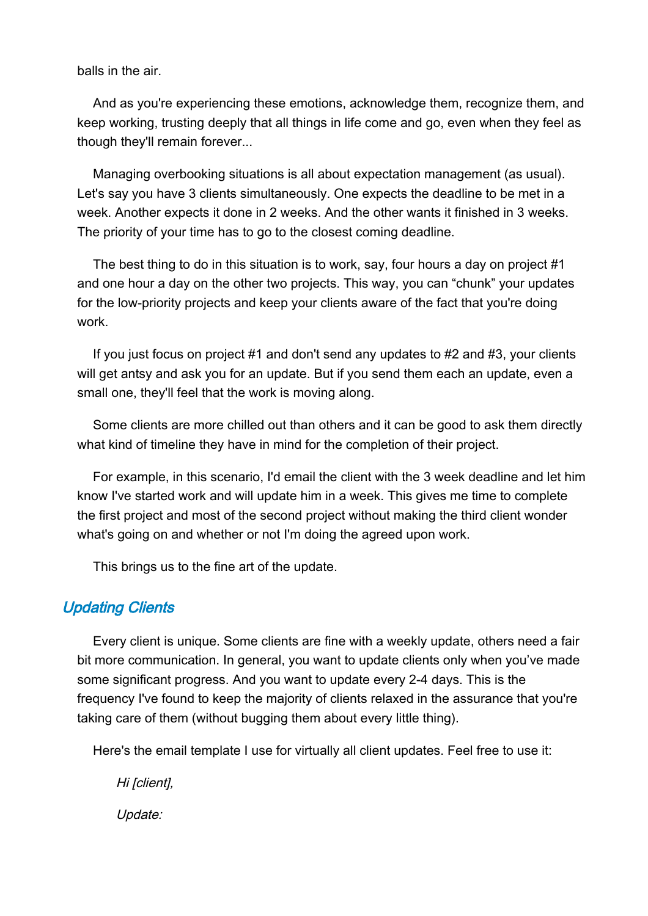balls in the air.

And as you're experiencing these emotions, acknowledge them, recognize them, and keep working, trusting deeply that all things in life come and go, even when they feel as though they'll remain forever...

Managing overbooking situations is all about expectation management (as usual). Let's say you have 3 clients simultaneously. One expects the deadline to be met in a week. Another expects it done in 2 weeks. And the other wants it finished in 3 weeks. The priority of your time has to go to the closest coming deadline.

The best thing to do in this situation is to work, say, four hours a day on project #1 and one hour a day on the other two projects. This way, you can "chunk" your updates for the low-priority projects and keep your clients aware of the fact that you're doing work.

If you just focus on project #1 and don't send any updates to #2 and #3, your clients will get antsy and ask you for an update. But if you send them each an update, even a small one, they'll feel that the work is moving along.

Some clients are more chilled out than others and it can be good to ask them directly what kind of timeline they have in mind for the completion of their project.

For example, in this scenario, I'd email the client with the 3 week deadline and let him know I've started work and will update him in a week. This gives me time to complete the first project and most of the second project without making the third client wonder what's going on and whether or not I'm doing the agreed upon work.

This brings us to the fine art of the update.

# **Updating Clients**

Every client is unique. Some clients are fine with a weekly update, others need a fair bit more communication. In general, you want to update clients only when you've made some significant progress. And you want to update every 2-4 days. This is the frequency I've found to keep the majority of clients relaxed in the assurance that you're taking care of them (without bugging them about every little thing).

Here's the email template I use for virtually all client updates. Feel free to use it:

Hi [client], Update: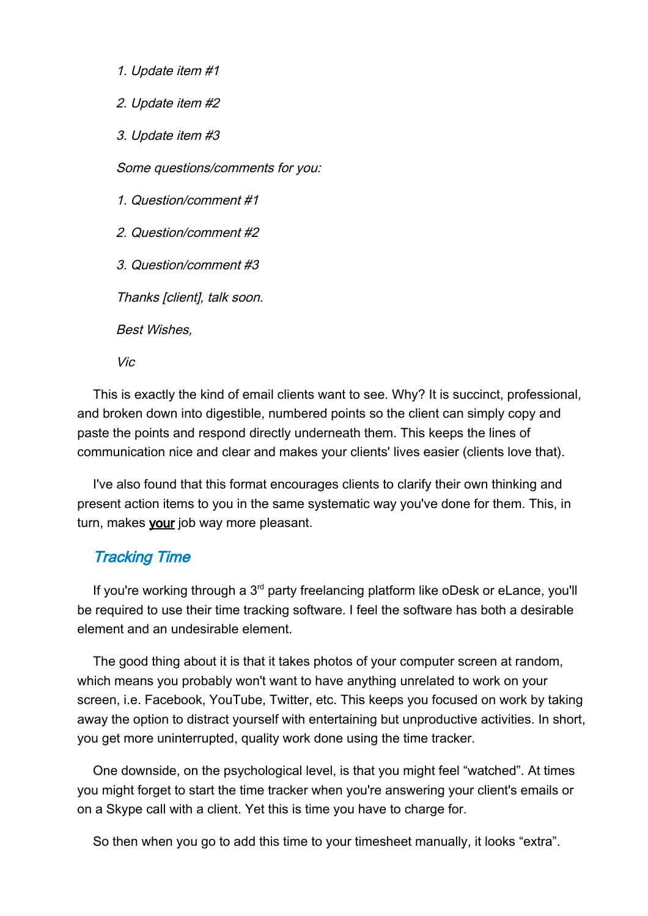1. Update item #1

2. Update item #2

3. Update item #3

Some questions/comments for you:

1. Question/comment #1

2. Question/comment #2

3. Question/comment #3

Thanks [client], talk soon.

Best Wishes,

Vic

This is exactly the kind of email clients want to see. Why? It is succinct, professional, and broken down into digestible, numbered points so the client can simply copy and paste the points and respond directly underneath them. This keeps the lines of communication nice and clear and makes your clients' lives easier (clients love that).

I've also found that this format encourages clients to clarify their own thinking and present action items to you in the same systematic way you've done for them. This, in turn, makes your job way more pleasant.

# Tracking Time

If you're working through a  $3<sup>rd</sup>$  party freelancing platform like oDesk or eLance, you'll be required to use their time tracking software. I feel the software has both a desirable element and an undesirable element.

The good thing about it is that it takes photos of your computer screen at random, which means you probably won't want to have anything unrelated to work on your screen, i.e. Facebook, YouTube, Twitter, etc. This keeps you focused on work by taking away the option to distract yourself with entertaining but unproductive activities. In short, you get more uninterrupted, quality work done using the time tracker.

One downside, on the psychological level, is that you might feel "watched". At times you might forget to start the time tracker when you're answering your client's emails or on a Skype call with a client. Yet this is time you have to charge for.

So then when you go to add this time to your timesheet manually, it looks "extra".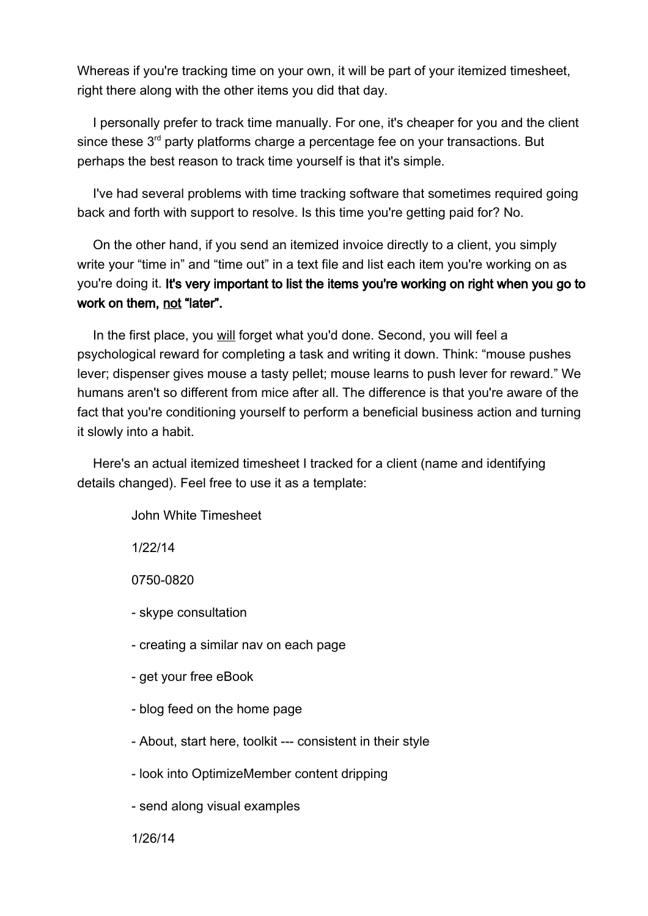Whereas if you're tracking time on your own, it will be part of your itemized timesheet, right there along with the other items you did that day.

I personally prefer to track time manually. For one, it's cheaper for you and the client since these  $3<sup>rd</sup>$  party platforms charge a percentage fee on your transactions. But perhaps the best reason to track time yourself is that it's simple.

I've had several problems with time tracking software that sometimes required going back and forth with support to resolve. Is this time you're getting paid for? No.

On the other hand, if you send an itemized invoice directly to a client, you simply write your "time in" and "time out" in a text file and list each item you're working on as you're doing it. It's very important to list the items you're working on right when you go to work on them, not "later".

In the first place, you will forget what you'd done. Second, you will feel a psychological reward for completing a task and writing it down. Think: "mouse pushes lever; dispenser gives mouse a tasty pellet; mouse learns to push lever for reward." We humans aren't so different from mice after all. The difference is that you're aware of the fact that you're conditioning yourself to perform a beneficial business action and turning it slowly into a habit.

Here's an actual itemized timesheet I tracked for a client (name and identifying details changed). Feel free to use it as a template:

John White Timesheet

1/22/14

0750-0820

- skype consultation

- creating a similar nav on each page

- get your free eBook

- blog feed on the home page

- About, start here, toolkit --- consistent in their style

- look into OptimizeMember content dripping

- send along visual examples

1/26/14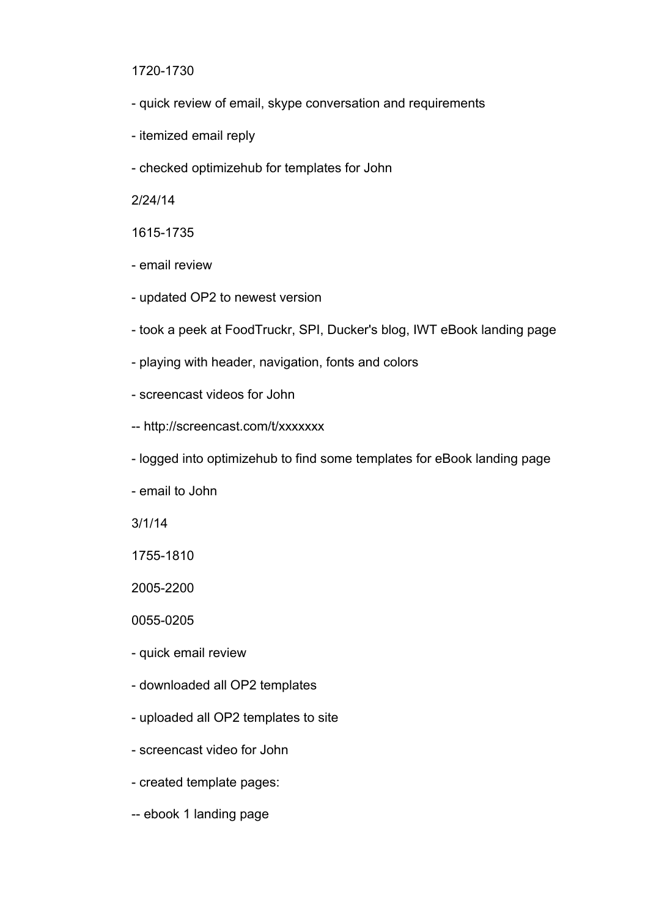1720-1730

- quick review of email, skype conversation and requirements
- itemized email reply
- checked optimizehub for templates for John

2/24/14

1615-1735

- email review
- updated OP2 to newest version
- took a peek at FoodTruckr, SPI, Ducker's blog, IWT eBook landing page
- playing with header, navigation, fonts and colors
- screencast videos for John
- -- http://screencast.com/t/xxxxxxx
- logged into optimizehub to find some templates for eBook landing page

- email to John

3/1/14

1755-1810

2005-2200

0055-0205

- quick email review
- downloaded all OP2 templates
- uploaded all OP2 templates to site
- screencast video for John
- created template pages:
- -- ebook 1 landing page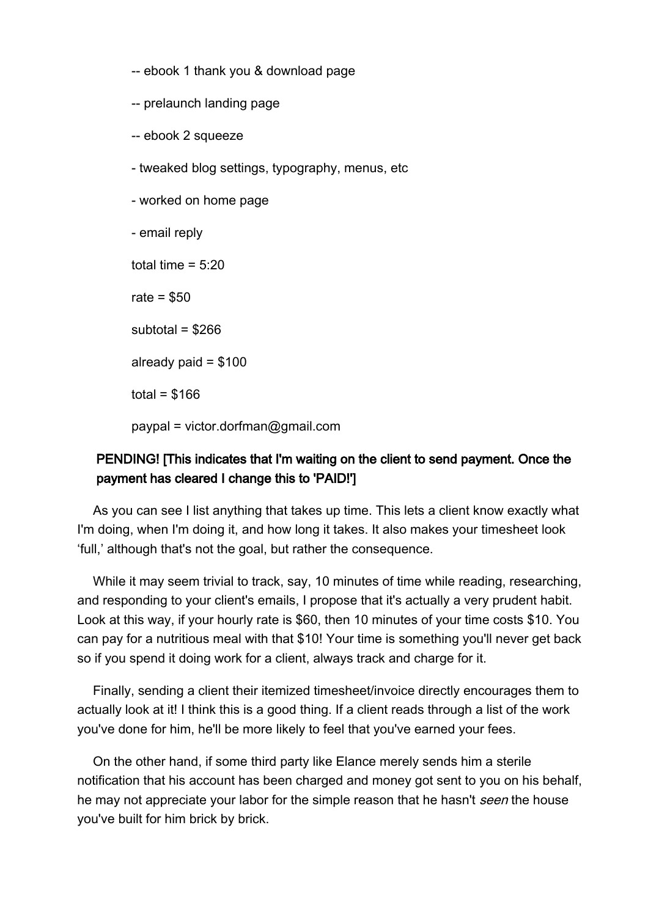-- ebook 1 thank you & download page

-- prelaunch landing page

- -- ebook 2 squeeze
- tweaked blog settings, typography, menus, etc

- worked on home page

- email reply

total time  $= 5:20$ 

rate  $= $50$ 

subtotal  $=$  \$266

already paid  $= $100$ 

total =  $$166$ 

paypal = victor.dorfman@gmail.com

# PENDING! [This indicates that I'm waiting on the client to send payment. Once the payment has cleared I change this to 'PAID!']

As you can see I list anything that takes up time. This lets a client know exactly what I'm doing, when I'm doing it, and how long it takes. It also makes your timesheet look 'full,' although that's not the goal, but rather the consequence.

While it may seem trivial to track, say, 10 minutes of time while reading, researching, and responding to your client's emails, I propose that it's actually a very prudent habit. Look at this way, if your hourly rate is \$60, then 10 minutes of your time costs \$10. You can pay for a nutritious meal with that \$10! Your time is something you'll never get back so if you spend it doing work for a client, always track and charge for it.

Finally, sending a client their itemized timesheet/invoice directly encourages them to actually look at it! I think this is a good thing. If a client reads through a list of the work you've done for him, he'll be more likely to feel that you've earned your fees.

On the other hand, if some third party like Elance merely sends him a sterile notification that his account has been charged and money got sent to you on his behalf, he may not appreciate your labor for the simple reason that he hasn't seen the house you've built for him brick by brick.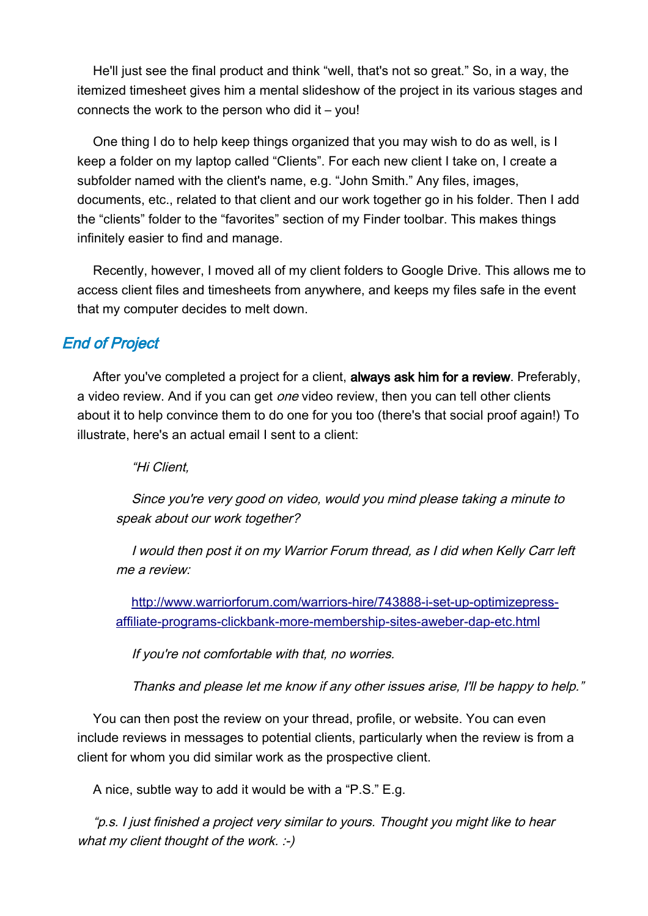He'll just see the final product and think "well, that's not so great." So, in a way, the itemized timesheet gives him a mental slideshow of the project in its various stages and connects the work to the person who did it – you!

One thing I do to help keep things organized that you may wish to do as well, is I keep a folder on my laptop called "Clients". For each new client I take on, I create a subfolder named with the client's name, e.g. "John Smith." Any files, images, documents, etc., related to that client and our work together go in his folder. Then I add the "clients" folder to the "favorites" section of my Finder toolbar. This makes things infinitely easier to find and manage.

Recently, however, I moved all of my client folders to Google Drive. This allows me to access client files and timesheets from anywhere, and keeps my files safe in the event that my computer decides to melt down.

# End of Project

After you've completed a project for a client, always ask him for a review. Preferably, a video review. And if you can get *one* video review, then you can tell other clients about it to help convince them to do one for you too (there's that social proof again!) To illustrate, here's an actual email I sent to a client:

"Hi Client,

Since you're very good on video, would you mind please taking a minute to speak about our work together?

I would then post it on my Warrior Forum thread, as I did when Kelly Carr left me a review:

[http://www.warriorforum.com/warriors-hire/743888-i-set-up-optimizepress](#page-41-0)[affiliate-programs-clickbank-more-membership-sites-aweber-dap-etc.html](#page-41-0)

<span id="page-41-0"></span>If you're not comfortable with that, no worries.

Thanks and please let me know if any other issues arise, I'll be happy to help."

You can then post the review on your thread, profile, or website. You can even include reviews in messages to potential clients, particularly when the review is from a client for whom you did similar work as the prospective client.

A nice, subtle way to add it would be with a "P.S." E.g.

"p.s. I just finished a project very similar to yours. Thought you might like to hear what my client thought of the work.  $\div$ )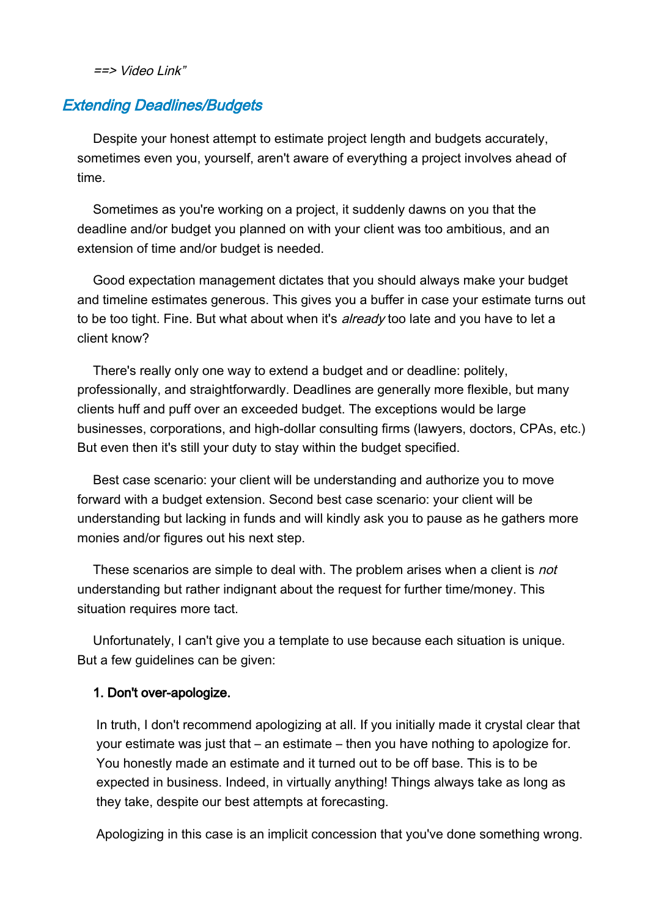$==$ > Video Link"

# Extending Deadlines/Budgets

Despite your honest attempt to estimate project length and budgets accurately, sometimes even you, yourself, aren't aware of everything a project involves ahead of time.

Sometimes as you're working on a project, it suddenly dawns on you that the deadline and/or budget you planned on with your client was too ambitious, and an extension of time and/or budget is needed.

Good expectation management dictates that you should always make your budget and timeline estimates generous. This gives you a buffer in case your estimate turns out to be too tight. Fine. But what about when it's *already* too late and you have to let a client know?

There's really only one way to extend a budget and or deadline: politely, professionally, and straightforwardly. Deadlines are generally more flexible, but many clients huff and puff over an exceeded budget. The exceptions would be large businesses, corporations, and high-dollar consulting firms (lawyers, doctors, CPAs, etc.) But even then it's still your duty to stay within the budget specified.

Best case scenario: your client will be understanding and authorize you to move forward with a budget extension. Second best case scenario: your client will be understanding but lacking in funds and will kindly ask you to pause as he gathers more monies and/or figures out his next step.

These scenarios are simple to deal with. The problem arises when a client is *not* understanding but rather indignant about the request for further time/money. This situation requires more tact.

Unfortunately, I can't give you a template to use because each situation is unique. But a few guidelines can be given:

#### 1. Don't over-apologize.

In truth, I don't recommend apologizing at all. If you initially made it crystal clear that your estimate was just that – an estimate – then you have nothing to apologize for. You honestly made an estimate and it turned out to be off base. This is to be expected in business. Indeed, in virtually anything! Things always take as long as they take, despite our best attempts at forecasting.

Apologizing in this case is an implicit concession that you've done something wrong.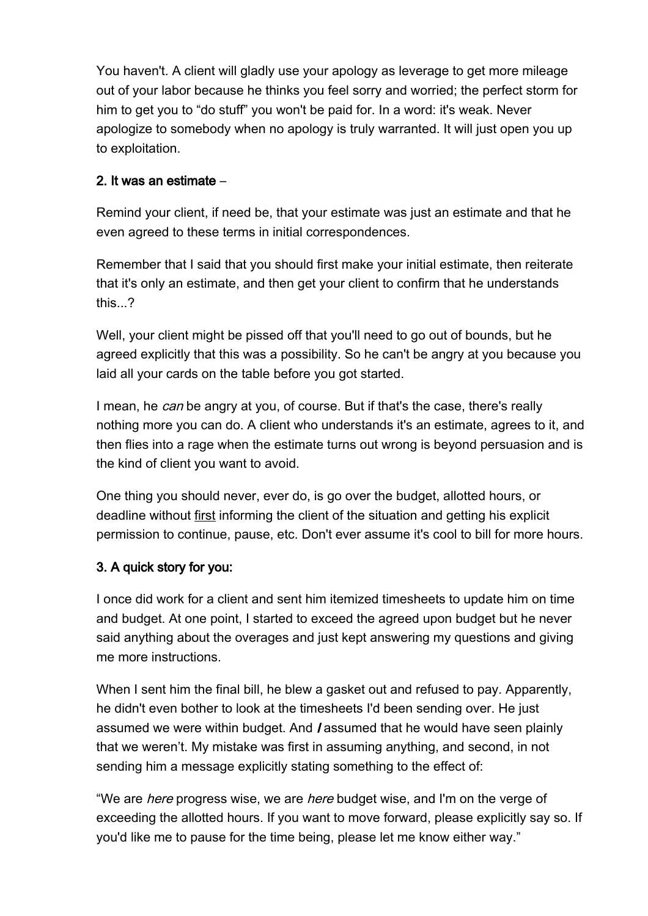You haven't. A client will gladly use your apology as leverage to get more mileage out of your labor because he thinks you feel sorry and worried; the perfect storm for him to get you to "do stuff" you won't be paid for. In a word: it's weak. Never apologize to somebody when no apology is truly warranted. It will just open you up to exploitation.

# 2. It was an estimate –

Remind your client, if need be, that your estimate was just an estimate and that he even agreed to these terms in initial correspondences.

Remember that I said that you should first make your initial estimate, then reiterate that it's only an estimate, and then get your client to confirm that he understands this...?

Well, your client might be pissed off that you'll need to go out of bounds, but he agreed explicitly that this was a possibility. So he can't be angry at you because you laid all your cards on the table before you got started.

I mean, he can be angry at you, of course. But if that's the case, there's really nothing more you can do. A client who understands it's an estimate, agrees to it, and then flies into a rage when the estimate turns out wrong is beyond persuasion and is the kind of client you want to avoid.

One thing you should never, ever do, is go over the budget, allotted hours, or deadline without first informing the client of the situation and getting his explicit permission to continue, pause, etc. Don't ever assume it's cool to bill for more hours.

# 3. A quick story for you:

I once did work for a client and sent him itemized timesheets to update him on time and budget. At one point, I started to exceed the agreed upon budget but he never said anything about the overages and just kept answering my questions and giving me more instructions.

When I sent him the final bill, he blew a gasket out and refused to pay. Apparently, he didn't even bother to look at the timesheets I'd been sending over. He just assumed we were within budget. And *I* assumed that he would have seen plainly that we weren't. My mistake was first in assuming anything, and second, in not sending him a message explicitly stating something to the effect of:

"We are *here* progress wise, we are *here* budget wise, and I'm on the verge of exceeding the allotted hours. If you want to move forward, please explicitly say so. If you'd like me to pause for the time being, please let me know either way."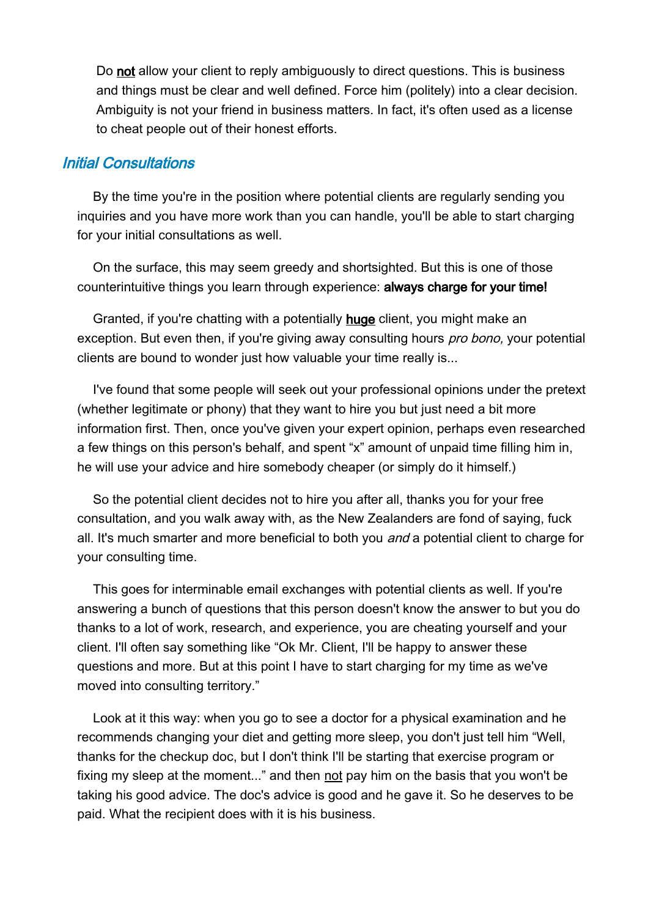Do not allow your client to reply ambiguously to direct questions. This is business and things must be clear and well defined. Force him (politely) into a clear decision. Ambiguity is not your friend in business matters. In fact, it's often used as a license to cheat people out of their honest efforts.

#### Initial Consultations

By the time you're in the position where potential clients are regularly sending you inquiries and you have more work than you can handle, you'll be able to start charging for your initial consultations as well.

On the surface, this may seem greedy and shortsighted. But this is one of those counterintuitive things you learn through experience: always charge for your time!

Granted, if you're chatting with a potentially huge client, you might make an exception. But even then, if you're giving away consulting hours *pro bono*, your potential clients are bound to wonder just how valuable your time really is...

I've found that some people will seek out your professional opinions under the pretext (whether legitimate or phony) that they want to hire you but just need a bit more information first. Then, once you've given your expert opinion, perhaps even researched a few things on this person's behalf, and spent "x" amount of unpaid time filling him in, he will use your advice and hire somebody cheaper (or simply do it himself.)

So the potential client decides not to hire you after all, thanks you for your free consultation, and you walk away with, as the New Zealanders are fond of saying, fuck all. It's much smarter and more beneficial to both you and a potential client to charge for your consulting time.

This goes for interminable email exchanges with potential clients as well. If you're answering a bunch of questions that this person doesn't know the answer to but you do thanks to a lot of work, research, and experience, you are cheating yourself and your client. I'll often say something like "Ok Mr. Client, I'll be happy to answer these questions and more. But at this point I have to start charging for my time as we've moved into consulting territory."

Look at it this way: when you go to see a doctor for a physical examination and he recommends changing your diet and getting more sleep, you don't just tell him "Well, thanks for the checkup doc, but I don't think I'll be starting that exercise program or fixing my sleep at the moment..." and then not pay him on the basis that you won't be taking his good advice. The doc's advice is good and he gave it. So he deserves to be paid. What the recipient does with it is his business.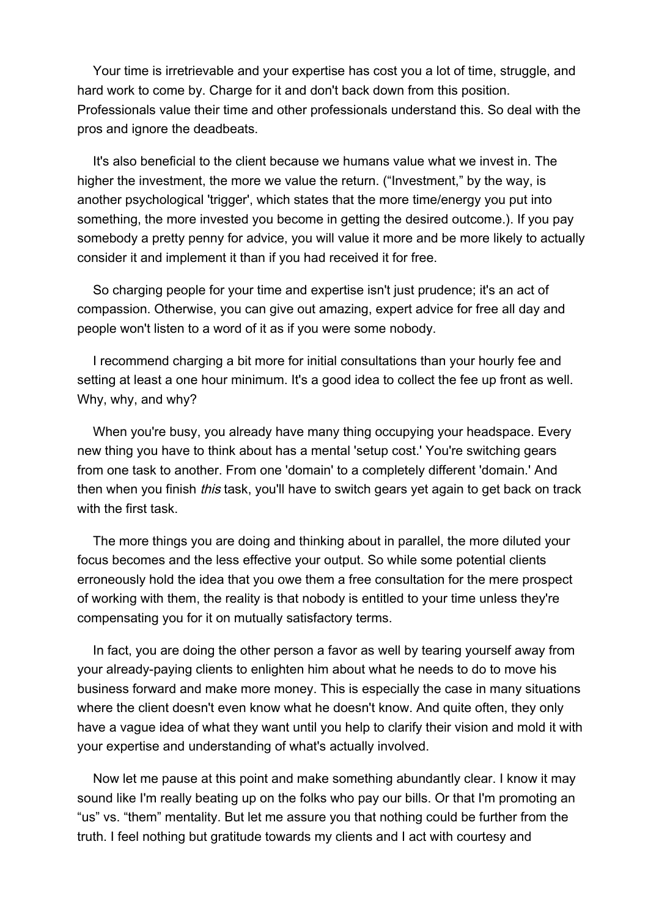Your time is irretrievable and your expertise has cost you a lot of time, struggle, and hard work to come by. Charge for it and don't back down from this position. Professionals value their time and other professionals understand this. So deal with the pros and ignore the deadbeats.

It's also beneficial to the client because we humans value what we invest in. The higher the investment, the more we value the return. ("Investment," by the way, is another psychological 'trigger', which states that the more time/energy you put into something, the more invested you become in getting the desired outcome.). If you pay somebody a pretty penny for advice, you will value it more and be more likely to actually consider it and implement it than if you had received it for free.

So charging people for your time and expertise isn't just prudence; it's an act of compassion. Otherwise, you can give out amazing, expert advice for free all day and people won't listen to a word of it as if you were some nobody.

I recommend charging a bit more for initial consultations than your hourly fee and setting at least a one hour minimum. It's a good idea to collect the fee up front as well. Why, why, and why?

When you're busy, you already have many thing occupying your headspace. Every new thing you have to think about has a mental 'setup cost.' You're switching gears from one task to another. From one 'domain' to a completely different 'domain.' And then when you finish *this* task, you'll have to switch gears yet again to get back on track with the first task.

The more things you are doing and thinking about in parallel, the more diluted your focus becomes and the less effective your output. So while some potential clients erroneously hold the idea that you owe them a free consultation for the mere prospect of working with them, the reality is that nobody is entitled to your time unless they're compensating you for it on mutually satisfactory terms.

In fact, you are doing the other person a favor as well by tearing yourself away from your already-paying clients to enlighten him about what he needs to do to move his business forward and make more money. This is especially the case in many situations where the client doesn't even know what he doesn't know. And quite often, they only have a vague idea of what they want until you help to clarify their vision and mold it with your expertise and understanding of what's actually involved.

Now let me pause at this point and make something abundantly clear. I know it may sound like I'm really beating up on the folks who pay our bills. Or that I'm promoting an "us" vs. "them" mentality. But let me assure you that nothing could be further from the truth. I feel nothing but gratitude towards my clients and I act with courtesy and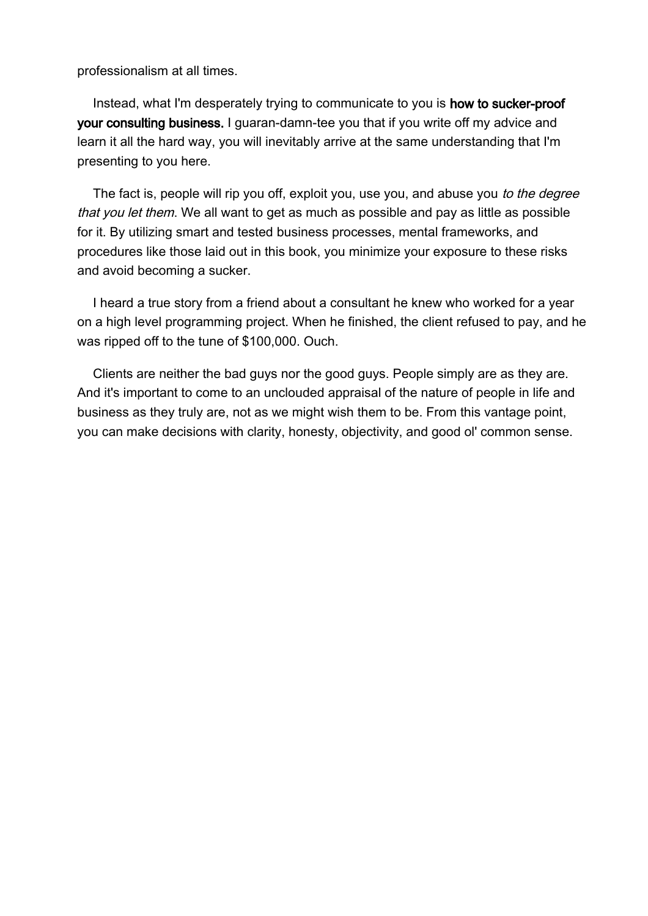professionalism at all times.

Instead, what I'm desperately trying to communicate to you is how to sucker-proof your consulting business. I guaran-damn-tee you that if you write off my advice and learn it all the hard way, you will inevitably arrive at the same understanding that I'm presenting to you here.

The fact is, people will rip you off, exploit you, use you, and abuse you to the degree that you let them. We all want to get as much as possible and pay as little as possible for it. By utilizing smart and tested business processes, mental frameworks, and procedures like those laid out in this book, you minimize your exposure to these risks and avoid becoming a sucker.

I heard a true story from a friend about a consultant he knew who worked for a year on a high level programming project. When he finished, the client refused to pay, and he was ripped off to the tune of \$100,000. Ouch.

Clients are neither the bad guys nor the good guys. People simply are as they are. And it's important to come to an unclouded appraisal of the nature of people in life and business as they truly are, not as we might wish them to be. From this vantage point, you can make decisions with clarity, honesty, objectivity, and good ol' common sense.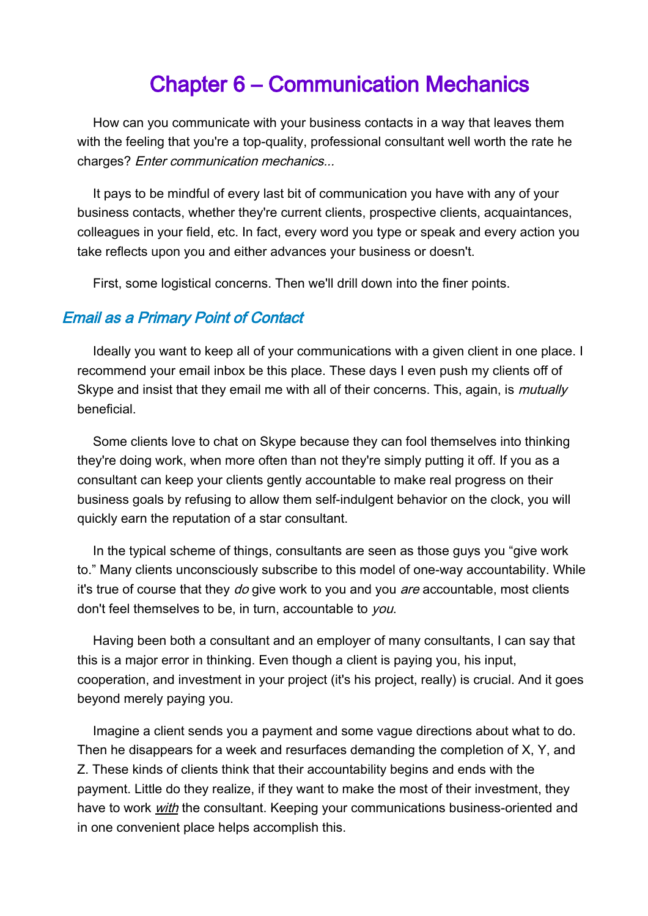# Chapter 6 – Communication Mechanics

How can you communicate with your business contacts in a way that leaves them with the feeling that you're a top-quality, professional consultant well worth the rate he charges? Enter communication mechanics...

It pays to be mindful of every last bit of communication you have with any of your business contacts, whether they're current clients, prospective clients, acquaintances, colleagues in your field, etc. In fact, every word you type or speak and every action you take reflects upon you and either advances your business or doesn't.

First, some logistical concerns. Then we'll drill down into the finer points.

#### Email as a Primary Point of Contact

Ideally you want to keep all of your communications with a given client in one place. I recommend your email inbox be this place. These days I even push my clients off of Skype and insist that they email me with all of their concerns. This, again, is *mutually* beneficial.

Some clients love to chat on Skype because they can fool themselves into thinking they're doing work, when more often than not they're simply putting it off. If you as a consultant can keep your clients gently accountable to make real progress on their business goals by refusing to allow them self-indulgent behavior on the clock, you will quickly earn the reputation of a star consultant.

In the typical scheme of things, consultants are seen as those guys you "give work to." Many clients unconsciously subscribe to this model of one-way accountability. While it's true of course that they do give work to you and you are accountable, most clients don't feel themselves to be, in turn, accountable to you.

Having been both a consultant and an employer of many consultants, I can say that this is a major error in thinking. Even though a client is paying you, his input, cooperation, and investment in your project (it's his project, really) is crucial. And it goes beyond merely paying you.

Imagine a client sends you a payment and some vague directions about what to do. Then he disappears for a week and resurfaces demanding the completion of X, Y, and Z. These kinds of clients think that their accountability begins and ends with the payment. Little do they realize, if they want to make the most of their investment, they have to work with the consultant. Keeping your communications business-oriented and in one convenient place helps accomplish this.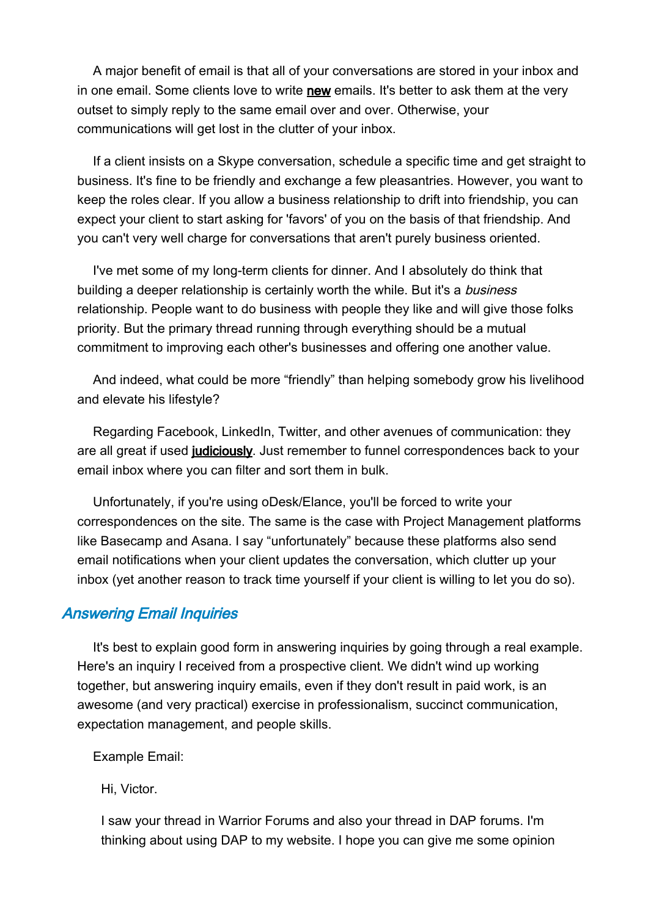A major benefit of email is that all of your conversations are stored in your inbox and in one email. Some clients love to write new emails. It's better to ask them at the very outset to simply reply to the same email over and over. Otherwise, your communications will get lost in the clutter of your inbox.

If a client insists on a Skype conversation, schedule a specific time and get straight to business. It's fine to be friendly and exchange a few pleasantries. However, you want to keep the roles clear. If you allow a business relationship to drift into friendship, you can expect your client to start asking for 'favors' of you on the basis of that friendship. And you can't very well charge for conversations that aren't purely business oriented.

I've met some of my long-term clients for dinner. And I absolutely do think that building a deeper relationship is certainly worth the while. But it's a business relationship. People want to do business with people they like and will give those folks priority. But the primary thread running through everything should be a mutual commitment to improving each other's businesses and offering one another value.

And indeed, what could be more "friendly" than helping somebody grow his livelihood and elevate his lifestyle?

Regarding Facebook, LinkedIn, Twitter, and other avenues of communication: they are all great if used judiciously. Just remember to funnel correspondences back to your email inbox where you can filter and sort them in bulk.

Unfortunately, if you're using oDesk/Elance, you'll be forced to write your correspondences on the site. The same is the case with Project Management platforms like Basecamp and Asana. I say "unfortunately" because these platforms also send email notifications when your client updates the conversation, which clutter up your inbox (yet another reason to track time yourself if your client is willing to let you do so).

## Answering Email Inquiries

It's best to explain good form in answering inquiries by going through a real example. Here's an inquiry I received from a prospective client. We didn't wind up working together, but answering inquiry emails, even if they don't result in paid work, is an awesome (and very practical) exercise in professionalism, succinct communication, expectation management, and people skills.

Example Email:

Hi, Victor.

I saw your thread in Warrior Forums and also your thread in DAP forums. I'm thinking about using DAP to my website. I hope you can give me some opinion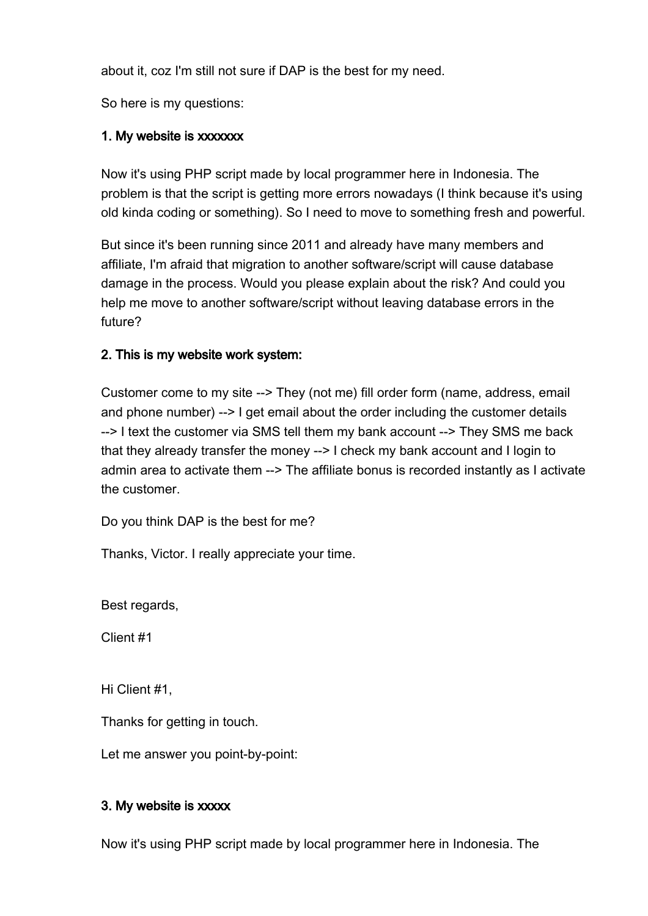about it, coz I'm still not sure if DAP is the best for my need.

So here is my questions:

# 1. My website is xxxxxxx

Now it's using PHP script made by local programmer here in Indonesia. The problem is that the script is getting more errors nowadays (I think because it's using old kinda coding or something). So I need to move to something fresh and powerful.

But since it's been running since 2011 and already have many members and affiliate, I'm afraid that migration to another software/script will cause database damage in the process. Would you please explain about the risk? And could you help me move to another software/script without leaving database errors in the future?

# 2. This is my website work system:

Customer come to my site --> They (not me) fill order form (name, address, email and phone number) --> I get email about the order including the customer details --> I text the customer via SMS tell them my bank account --> They SMS me back that they already transfer the money --> I check my bank account and I login to admin area to activate them --> The affiliate bonus is recorded instantly as I activate the customer.

Do you think DAP is the best for me?

Thanks, Victor. I really appreciate your time.

Best regards,

Client #1

Hi Client #1,

Thanks for getting in touch.

Let me answer you point-by-point:

## 3. My website is xxxxx

Now it's using PHP script made by local programmer here in Indonesia. The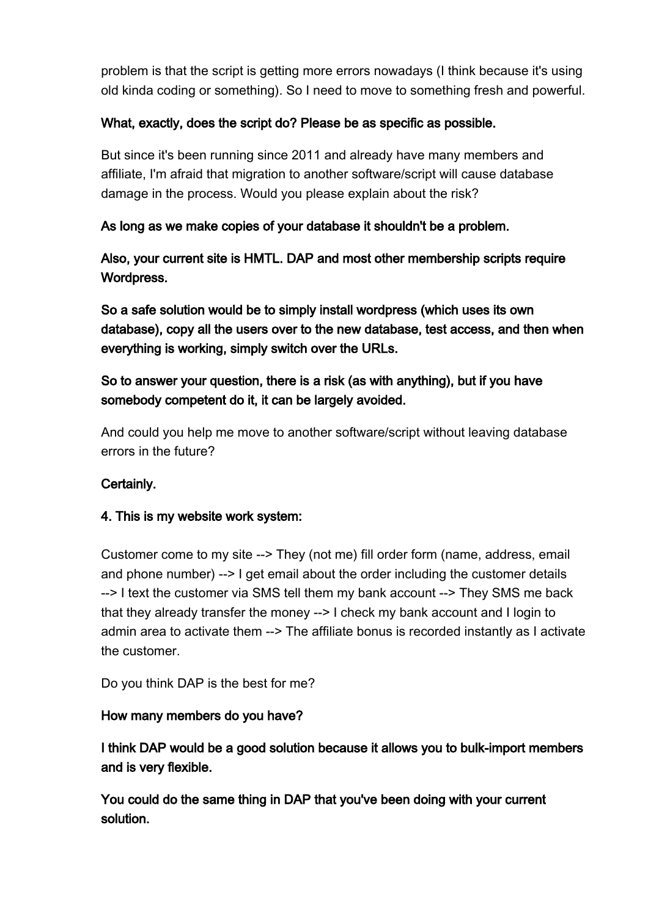problem is that the script is getting more errors nowadays (I think because it's using old kinda coding or something). So I need to move to something fresh and powerful.

# What, exactly, does the script do? Please be as specific as possible.

But since it's been running since 2011 and already have many members and affiliate, I'm afraid that migration to another software/script will cause database damage in the process. Would you please explain about the risk?

## As long as we make copies of your database it shouldn't be a problem.

Also, your current site is HMTL. DAP and most other membership scripts require Wordpress.

So a safe solution would be to simply install wordpress (which uses its own database), copy all the users over to the new database, test access, and then when everything is working, simply switch over the URLs.

# So to answer your question, there is a risk (as with anything), but if you have somebody competent do it, it can be largely avoided.

And could you help me move to another software/script without leaving database errors in the future?

## Certainly.

## 4. This is my website work system:

Customer come to my site --> They (not me) fill order form (name, address, email and phone number) --> I get email about the order including the customer details --> I text the customer via SMS tell them my bank account --> They SMS me back that they already transfer the money --> I check my bank account and I login to admin area to activate them --> The affiliate bonus is recorded instantly as I activate the customer.

Do you think DAP is the best for me?

## How many members do you have?

I think DAP would be a good solution because it allows you to bulk-import members and is very flexible.

You could do the same thing in DAP that you've been doing with your current solution.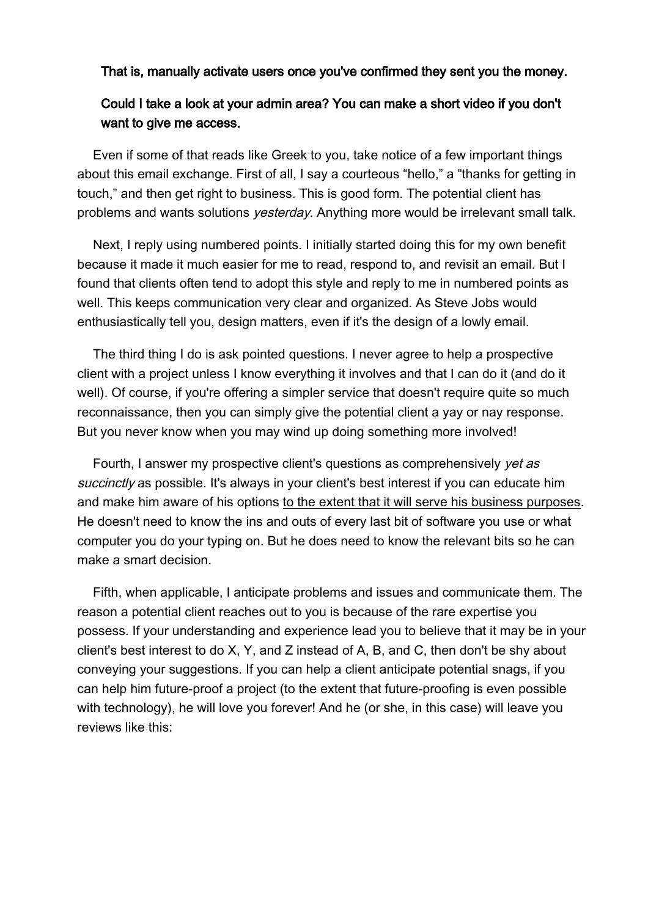#### That is, manually activate users once you've confirmed they sent you the money.

# Could I take a look at your admin area? You can make a short video if you don't want to give me access.

Even if some of that reads like Greek to you, take notice of a few important things about this email exchange. First of all, I say a courteous "hello," a "thanks for getting in touch," and then get right to business. This is good form. The potential client has problems and wants solutions *yesterday*. Anything more would be irrelevant small talk.

Next, I reply using numbered points. I initially started doing this for my own benefit because it made it much easier for me to read, respond to, and revisit an email. But I found that clients often tend to adopt this style and reply to me in numbered points as well. This keeps communication very clear and organized. As Steve Jobs would enthusiastically tell you, design matters, even if it's the design of a lowly email.

The third thing I do is ask pointed questions. I never agree to help a prospective client with a project unless I know everything it involves and that I can do it (and do it well). Of course, if you're offering a simpler service that doesn't require quite so much reconnaissance, then you can simply give the potential client a yay or nay response. But you never know when you may wind up doing something more involved!

Fourth, I answer my prospective client's questions as comprehensively yet as succinctly as possible. It's always in your client's best interest if you can educate him and make him aware of his options to the extent that it will serve his business purposes. He doesn't need to know the ins and outs of every last bit of software you use or what computer you do your typing on. But he does need to know the relevant bits so he can make a smart decision.

Fifth, when applicable, I anticipate problems and issues and communicate them. The reason a potential client reaches out to you is because of the rare expertise you possess. If your understanding and experience lead you to believe that it may be in your client's best interest to do X, Y, and Z instead of A, B, and C, then don't be shy about conveying your suggestions. If you can help a client anticipate potential snags, if you can help him future-proof a project (to the extent that future-proofing is even possible with technology), he will love you forever! And he (or she, in this case) will leave you reviews like this: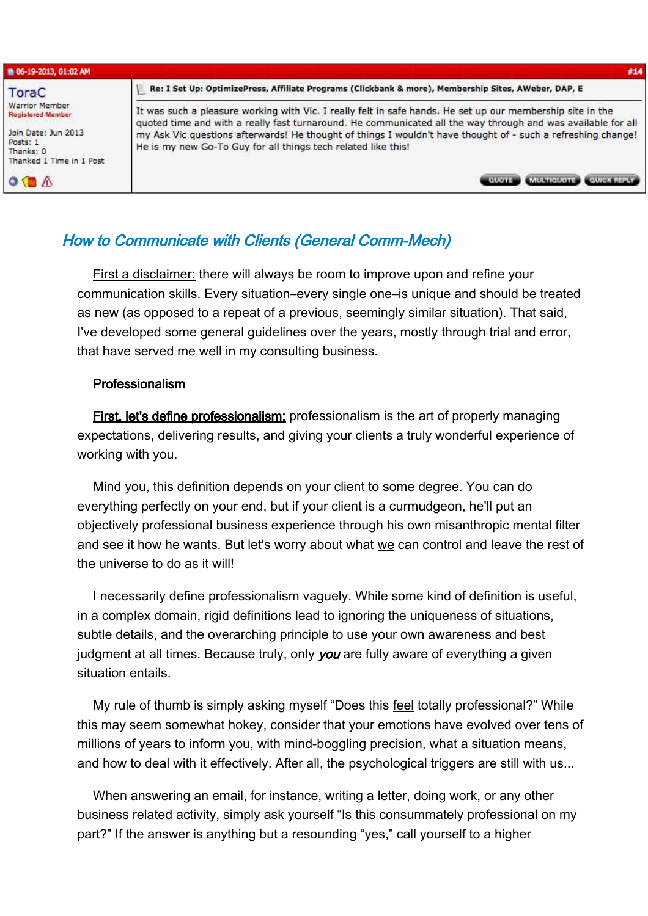| ■ 06-19-2013, 01:02 AM                                                                                                 | #14                                                                                                                                                                                                                                                                                                                                                                                                         |
|------------------------------------------------------------------------------------------------------------------------|-------------------------------------------------------------------------------------------------------------------------------------------------------------------------------------------------------------------------------------------------------------------------------------------------------------------------------------------------------------------------------------------------------------|
| ToraC                                                                                                                  | Re: I Set Up: OptimizePress, Affiliate Programs (Clickbank & more), Membership Sites, AWeber, DAP, E                                                                                                                                                                                                                                                                                                        |
| Warrior Member<br><b>Registered Member</b><br>Join Date: Jun 2013<br>Posts: 1<br>Thanks: 0<br>Thanked 1 Time in 1 Post | It was such a pleasure working with Vic. I really felt in safe hands. He set up our membership site in the<br>quoted time and with a really fast turnaround. He communicated all the way through and was available for all<br>my Ask Vic questions afterwards! He thought of things I wouldn't have thought of - such a refreshing change!<br>He is my new Go-To Guy for all things tech related like this! |
| $\bullet$ ( $\Lambda$                                                                                                  | MULTIQUOTE COUICK REPLY                                                                                                                                                                                                                                                                                                                                                                                     |

# How to Communicate with Clients (General Comm-Mech)

First a disclaimer: there will always be room to improve upon and refine your communication skills. Every situation–every single one–is unique and should be treated as new (as opposed to a repeat of a previous, seemingly similar situation). That said, I've developed some general guidelines over the years, mostly through trial and error, that have served me well in my consulting business.

#### Professionalism

First, let's define professionalism: professionalism is the art of properly managing expectations, delivering results, and giving your clients a truly wonderful experience of working with you.

Mind you, this definition depends on your client to some degree. You can do everything perfectly on your end, but if your client is a curmudgeon, he'll put an objectively professional business experience through his own misanthropic mental filter and see it how he wants. But let's worry about what we can control and leave the rest of the universe to do as it will!

I necessarily define professionalism vaguely. While some kind of definition is useful, in a complex domain, rigid definitions lead to ignoring the uniqueness of situations, subtle details, and the overarching principle to use your own awareness and best judgment at all times. Because truly, only you are fully aware of everything a given situation entails.

My rule of thumb is simply asking myself "Does this feel totally professional?" While this may seem somewhat hokey, consider that your emotions have evolved over tens of millions of years to inform you, with mind-boggling precision, what a situation means, and how to deal with it effectively. After all, the psychological triggers are still with us...

When answering an email, for instance, writing a letter, doing work, or any other business related activity, simply ask yourself "Is this consummately professional on my part?" If the answer is anything but a resounding "yes," call yourself to a higher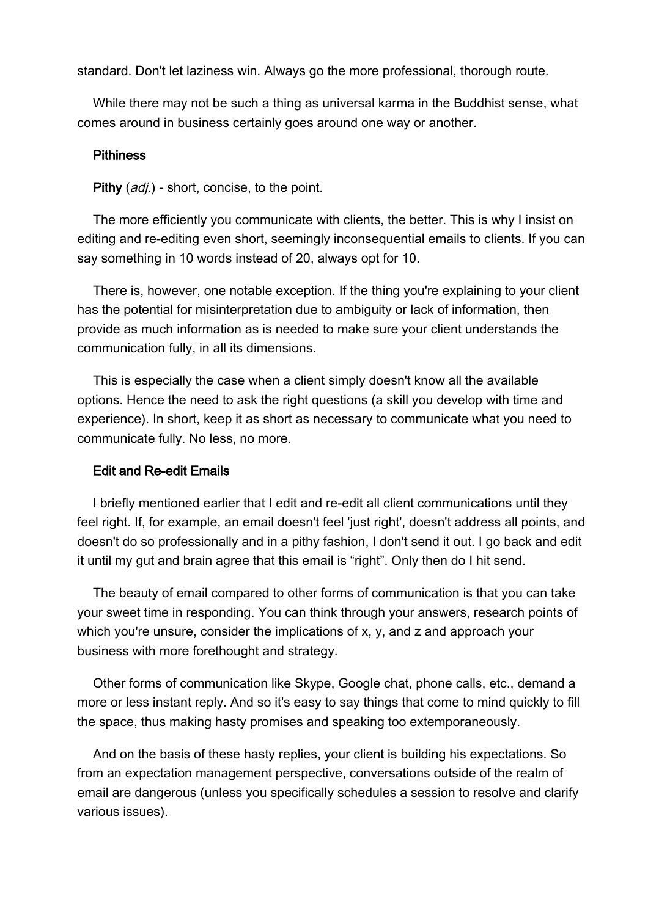standard. Don't let laziness win. Always go the more professional, thorough route.

While there may not be such a thing as universal karma in the Buddhist sense, what comes around in business certainly goes around one way or another.

#### **Pithiness**

Pithy (*adj.*) - short, concise, to the point.

The more efficiently you communicate with clients, the better. This is why I insist on editing and re-editing even short, seemingly inconsequential emails to clients. If you can say something in 10 words instead of 20, always opt for 10.

There is, however, one notable exception. If the thing you're explaining to your client has the potential for misinterpretation due to ambiguity or lack of information, then provide as much information as is needed to make sure your client understands the communication fully, in all its dimensions.

This is especially the case when a client simply doesn't know all the available options. Hence the need to ask the right questions (a skill you develop with time and experience). In short, keep it as short as necessary to communicate what you need to communicate fully. No less, no more.

#### Edit and Re-edit Emails

I briefly mentioned earlier that I edit and re-edit all client communications until they feel right. If, for example, an email doesn't feel 'just right', doesn't address all points, and doesn't do so professionally and in a pithy fashion, I don't send it out. I go back and edit it until my gut and brain agree that this email is "right". Only then do I hit send.

The beauty of email compared to other forms of communication is that you can take your sweet time in responding. You can think through your answers, research points of which you're unsure, consider the implications of  $x, y$ , and z and approach your business with more forethought and strategy.

Other forms of communication like Skype, Google chat, phone calls, etc., demand a more or less instant reply. And so it's easy to say things that come to mind quickly to fill the space, thus making hasty promises and speaking too extemporaneously.

And on the basis of these hasty replies, your client is building his expectations. So from an expectation management perspective, conversations outside of the realm of email are dangerous (unless you specifically schedules a session to resolve and clarify various issues).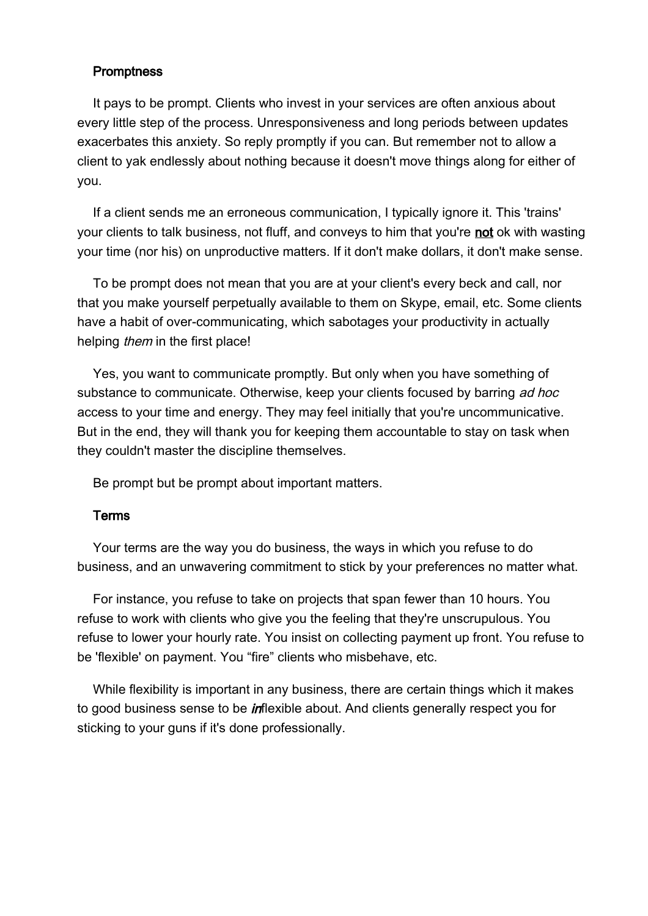#### **Promptness**

It pays to be prompt. Clients who invest in your services are often anxious about every little step of the process. Unresponsiveness and long periods between updates exacerbates this anxiety. So reply promptly if you can. But remember not to allow a client to yak endlessly about nothing because it doesn't move things along for either of you.

If a client sends me an erroneous communication, I typically ignore it. This 'trains' your clients to talk business, not fluff, and conveys to him that you're not ok with wasting your time (nor his) on unproductive matters. If it don't make dollars, it don't make sense.

To be prompt does not mean that you are at your client's every beck and call, nor that you make yourself perpetually available to them on Skype, email, etc. Some clients have a habit of over-communicating, which sabotages your productivity in actually helping *them* in the first place!

Yes, you want to communicate promptly. But only when you have something of substance to communicate. Otherwise, keep your clients focused by barring ad hoc access to your time and energy. They may feel initially that you're uncommunicative. But in the end, they will thank you for keeping them accountable to stay on task when they couldn't master the discipline themselves.

Be prompt but be prompt about important matters.

## Terms

Your terms are the way you do business, the ways in which you refuse to do business, and an unwavering commitment to stick by your preferences no matter what.

For instance, you refuse to take on projects that span fewer than 10 hours. You refuse to work with clients who give you the feeling that they're unscrupulous. You refuse to lower your hourly rate. You insist on collecting payment up front. You refuse to be 'flexible' on payment. You "fire" clients who misbehave, etc.

While flexibility is important in any business, there are certain things which it makes to good business sense to be *in*flexible about. And clients generally respect you for sticking to your guns if it's done professionally.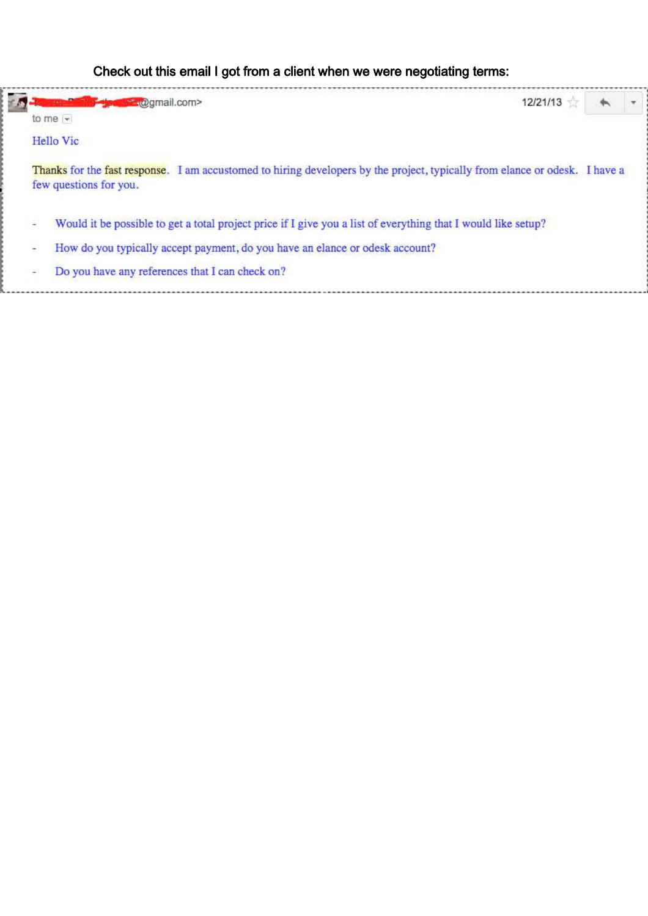# Check out this email I got from a client when we were negotiating terms:

| 12/21/13<br><b>Manufacturer</b> (@gmail.com>                                                                                                          |  |
|-------------------------------------------------------------------------------------------------------------------------------------------------------|--|
| to me $\vert$ $\vert$                                                                                                                                 |  |
| Hello Vic                                                                                                                                             |  |
| Thanks for the fast response. I am accustomed to hiring developers by the project, typically from elance or odesk. I have a<br>few questions for you. |  |
|                                                                                                                                                       |  |
| Would it be possible to get a total project price if I give you a list of everything that I would like setup?                                         |  |
| How do you typically accept payment, do you have an elance or odesk account?                                                                          |  |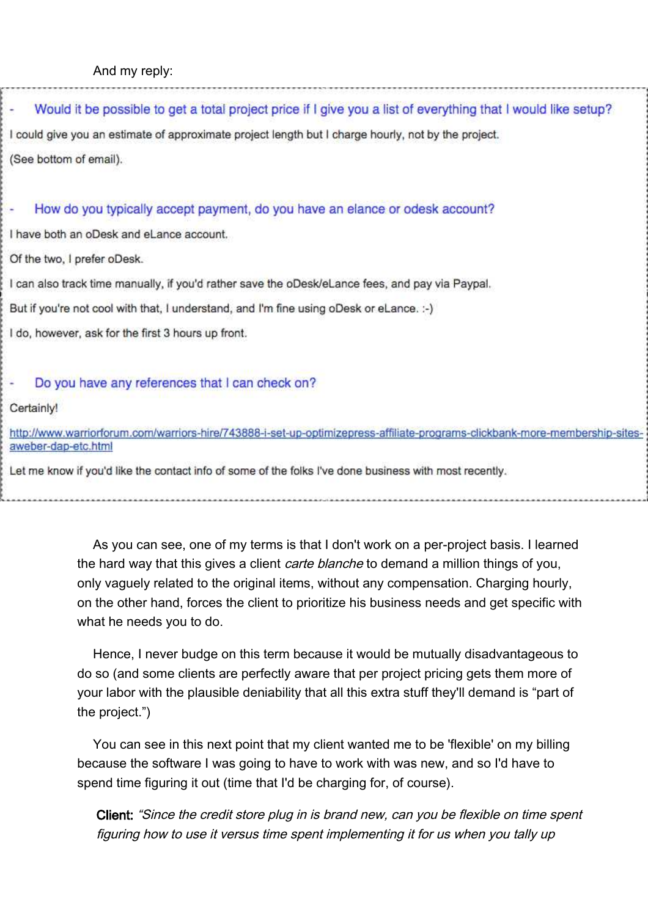# Would it be possible to get a total project price if I give you a list of everything that I would like setup? I could give you an estimate of approximate project length but I charge hourly, not by the project. (See bottom of email).

#### How do you typically accept payment, do you have an elance or odesk account?

I have both an oDesk and eLance account.

Of the two, I prefer oDesk.

I can also track time manually, if you'd rather save the oDesk/eLance fees, and pay via Paypal.

But if you're not cool with that, I understand, and I'm fine using oDesk or eLance. :-)

I do, however, ask for the first 3 hours up front.

#### Do you have any references that I can check on?

Certainly!

http://www.warriorforum.com/warriors-hire/743888-i-set-up-optimizepress-affiliate-programs-clickbank-more-membership-sitesaweber-dap-etc.html

Let me know if you'd like the contact info of some of the folks I've done business with most recently.

As you can see, one of my terms is that I don't work on a per-project basis. I learned the hard way that this gives a client *carte blanche* to demand a million things of you, only vaguely related to the original items, without any compensation. Charging hourly, on the other hand, forces the client to prioritize his business needs and get specific with what he needs you to do.

Hence, I never budge on this term because it would be mutually disadvantageous to do so (and some clients are perfectly aware that per project pricing gets them more of your labor with the plausible deniability that all this extra stuff they'll demand is "part of the project.")

You can see in this next point that my client wanted me to be 'flexible' on my billing because the software I was going to have to work with was new, and so I'd have to spend time figuring it out (time that I'd be charging for, of course).

Client: "Since the credit store plug in is brand new, can you be flexible on time spent figuring how to use it versus time spent implementing it for us when you tally up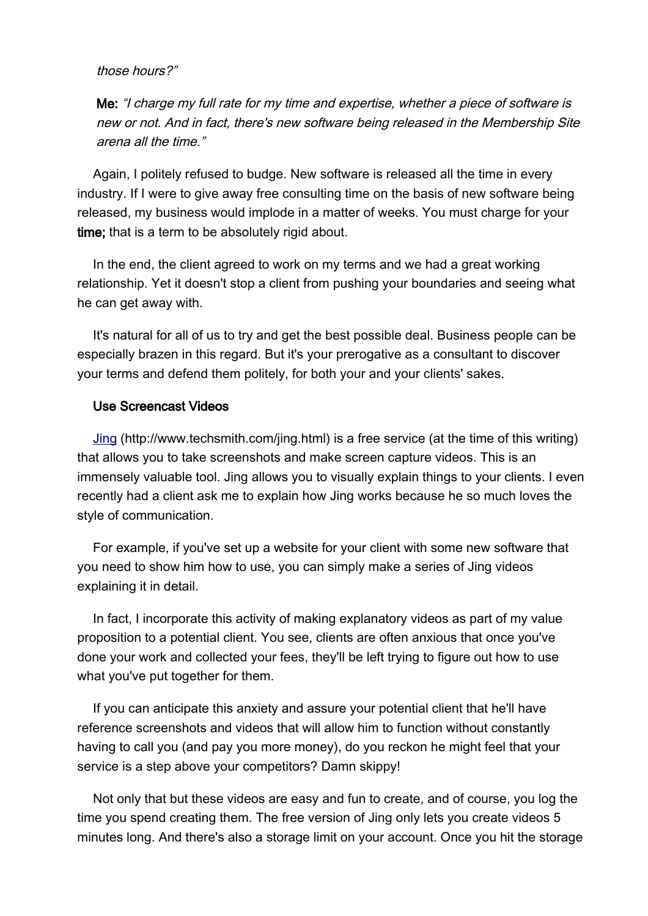#### those hours?"

Me: "I charge my full rate for my time and expertise, whether a piece of software is new or not. And in fact, there's new software being released in the Membership Site arena all the time."

Again, I politely refused to budge. New software is released all the time in every industry. If I were to give away free consulting time on the basis of new software being released, my business would implode in a matter of weeks. You must charge for your time; that is a term to be absolutely rigid about.

In the end, the client agreed to work on my terms and we had a great working relationship. Yet it doesn't stop a client from pushing your boundaries and seeing what he can get away with.

It's natural for all of us to try and get the best possible deal. Business people can be especially brazen in this regard. But it's your prerogative as a consultant to discover your terms and defend them politely, for both your and your clients' sakes.

#### Use Screencast Videos

[Jing](http://www.techsmith.com/jing.html) (http://www.techsmith.com/jing.html) is a free service (at the time of this writing) that allows you to take screenshots and make screen capture videos. This is an immensely valuable tool. Jing allows you to visually explain things to your clients. I even recently had a client ask me to explain how Jing works because he so much loves the style of communication.

For example, if you've set up a website for your client with some new software that you need to show him how to use, you can simply make a series of Jing videos explaining it in detail.

In fact, I incorporate this activity of making explanatory videos as part of my value proposition to a potential client. You see, clients are often anxious that once you've done your work and collected your fees, they'll be left trying to figure out how to use what you've put together for them.

If you can anticipate this anxiety and assure your potential client that he'll have reference screenshots and videos that will allow him to function without constantly having to call you (and pay you more money), do you reckon he might feel that your service is a step above your competitors? Damn skippy!

Not only that but these videos are easy and fun to create, and of course, you log the time you spend creating them. The free version of Jing only lets you create videos 5 minutes long. And there's also a storage limit on your account. Once you hit the storage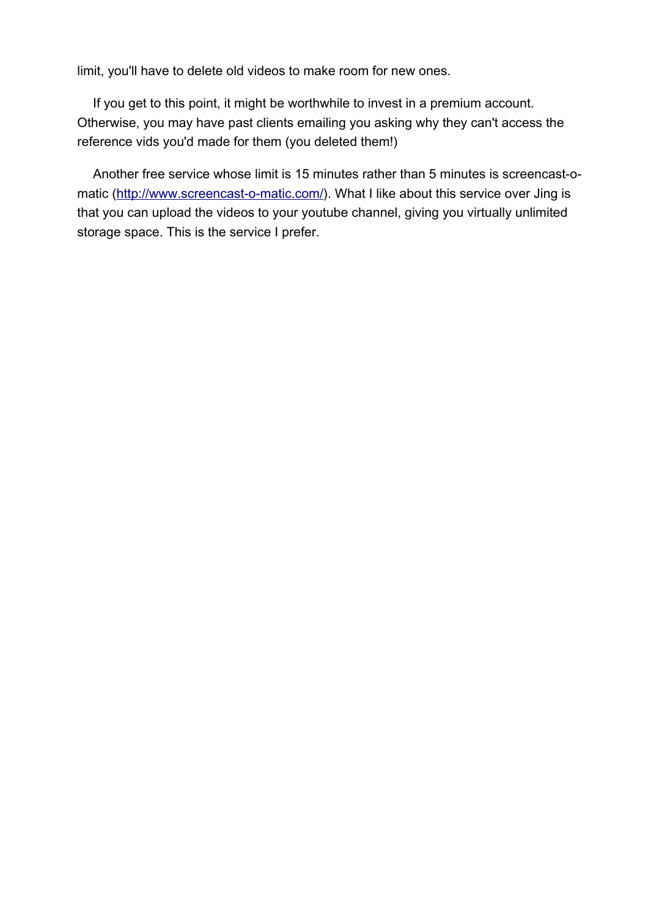limit, you'll have to delete old videos to make room for new ones.

If you get to this point, it might be worthwhile to invest in a premium account. Otherwise, you may have past clients emailing you asking why they can't access the reference vids you'd made for them (you deleted them!)

Another free service whose limit is 15 minutes rather than 5 minutes is screencast-o-matic [\(http://www.screencast-o-matic.com/\)](http://www.screencast-o-matic.com/). What I like about this service over Jing is that you can upload the videos to your youtube channel, giving you virtually unlimited storage space. This is the service I prefer.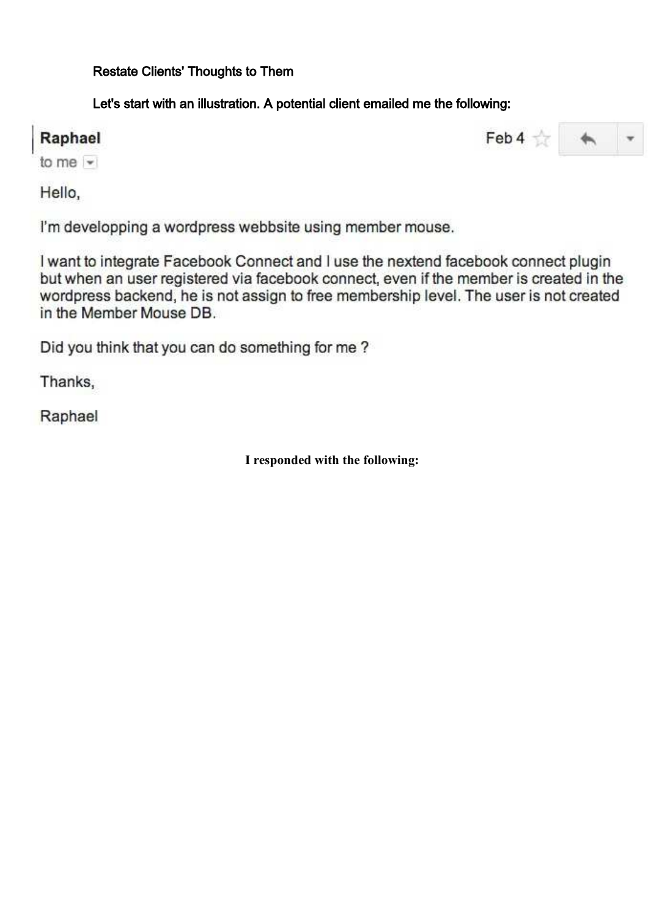Restate Clients' Thoughts to Them

Let's start with an illustration. A potential client emailed me the following:

# Raphael

Feb 4  $\frac{1}{\sqrt{2}}$  4  $\rightarrow$ 

to me  $-$ 

Hello,

I'm developping a wordpress webbsite using member mouse.

I want to integrate Facebook Connect and I use the nextend facebook connect plugin but when an user registered via facebook connect, even if the member is created in the wordpress backend, he is not assign to free membership level. The user is not created in the Member Mouse DB.

Did you think that you can do something for me?

Thanks,

Raphael

**I responded with the following:**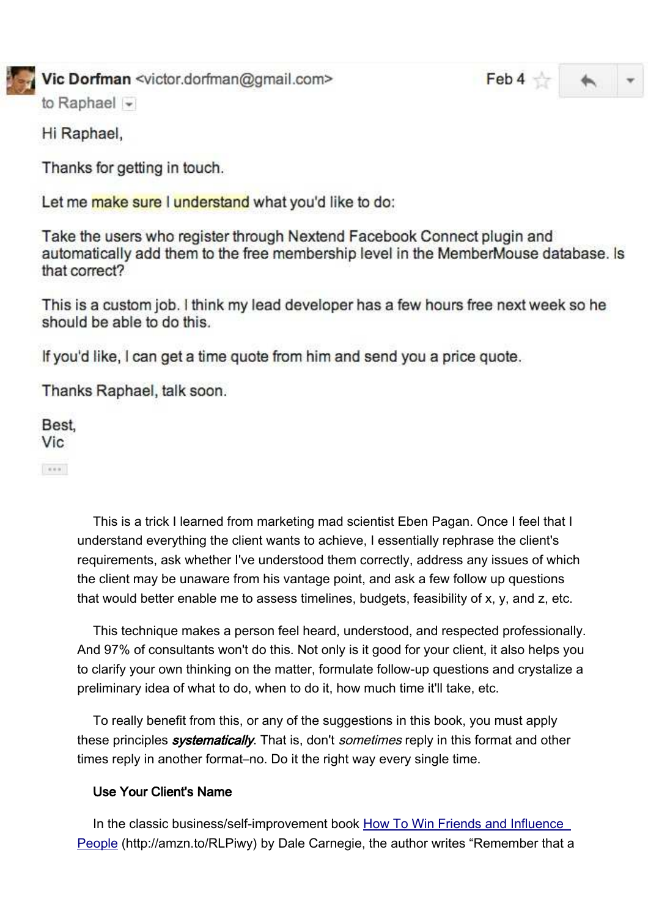

# Vic Dorfman <victor.dorfman@gmail.com>

 $Feb 4 \nleftrightarrow$ 

to Raphael  $\sim$ 

Hi Raphael,

Thanks for getting in touch.

Let me make sure I understand what you'd like to do:

Take the users who register through Nextend Facebook Connect plugin and automatically add them to the free membership level in the MemberMouse database. Is that correct?

This is a custom job. I think my lead developer has a few hours free next week so he should be able to do this.

If you'd like, I can get a time quote from him and send you a price quote.

Thanks Raphael, talk soon.

Best. **Vic** 

 $\alpha$  or  $\alpha$ 

This is a trick I learned from marketing mad scientist Eben Pagan. Once I feel that I understand everything the client wants to achieve, I essentially rephrase the client's requirements, ask whether I've understood them correctly, address any issues of which the client may be unaware from his vantage point, and ask a few follow up questions that would better enable me to assess timelines, budgets, feasibility of x, y, and z, etc.

This technique makes a person feel heard, understood, and respected professionally. And 97% of consultants won't do this. Not only is it good for your client, it also helps you to clarify your own thinking on the matter, formulate follow-up questions and crystalize a preliminary idea of what to do, when to do it, how much time it'll take, etc.

To really benefit from this, or any of the suggestions in this book, you must apply these principles *systematically*. That is, don't *sometimes* reply in this format and other times reply in another format–no. Do it the right way every single time.

# Use Your Client's Name

In the classic business/self-improvement book How To Win Friends and Influence [People](http://amzn.to/RLPiwy) (http://amzn.to/RLPiwy) by Dale Carnegie, the author writes "Remember that a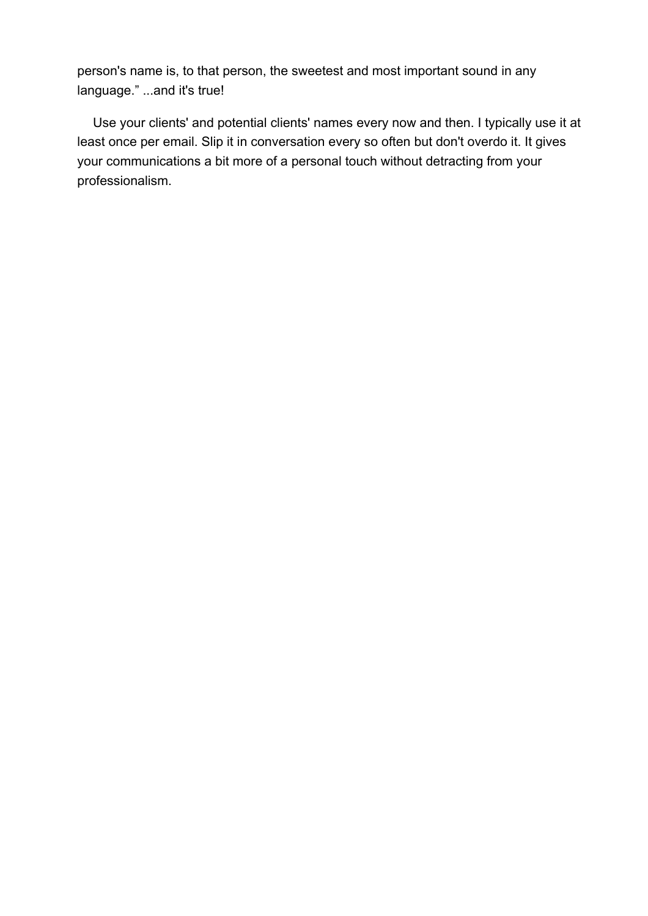person's name is, to that person, the sweetest and most important sound in any language." ...and it's true!

Use your clients' and potential clients' names every now and then. I typically use it at least once per email. Slip it in conversation every so often but don't overdo it. It gives your communications a bit more of a personal touch without detracting from your professionalism.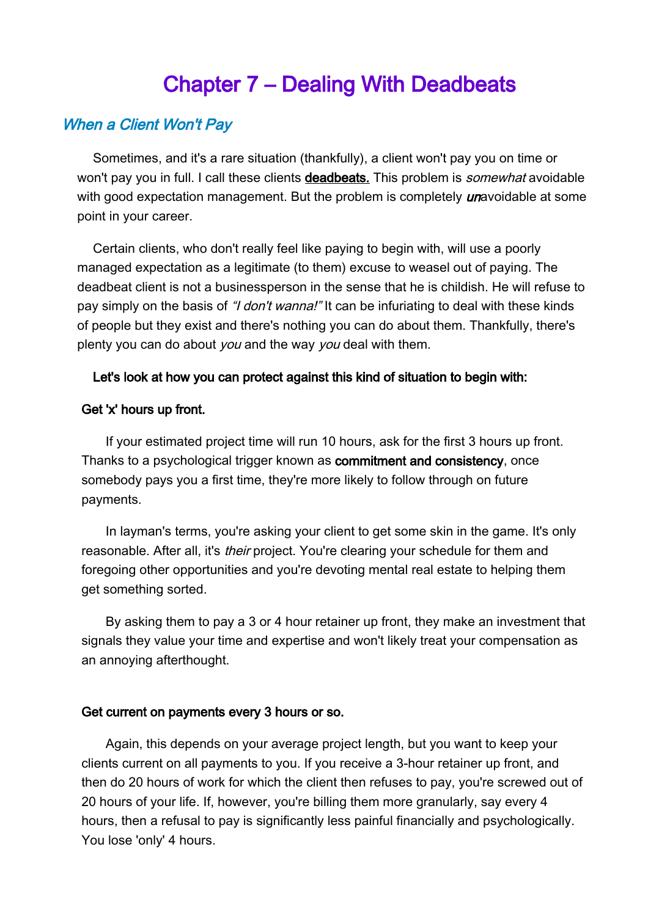# Chapter 7 – Dealing With Deadbeats

# When a Client Won't Pay

Sometimes, and it's a rare situation (thankfully), a client won't pay you on time or won't pay you in full. I call these clients deadbeats. This problem is *somewhat* avoidable with good expectation management. But the problem is completely *un*avoidable at some point in your career.

Certain clients, who don't really feel like paying to begin with, will use a poorly managed expectation as a legitimate (to them) excuse to weasel out of paying. The deadbeat client is not a businessperson in the sense that he is childish. He will refuse to pay simply on the basis of "*I don't wanna!*" It can be infuriating to deal with these kinds of people but they exist and there's nothing you can do about them. Thankfully, there's plenty you can do about *you* and the way *you* deal with them.

#### Let's look at how you can protect against this kind of situation to begin with:

#### Get 'x' hours up front.

If your estimated project time will run 10 hours, ask for the first 3 hours up front. Thanks to a psychological trigger known as **commitment and consistency**, once somebody pays you a first time, they're more likely to follow through on future payments.

In layman's terms, you're asking your client to get some skin in the game. It's only reasonable. After all, it's *their* project. You're clearing your schedule for them and foregoing other opportunities and you're devoting mental real estate to helping them aet something sorted.

By asking them to pay a 3 or 4 hour retainer up front, they make an investment that signals they value your time and expertise and won't likely treat your compensation as an annoying afterthought.

#### Get current on payments every 3 hours or so.

Again, this depends on your average project length, but you want to keep your clients current on all payments to you. If you receive a 3-hour retainer up front, and then do 20 hours of work for which the client then refuses to pay, you're screwed out of 20 hours of your life. If, however, you're billing them more granularly, say every 4 hours, then a refusal to pay is significantly less painful financially and psychologically. You lose 'only' 4 hours.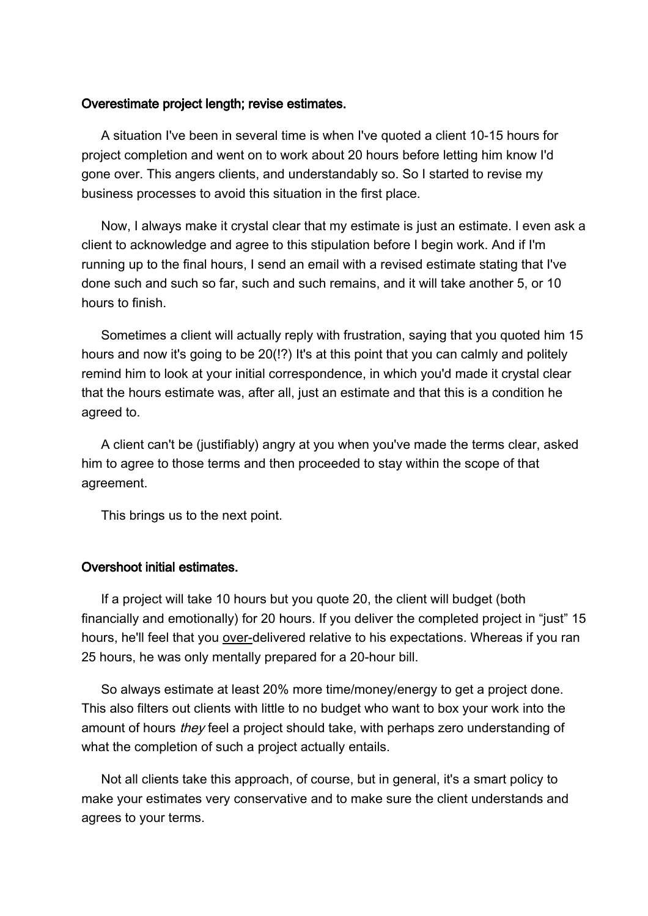#### Overestimate project length; revise estimates.

A situation I've been in several time is when I've quoted a client 10-15 hours for project completion and went on to work about 20 hours before letting him know I'd gone over. This angers clients, and understandably so. So I started to revise my business processes to avoid this situation in the first place.

Now, I always make it crystal clear that my estimate is just an estimate. I even ask a client to acknowledge and agree to this stipulation before I begin work. And if I'm running up to the final hours, I send an email with a revised estimate stating that I've done such and such so far, such and such remains, and it will take another 5, or 10 hours to finish.

Sometimes a client will actually reply with frustration, saying that you quoted him 15 hours and now it's going to be 20(!?) It's at this point that you can calmly and politely remind him to look at your initial correspondence, in which you'd made it crystal clear that the hours estimate was, after all, just an estimate and that this is a condition he agreed to.

A client can't be (justifiably) angry at you when you've made the terms clear, asked him to agree to those terms and then proceeded to stay within the scope of that agreement.

This brings us to the next point.

#### Overshoot initial estimates.

If a project will take 10 hours but you quote 20, the client will budget (both financially and emotionally) for 20 hours. If you deliver the completed project in "just" 15 hours, he'll feel that you over-delivered relative to his expectations. Whereas if you ran 25 hours, he was only mentally prepared for a 20-hour bill.

So always estimate at least 20% more time/money/energy to get a project done. This also filters out clients with little to no budget who want to box your work into the amount of hours *they* feel a project should take, with perhaps zero understanding of what the completion of such a project actually entails.

Not all clients take this approach, of course, but in general, it's a smart policy to make your estimates very conservative and to make sure the client understands and agrees to your terms.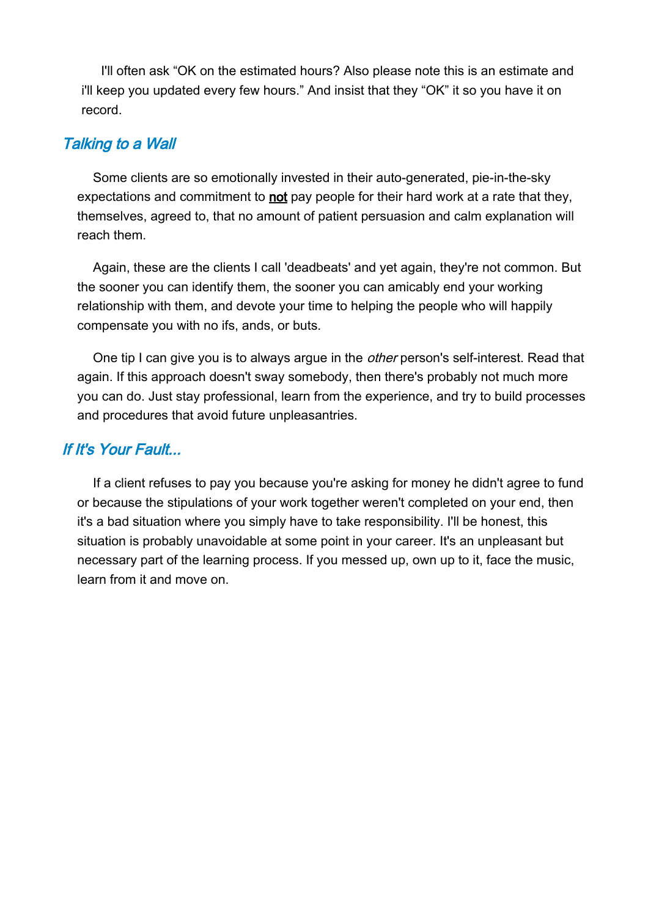I'll often ask "OK on the estimated hours? Also please note this is an estimate and i'll keep you updated every few hours." And insist that they "OK" it so you have it on record.

# Talking to a Wall

Some clients are so emotionally invested in their auto-generated, pie-in-the-sky expectations and commitment to not pay people for their hard work at a rate that they, themselves, agreed to, that no amount of patient persuasion and calm explanation will reach them.

Again, these are the clients I call 'deadbeats' and yet again, they're not common. But the sooner you can identify them, the sooner you can amicably end your working relationship with them, and devote your time to helping the people who will happily compensate you with no ifs, ands, or buts.

One tip I can give you is to always argue in the *other* person's self-interest. Read that again. If this approach doesn't sway somebody, then there's probably not much more you can do. Just stay professional, learn from the experience, and try to build processes and procedures that avoid future unpleasantries.

# If It's Your Fault...

If a client refuses to pay you because you're asking for money he didn't agree to fund or because the stipulations of your work together weren't completed on your end, then it's a bad situation where you simply have to take responsibility. I'll be honest, this situation is probably unavoidable at some point in your career. It's an unpleasant but necessary part of the learning process. If you messed up, own up to it, face the music, learn from it and move on.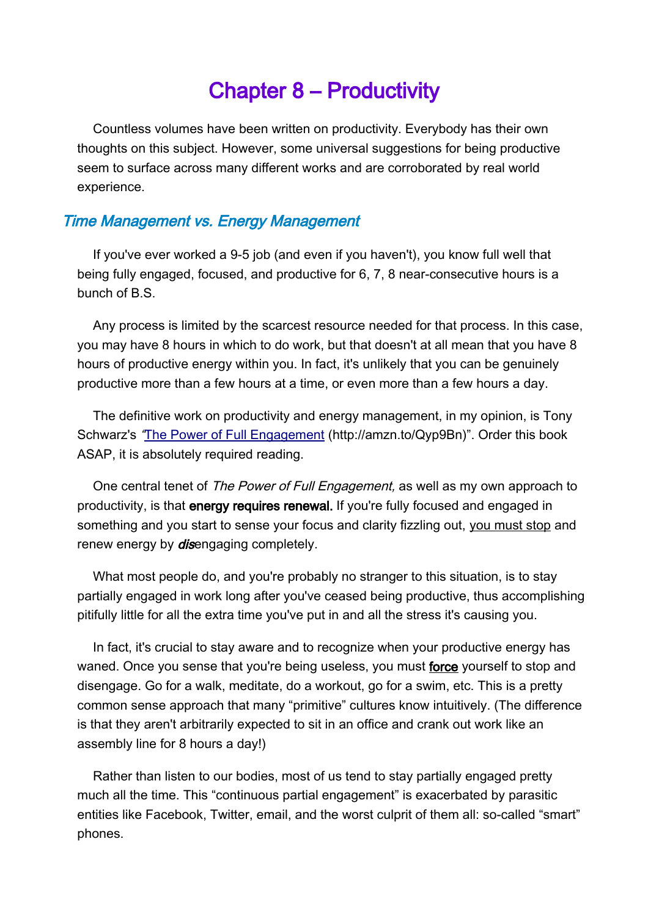# Chapter 8 – Productivity

Countless volumes have been written on productivity. Everybody has their own thoughts on this subject. However, some universal suggestions for being productive seem to surface across many different works and are corroborated by real world experience.

# Time Management vs. Energy Management

If you've ever worked a 9-5 job (and even if you haven't), you know full well that being fully engaged, focused, and productive for 6, 7, 8 near-consecutive hours is a bunch of B.S.

Any process is limited by the scarcest resource needed for that process. In this case, you may have 8 hours in which to do work, but that doesn't at all mean that you have 8 hours of productive energy within you. In fact, it's unlikely that you can be genuinely productive more than a few hours at a time, or even more than a few hours a day.

The definitive work on productivity and energy management, in my opinion, is Tony Schwarz's "[The Power of Full Engagement](http://amzn.to/Qyp9Bn) (http://amzn.to/Qyp9Bn)". Order this book ASAP, it is absolutely required reading.

One central tenet of The Power of Full Engagement, as well as my own approach to productivity, is that energy requires renewal. If you're fully focused and engaged in something and you start to sense your focus and clarity fizzling out, you must stop and renew energy by *dis*engaging completely.

What most people do, and you're probably no stranger to this situation, is to stay partially engaged in work long after you've ceased being productive, thus accomplishing pitifully little for all the extra time you've put in and all the stress it's causing you.

In fact, it's crucial to stay aware and to recognize when your productive energy has waned. Once you sense that you're being useless, you must force yourself to stop and disengage. Go for a walk, meditate, do a workout, go for a swim, etc. This is a pretty common sense approach that many "primitive" cultures know intuitively. (The difference is that they aren't arbitrarily expected to sit in an office and crank out work like an assembly line for 8 hours a day!)

Rather than listen to our bodies, most of us tend to stay partially engaged pretty much all the time. This "continuous partial engagement" is exacerbated by parasitic entities like Facebook, Twitter, email, and the worst culprit of them all: so-called "smart" phones.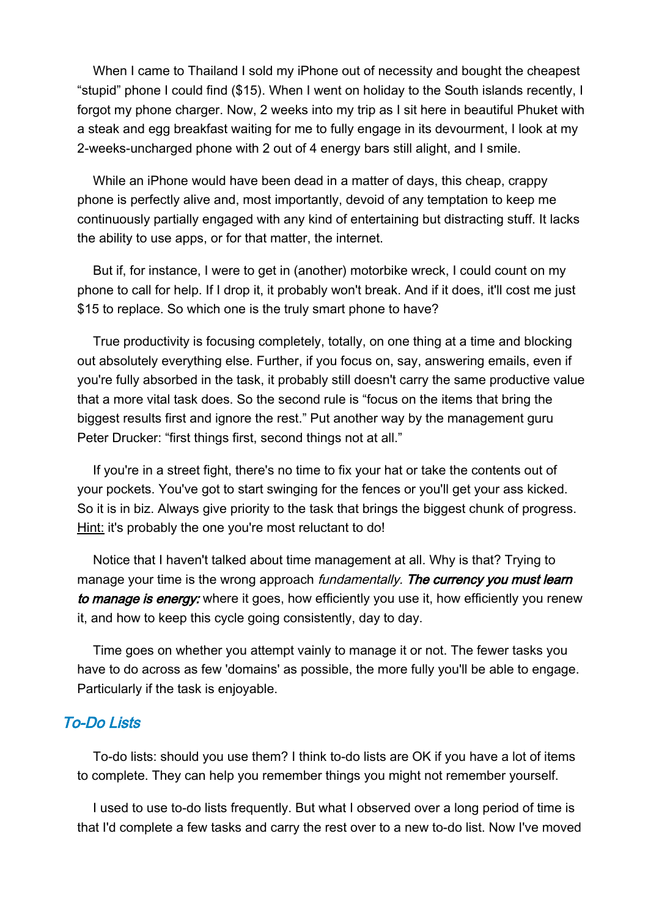When I came to Thailand I sold my iPhone out of necessity and bought the cheapest "stupid" phone I could find (\$15). When I went on holiday to the South islands recently, I forgot my phone charger. Now, 2 weeks into my trip as I sit here in beautiful Phuket with a steak and egg breakfast waiting for me to fully engage in its devourment, I look at my 2-weeks-uncharged phone with 2 out of 4 energy bars still alight, and I smile.

While an iPhone would have been dead in a matter of days, this cheap, crappy phone is perfectly alive and, most importantly, devoid of any temptation to keep me continuously partially engaged with any kind of entertaining but distracting stuff. It lacks the ability to use apps, or for that matter, the internet.

But if, for instance, I were to get in (another) motorbike wreck, I could count on my phone to call for help. If I drop it, it probably won't break. And if it does, it'll cost me just \$15 to replace. So which one is the truly smart phone to have?

True productivity is focusing completely, totally, on one thing at a time and blocking out absolutely everything else. Further, if you focus on, say, answering emails, even if you're fully absorbed in the task, it probably still doesn't carry the same productive value that a more vital task does. So the second rule is "focus on the items that bring the biggest results first and ignore the rest." Put another way by the management guru Peter Drucker: "first things first, second things not at all."

If you're in a street fight, there's no time to fix your hat or take the contents out of your pockets. You've got to start swinging for the fences or you'll get your ass kicked. So it is in biz. Always give priority to the task that brings the biggest chunk of progress. Hint: it's probably the one you're most reluctant to do!

Notice that I haven't talked about time management at all. Why is that? Trying to manage your time is the wrong approach *fundamentally. The currency you must learn* to manage is energy: where it goes, how efficiently you use it, how efficiently you renew it, and how to keep this cycle going consistently, day to day.

Time goes on whether you attempt vainly to manage it or not. The fewer tasks you have to do across as few 'domains' as possible, the more fully you'll be able to engage. Particularly if the task is enjoyable.

# To-Do Lists

To-do lists: should you use them? I think to-do lists are OK if you have a lot of items to complete. They can help you remember things you might not remember yourself.

I used to use to-do lists frequently. But what I observed over a long period of time is that I'd complete a few tasks and carry the rest over to a new to-do list. Now I've moved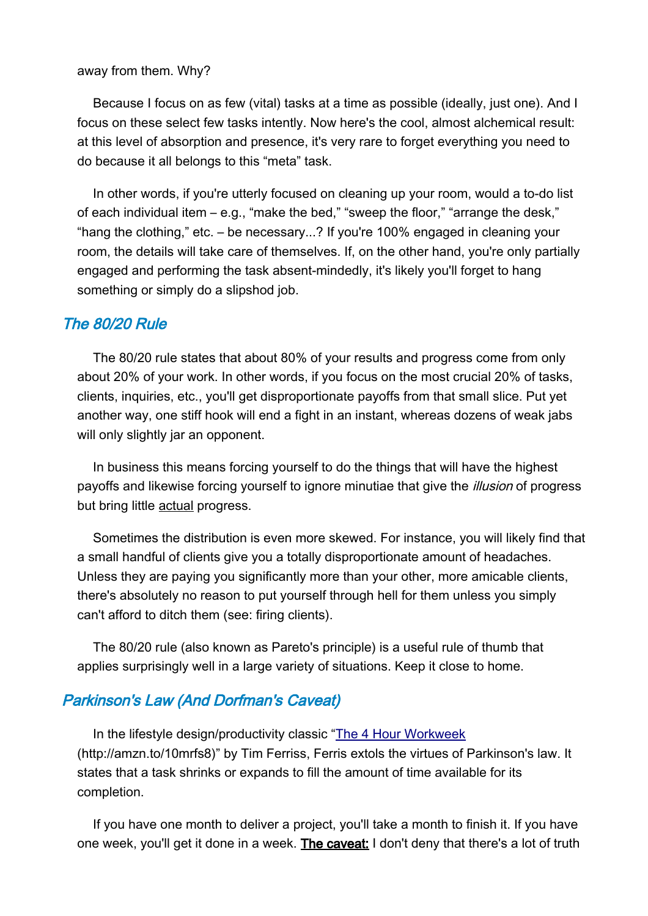#### away from them. Why?

Because I focus on as few (vital) tasks at a time as possible (ideally, just one). And I focus on these select few tasks intently. Now here's the cool, almost alchemical result: at this level of absorption and presence, it's very rare to forget everything you need to do because it all belongs to this "meta" task.

In other words, if you're utterly focused on cleaning up your room, would a to-do list of each individual item – e.g., "make the bed," "sweep the floor," "arrange the desk," "hang the clothing," etc. – be necessary...? If you're 100% engaged in cleaning your room, the details will take care of themselves. If, on the other hand, you're only partially engaged and performing the task absent-mindedly, it's likely you'll forget to hang something or simply do a slipshod job.

#### The 80/20 Rule

The 80/20 rule states that about 80% of your results and progress come from only about 20% of your work. In other words, if you focus on the most crucial 20% of tasks, clients, inquiries, etc., you'll get disproportionate payoffs from that small slice. Put yet another way, one stiff hook will end a fight in an instant, whereas dozens of weak jabs will only slightly jar an opponent.

In business this means forcing yourself to do the things that will have the highest payoffs and likewise forcing yourself to ignore minutiae that give the *illusion* of progress but bring little actual progress.

Sometimes the distribution is even more skewed. For instance, you will likely find that a small handful of clients give you a totally disproportionate amount of headaches. Unless they are paying you significantly more than your other, more amicable clients, there's absolutely no reason to put yourself through hell for them unless you simply can't afford to ditch them (see: firing clients).

The 80/20 rule (also known as Pareto's principle) is a useful rule of thumb that applies surprisingly well in a large variety of situations. Keep it close to home.

## Parkinson's Law (And Dorfman's Caveat)

In the lifestyle design/productivity classic ["The 4 Hour Workweek](http://amzn.to/10mrfs8) (http://amzn.to/10mrfs8)" by Tim Ferriss, Ferris extols the virtues of Parkinson's law. It states that a task shrinks or expands to fill the amount of time available for its completion.

If you have one month to deliver a project, you'll take a month to finish it. If you have one week, you'll get it done in a week. The caveat: I don't deny that there's a lot of truth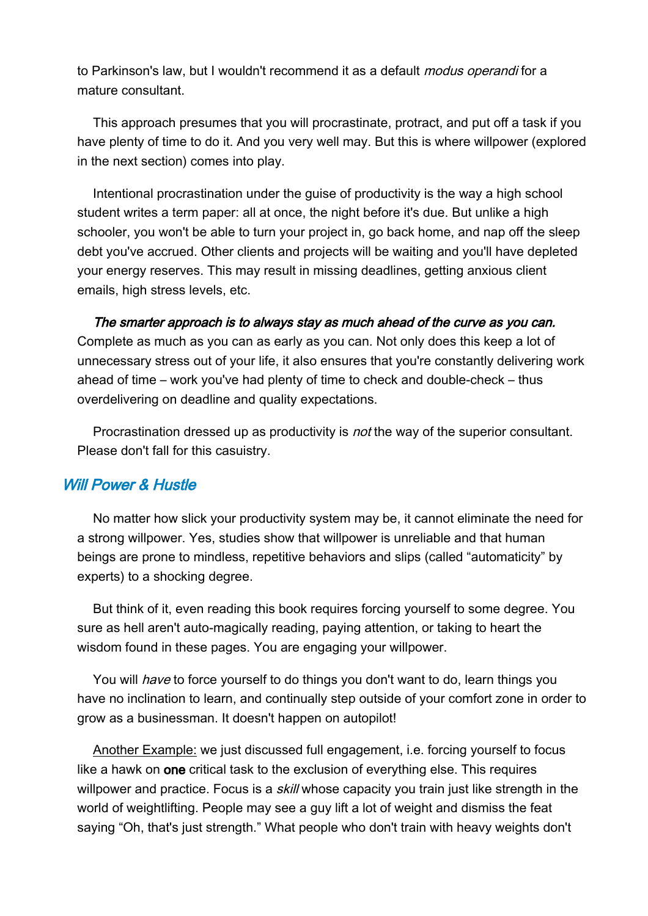to Parkinson's law, but I wouldn't recommend it as a default *modus operandi* for a mature consultant.

This approach presumes that you will procrastinate, protract, and put off a task if you have plenty of time to do it. And you very well may. But this is where willpower (explored in the next section) comes into play.

Intentional procrastination under the guise of productivity is the way a high school student writes a term paper: all at once, the night before it's due. But unlike a high schooler, you won't be able to turn your project in, go back home, and nap off the sleep debt you've accrued. Other clients and projects will be waiting and you'll have depleted your energy reserves. This may result in missing deadlines, getting anxious client emails, high stress levels, etc.

The smarter approach is to always stay as much ahead of the curve as you can. Complete as much as you can as early as you can. Not only does this keep a lot of unnecessary stress out of your life, it also ensures that you're constantly delivering work ahead of time – work you've had plenty of time to check and double-check – thus overdelivering on deadline and quality expectations.

Procrastination dressed up as productivity is *not* the way of the superior consultant. Please don't fall for this casuistry.

# Will Power & Hustle

No matter how slick your productivity system may be, it cannot eliminate the need for a strong willpower. Yes, studies show that willpower is unreliable and that human beings are prone to mindless, repetitive behaviors and slips (called "automaticity" by experts) to a shocking degree.

But think of it, even reading this book requires forcing yourself to some degree. You sure as hell aren't auto-magically reading, paying attention, or taking to heart the wisdom found in these pages. You are engaging your willpower.

You will *have* to force yourself to do things you don't want to do, learn things you have no inclination to learn, and continually step outside of your comfort zone in order to grow as a businessman. It doesn't happen on autopilot!

Another Example: we just discussed full engagement, i.e. forcing yourself to focus like a hawk on one critical task to the exclusion of everything else. This requires willpower and practice. Focus is a *skill* whose capacity you train just like strength in the world of weightlifting. People may see a guy lift a lot of weight and dismiss the feat saying "Oh, that's just strength." What people who don't train with heavy weights don't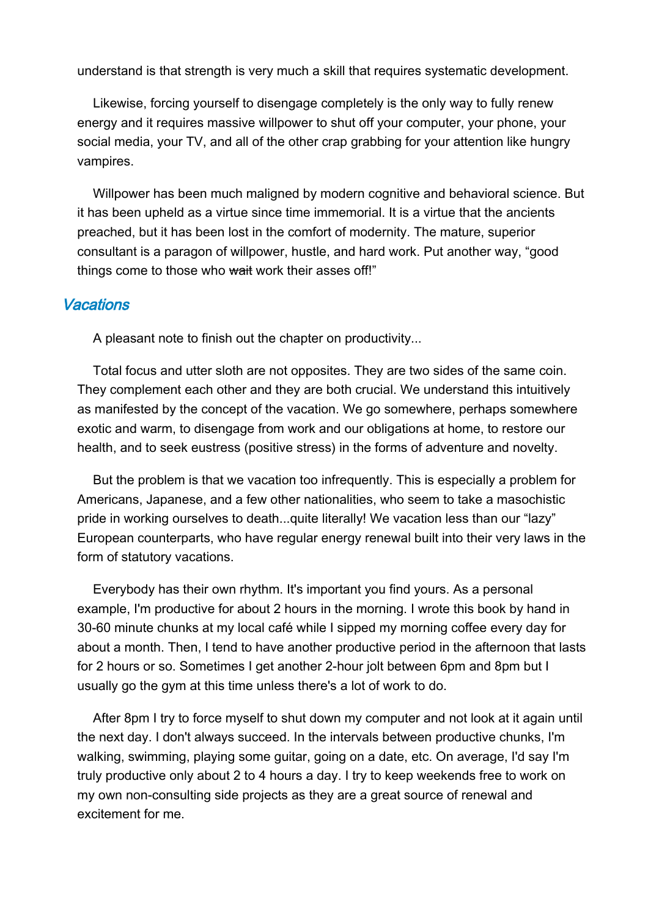understand is that strength is very much a skill that requires systematic development.

Likewise, forcing yourself to disengage completely is the only way to fully renew energy and it requires massive willpower to shut off your computer, your phone, your social media, your TV, and all of the other crap grabbing for your attention like hungry vampires.

Willpower has been much maligned by modern cognitive and behavioral science. But it has been upheld as a virtue since time immemorial. It is a virtue that the ancients preached, but it has been lost in the comfort of modernity. The mature, superior consultant is a paragon of willpower, hustle, and hard work. Put another way, "good things come to those who wait work their asses off!"

# **Vacations**

A pleasant note to finish out the chapter on productivity...

Total focus and utter sloth are not opposites. They are two sides of the same coin. They complement each other and they are both crucial. We understand this intuitively as manifested by the concept of the vacation. We go somewhere, perhaps somewhere exotic and warm, to disengage from work and our obligations at home, to restore our health, and to seek eustress (positive stress) in the forms of adventure and novelty.

But the problem is that we vacation too infrequently. This is especially a problem for Americans, Japanese, and a few other nationalities, who seem to take a masochistic pride in working ourselves to death...quite literally! We vacation less than our "lazy" European counterparts, who have regular energy renewal built into their very laws in the form of statutory vacations.

Everybody has their own rhythm. It's important you find yours. As a personal example, I'm productive for about 2 hours in the morning. I wrote this book by hand in 30-60 minute chunks at my local café while I sipped my morning coffee every day for about a month. Then, I tend to have another productive period in the afternoon that lasts for 2 hours or so. Sometimes I get another 2-hour jolt between 6pm and 8pm but I usually go the gym at this time unless there's a lot of work to do.

After 8pm I try to force myself to shut down my computer and not look at it again until the next day. I don't always succeed. In the intervals between productive chunks, I'm walking, swimming, playing some guitar, going on a date, etc. On average, I'd say I'm truly productive only about 2 to 4 hours a day. I try to keep weekends free to work on my own non-consulting side projects as they are a great source of renewal and excitement for me.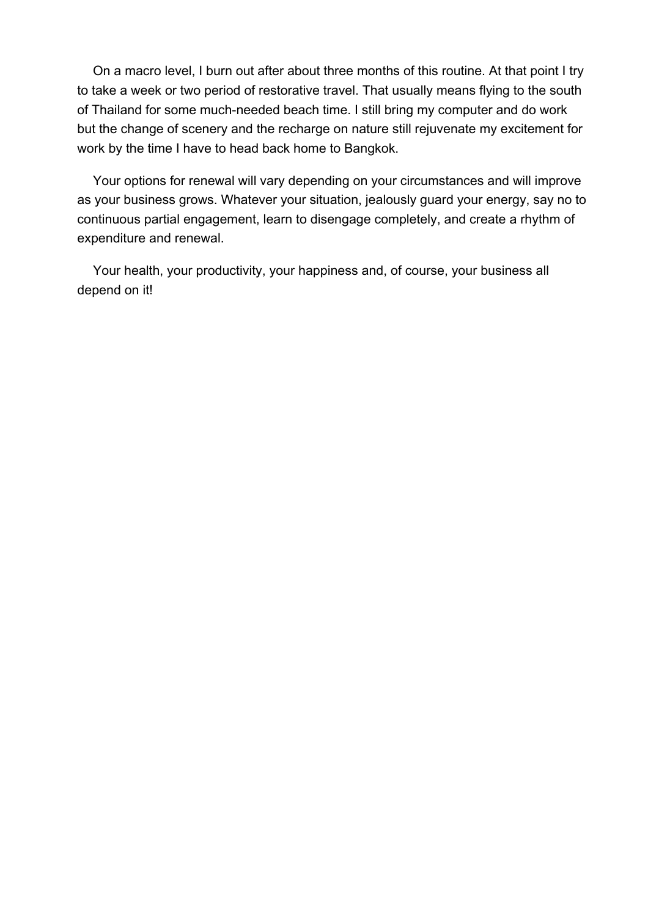On a macro level, I burn out after about three months of this routine. At that point I try to take a week or two period of restorative travel. That usually means flying to the south of Thailand for some much-needed beach time. I still bring my computer and do work but the change of scenery and the recharge on nature still rejuvenate my excitement for work by the time I have to head back home to Bangkok.

Your options for renewal will vary depending on your circumstances and will improve as your business grows. Whatever your situation, jealously guard your energy, say no to continuous partial engagement, learn to disengage completely, and create a rhythm of expenditure and renewal.

Your health, your productivity, your happiness and, of course, your business all depend on it!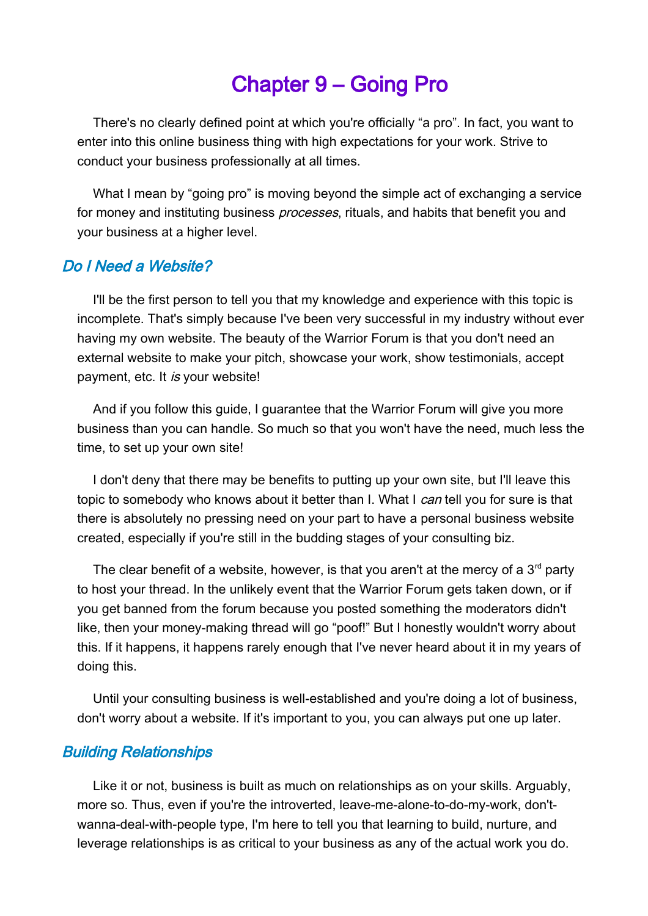# Chapter 9 – Going Pro

There's no clearly defined point at which you're officially "a pro". In fact, you want to enter into this online business thing with high expectations for your work. Strive to conduct your business professionally at all times.

What I mean by "going pro" is moving beyond the simple act of exchanging a service for money and instituting business *processes*, rituals, and habits that benefit you and your business at a higher level.

## Do I Need a Website?

I'll be the first person to tell you that my knowledge and experience with this topic is incomplete. That's simply because I've been very successful in my industry without ever having my own website. The beauty of the Warrior Forum is that you don't need an external website to make your pitch, showcase your work, show testimonials, accept payment, etc. It is your website!

And if you follow this guide, I guarantee that the Warrior Forum will give you more business than you can handle. So much so that you won't have the need, much less the time, to set up your own site!

I don't deny that there may be benefits to putting up your own site, but I'll leave this topic to somebody who knows about it better than I. What I can tell you for sure is that there is absolutely no pressing need on your part to have a personal business website created, especially if you're still in the budding stages of your consulting biz.

The clear benefit of a website, however, is that you aren't at the mercy of a  $3<sup>rd</sup>$  party to host your thread. In the unlikely event that the Warrior Forum gets taken down, or if you get banned from the forum because you posted something the moderators didn't like, then your money-making thread will go "poof!" But I honestly wouldn't worry about this. If it happens, it happens rarely enough that I've never heard about it in my years of doing this.

Until your consulting business is well-established and you're doing a lot of business, don't worry about a website. If it's important to you, you can always put one up later.

## Building Relationships

Like it or not, business is built as much on relationships as on your skills. Arguably, more so. Thus, even if you're the introverted, leave-me-alone-to-do-my-work, don'twanna-deal-with-people type, I'm here to tell you that learning to build, nurture, and leverage relationships is as critical to your business as any of the actual work you do.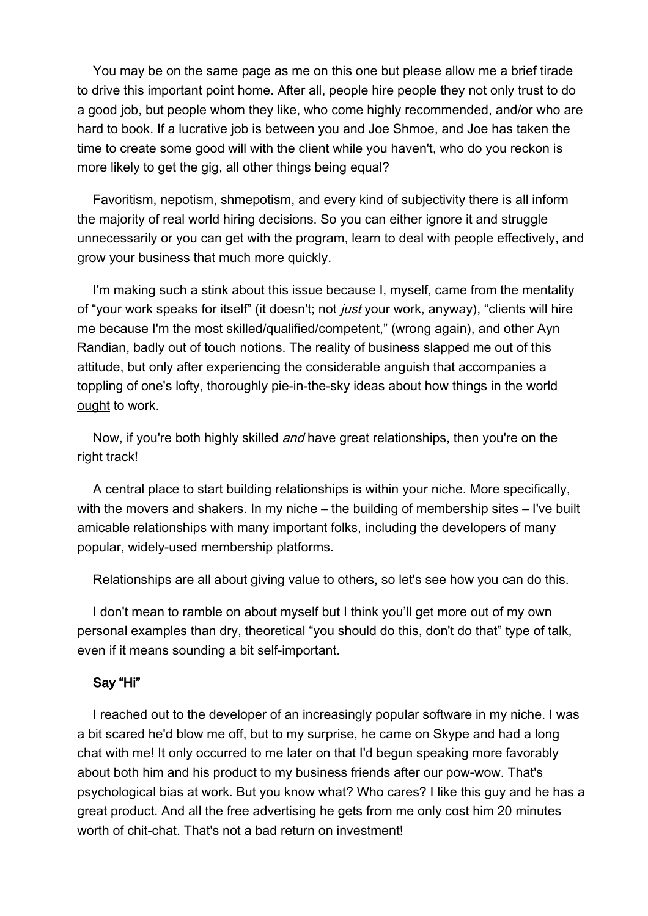You may be on the same page as me on this one but please allow me a brief tirade to drive this important point home. After all, people hire people they not only trust to do a good job, but people whom they like, who come highly recommended, and/or who are hard to book. If a lucrative job is between you and Joe Shmoe, and Joe has taken the time to create some good will with the client while you haven't, who do you reckon is more likely to get the gig, all other things being equal?

Favoritism, nepotism, shmepotism, and every kind of subjectivity there is all inform the majority of real world hiring decisions. So you can either ignore it and struggle unnecessarily or you can get with the program, learn to deal with people effectively, and grow your business that much more quickly.

I'm making such a stink about this issue because I, myself, came from the mentality of "your work speaks for itself" (it doesn't; not *just* your work, anyway), "clients will hire me because I'm the most skilled/qualified/competent," (wrong again), and other Ayn Randian, badly out of touch notions. The reality of business slapped me out of this attitude, but only after experiencing the considerable anguish that accompanies a toppling of one's lofty, thoroughly pie-in-the-sky ideas about how things in the world ought to work.

Now, if you're both highly skilled *and* have great relationships, then you're on the right track!

A central place to start building relationships is within your niche. More specifically, with the movers and shakers. In my niche – the building of membership sites – I've built amicable relationships with many important folks, including the developers of many popular, widely-used membership platforms.

Relationships are all about giving value to others, so let's see how you can do this.

I don't mean to ramble on about myself but I think you'll get more out of my own personal examples than dry, theoretical "you should do this, don't do that" type of talk, even if it means sounding a bit self-important.

#### Say "Hi"

I reached out to the developer of an increasingly popular software in my niche. I was a bit scared he'd blow me off, but to my surprise, he came on Skype and had a long chat with me! It only occurred to me later on that I'd begun speaking more favorably about both him and his product to my business friends after our pow-wow. That's psychological bias at work. But you know what? Who cares? I like this guy and he has a great product. And all the free advertising he gets from me only cost him 20 minutes worth of chit-chat. That's not a bad return on investment!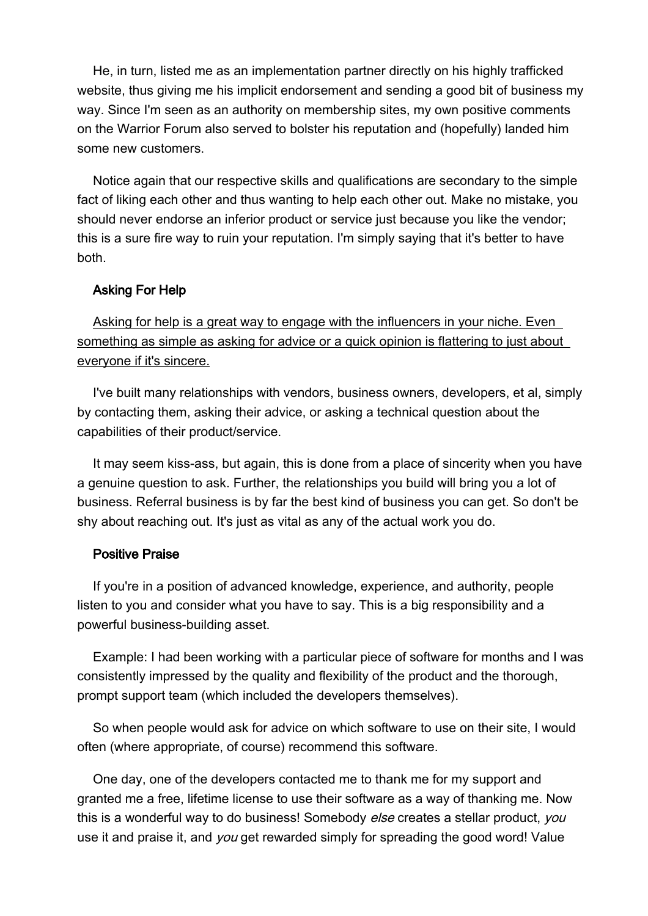He, in turn, listed me as an implementation partner directly on his highly trafficked website, thus giving me his implicit endorsement and sending a good bit of business my way. Since I'm seen as an authority on membership sites, my own positive comments on the Warrior Forum also served to bolster his reputation and (hopefully) landed him some new customers.

Notice again that our respective skills and qualifications are secondary to the simple fact of liking each other and thus wanting to help each other out. Make no mistake, you should never endorse an inferior product or service just because you like the vendor; this is a sure fire way to ruin your reputation. I'm simply saying that it's better to have both.

#### Asking For Help

Asking for help is a great way to engage with the influencers in your niche. Even something as simple as asking for advice or a quick opinion is flattering to just about everyone if it's sincere.

I've built many relationships with vendors, business owners, developers, et al, simply by contacting them, asking their advice, or asking a technical question about the capabilities of their product/service.

It may seem kiss-ass, but again, this is done from a place of sincerity when you have a genuine question to ask. Further, the relationships you build will bring you a lot of business. Referral business is by far the best kind of business you can get. So don't be shy about reaching out. It's just as vital as any of the actual work you do.

#### Positive Praise

If you're in a position of advanced knowledge, experience, and authority, people listen to you and consider what you have to say. This is a big responsibility and a powerful business-building asset.

Example: I had been working with a particular piece of software for months and I was consistently impressed by the quality and flexibility of the product and the thorough, prompt support team (which included the developers themselves).

So when people would ask for advice on which software to use on their site, I would often (where appropriate, of course) recommend this software.

One day, one of the developers contacted me to thank me for my support and granted me a free, lifetime license to use their software as a way of thanking me. Now this is a wonderful way to do business! Somebody else creates a stellar product, you use it and praise it, and you get rewarded simply for spreading the good word! Value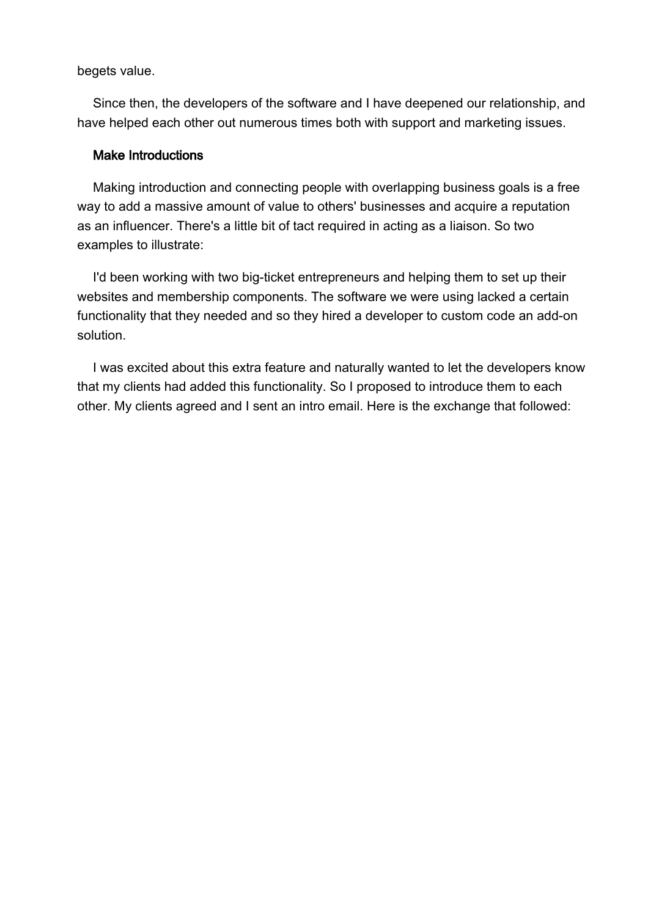begets value.

Since then, the developers of the software and I have deepened our relationship, and have helped each other out numerous times both with support and marketing issues.

#### Make Introductions

Making introduction and connecting people with overlapping business goals is a free way to add a massive amount of value to others' businesses and acquire a reputation as an influencer. There's a little bit of tact required in acting as a liaison. So two examples to illustrate:

I'd been working with two big-ticket entrepreneurs and helping them to set up their websites and membership components. The software we were using lacked a certain functionality that they needed and so they hired a developer to custom code an add-on solution.

I was excited about this extra feature and naturally wanted to let the developers know that my clients had added this functionality. So I proposed to introduce them to each other. My clients agreed and I sent an intro email. Here is the exchange that followed: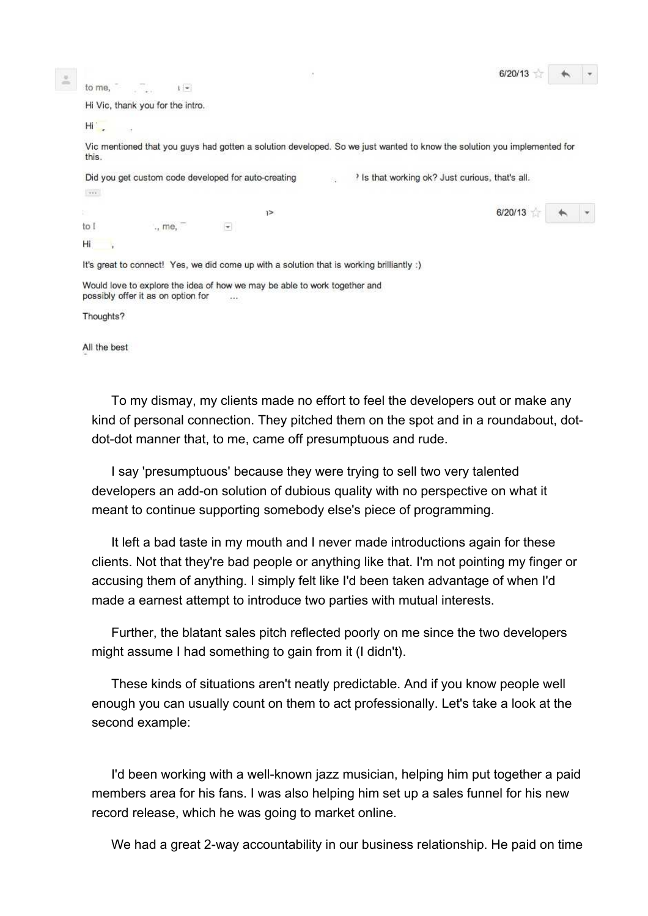|               |                                    |                                                                                                                         |  |  |                                                  | 6/20/13 |  |
|---------------|------------------------------------|-------------------------------------------------------------------------------------------------------------------------|--|--|--------------------------------------------------|---------|--|
| to me,        | $1 -$                              |                                                                                                                         |  |  |                                                  |         |  |
|               | Hi Vic, thank you for the intro.   |                                                                                                                         |  |  |                                                  |         |  |
| $H_{\rm I}$ . |                                    |                                                                                                                         |  |  |                                                  |         |  |
| this.         |                                    | Vic mentioned that you guys had gotten a solution developed. So we just wanted to know the solution you implemented for |  |  |                                                  |         |  |
|               |                                    | Did you get custom code developed for auto-creating                                                                     |  |  | It is that working ok? Just curious, that's all. |         |  |
| $1000 - 1000$ |                                    |                                                                                                                         |  |  |                                                  |         |  |
|               |                                    | $1\geq$                                                                                                                 |  |  |                                                  | 6/20/13 |  |
| to I          | me.                                | $\overline{\phantom{a}}$                                                                                                |  |  |                                                  |         |  |
| Ηi            |                                    |                                                                                                                         |  |  |                                                  |         |  |
|               |                                    | It's great to connect! Yes, we did come up with a solution that is working brilliantly :)                               |  |  |                                                  |         |  |
|               | possibly offer it as on option for | Would love to explore the idea of how we may be able to work together and<br>$+ + +$                                    |  |  |                                                  |         |  |

Thoughts?

All the best

To my dismay, my clients made no effort to feel the developers out or make any kind of personal connection. They pitched them on the spot and in a roundabout, dotdot-dot manner that, to me, came off presumptuous and rude.

I say 'presumptuous' because they were trying to sell two very talented developers an add-on solution of dubious quality with no perspective on what it meant to continue supporting somebody else's piece of programming.

It left a bad taste in my mouth and I never made introductions again for these clients. Not that they're bad people or anything like that. I'm not pointing my finger or accusing them of anything. I simply felt like I'd been taken advantage of when I'd made a earnest attempt to introduce two parties with mutual interests.

Further, the blatant sales pitch reflected poorly on me since the two developers might assume I had something to gain from it (I didn't).

These kinds of situations aren't neatly predictable. And if you know people well enough you can usually count on them to act professionally. Let's take a look at the second example:

I'd been working with a well-known jazz musician, helping him put together a paid members area for his fans. I was also helping him set up a sales funnel for his new record release, which he was going to market online.

We had a great 2-way accountability in our business relationship. He paid on time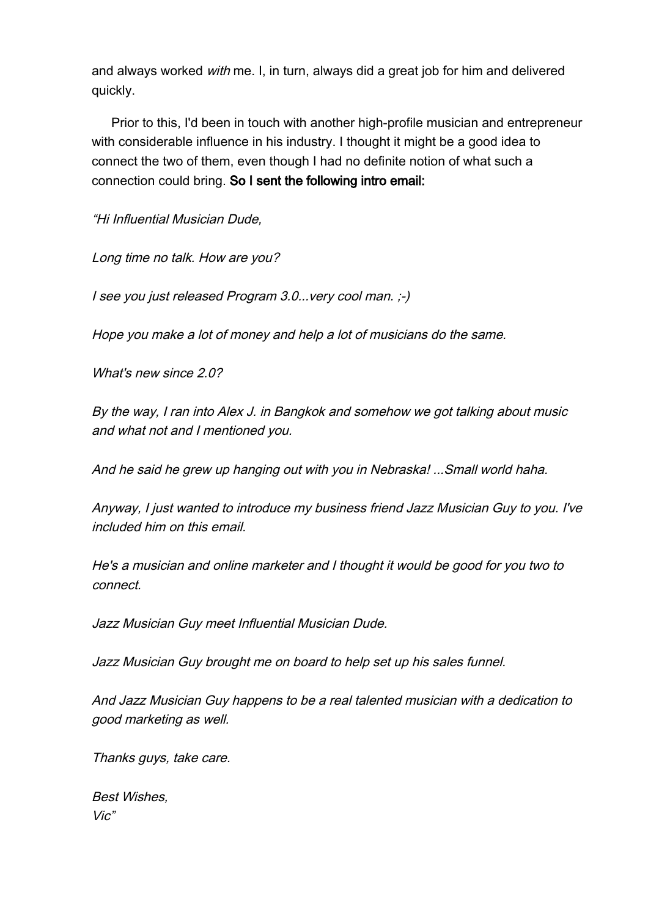and always worked with me. I, in turn, always did a great job for him and delivered quickly.

Prior to this, I'd been in touch with another high-profile musician and entrepreneur with considerable influence in his industry. I thought it might be a good idea to connect the two of them, even though I had no definite notion of what such a connection could bring. So I sent the following intro email:

"Hi Influential Musician Dude,

Long time no talk. How are you?

I see you just released Program 3.0...very cool man. ;-)

Hope you make a lot of money and help a lot of musicians do the same.

What's new since 2.0?

By the way, I ran into Alex J. in Bangkok and somehow we got talking about music and what not and I mentioned you.

And he said he grew up hanging out with you in Nebraska! ...Small world haha.

Anyway, I just wanted to introduce my business friend Jazz Musician Guy to you. I've included him on this email.

He's a musician and online marketer and I thought it would be good for you two to connect.

Jazz Musician Guy meet Influential Musician Dude.

Jazz Musician Guy brought me on board to help set up his sales funnel.

And Jazz Musician Guy happens to be a real talented musician with a dedication to good marketing as well.

Thanks guys, take care.

Best Wishes, Vic"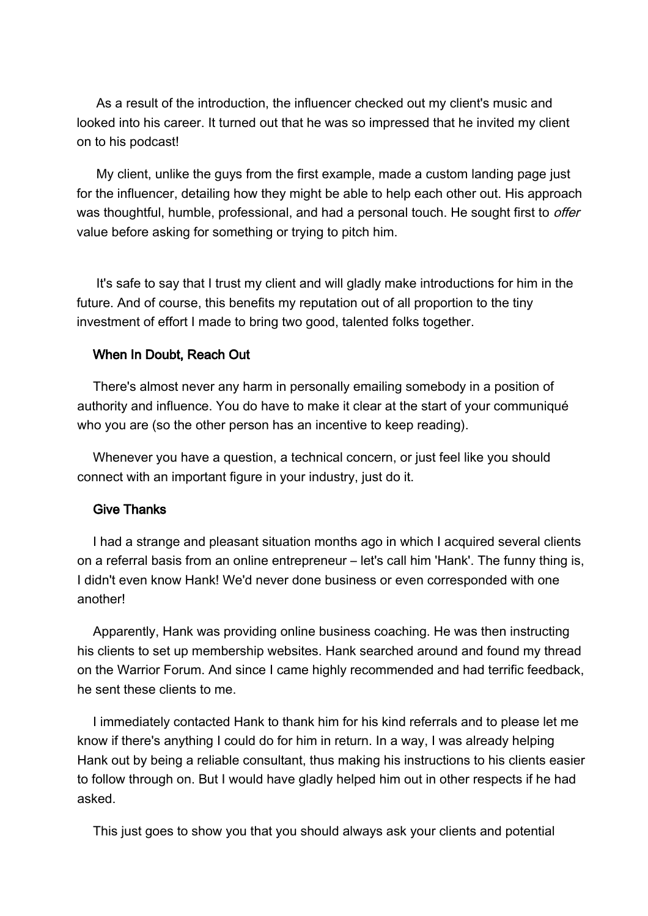As a result of the introduction, the influencer checked out my client's music and looked into his career. It turned out that he was so impressed that he invited my client on to his podcast!

My client, unlike the guys from the first example, made a custom landing page just for the influencer, detailing how they might be able to help each other out. His approach was thoughtful, humble, professional, and had a personal touch. He sought first to *offer* value before asking for something or trying to pitch him.

It's safe to say that I trust my client and will gladly make introductions for him in the future. And of course, this benefits my reputation out of all proportion to the tiny investment of effort I made to bring two good, talented folks together.

#### When In Doubt, Reach Out

There's almost never any harm in personally emailing somebody in a position of authority and influence. You do have to make it clear at the start of your communiqué who you are (so the other person has an incentive to keep reading).

Whenever you have a question, a technical concern, or just feel like you should connect with an important figure in your industry, just do it.

#### Give Thanks

I had a strange and pleasant situation months ago in which I acquired several clients on a referral basis from an online entrepreneur – let's call him 'Hank'. The funny thing is, I didn't even know Hank! We'd never done business or even corresponded with one another!

Apparently, Hank was providing online business coaching. He was then instructing his clients to set up membership websites. Hank searched around and found my thread on the Warrior Forum. And since I came highly recommended and had terrific feedback, he sent these clients to me.

I immediately contacted Hank to thank him for his kind referrals and to please let me know if there's anything I could do for him in return. In a way, I was already helping Hank out by being a reliable consultant, thus making his instructions to his clients easier to follow through on. But I would have gladly helped him out in other respects if he had asked.

This just goes to show you that you should always ask your clients and potential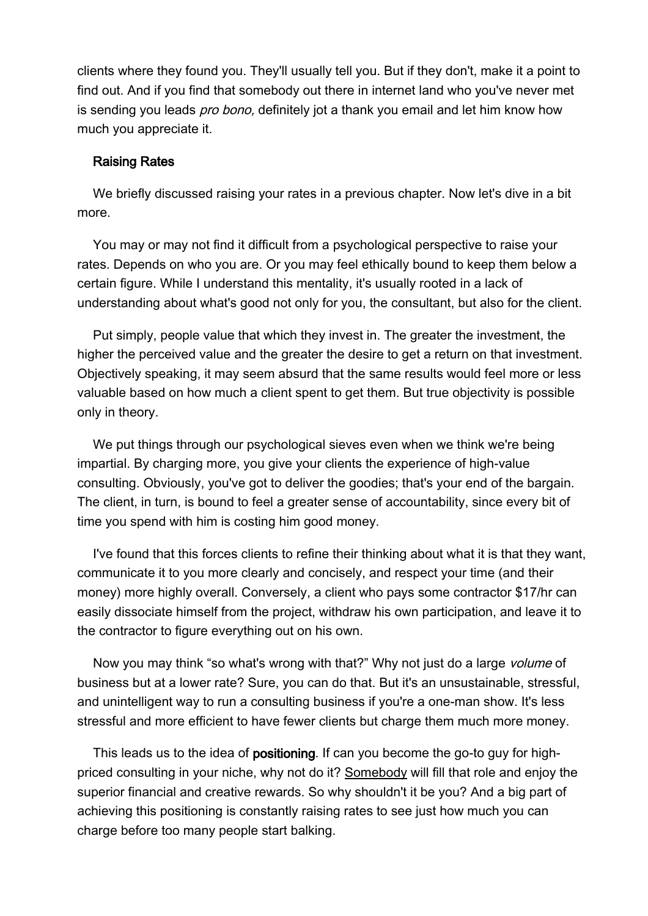clients where they found you. They'll usually tell you. But if they don't, make it a point to find out. And if you find that somebody out there in internet land who you've never met is sending you leads *pro bono*, definitely jot a thank you email and let him know how much you appreciate it.

#### Raising Rates

We briefly discussed raising your rates in a previous chapter. Now let's dive in a bit more.

You may or may not find it difficult from a psychological perspective to raise your rates. Depends on who you are. Or you may feel ethically bound to keep them below a certain figure. While I understand this mentality, it's usually rooted in a lack of understanding about what's good not only for you, the consultant, but also for the client.

Put simply, people value that which they invest in. The greater the investment, the higher the perceived value and the greater the desire to get a return on that investment. Objectively speaking, it may seem absurd that the same results would feel more or less valuable based on how much a client spent to get them. But true objectivity is possible only in theory.

We put things through our psychological sieves even when we think we're being impartial. By charging more, you give your clients the experience of high-value consulting. Obviously, you've got to deliver the goodies; that's your end of the bargain. The client, in turn, is bound to feel a greater sense of accountability, since every bit of time you spend with him is costing him good money.

I've found that this forces clients to refine their thinking about what it is that they want, communicate it to you more clearly and concisely, and respect your time (and their money) more highly overall. Conversely, a client who pays some contractor \$17/hr can easily dissociate himself from the project, withdraw his own participation, and leave it to the contractor to figure everything out on his own.

Now you may think "so what's wrong with that?" Why not just do a large *volume* of business but at a lower rate? Sure, you can do that. But it's an unsustainable, stressful, and unintelligent way to run a consulting business if you're a one-man show. It's less stressful and more efficient to have fewer clients but charge them much more money.

This leads us to the idea of **positioning**. If can you become the go-to guy for highpriced consulting in your niche, why not do it? Somebody will fill that role and enjoy the superior financial and creative rewards. So why shouldn't it be you? And a big part of achieving this positioning is constantly raising rates to see just how much you can charge before too many people start balking.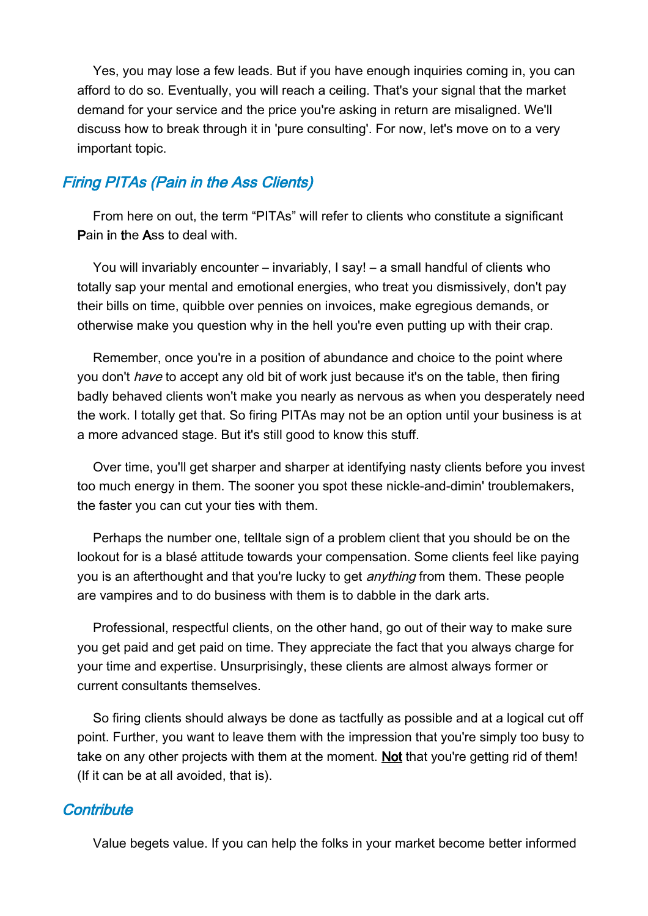Yes, you may lose a few leads. But if you have enough inquiries coming in, you can afford to do so. Eventually, you will reach a ceiling. That's your signal that the market demand for your service and the price you're asking in return are misaligned. We'll discuss how to break through it in 'pure consulting'. For now, let's move on to a very important topic.

## Firing PITAs (Pain in the Ass Clients)

From here on out, the term "PITAs" will refer to clients who constitute a significant Pain in the Ass to deal with.

You will invariably encounter – invariably, I say! – a small handful of clients who totally sap your mental and emotional energies, who treat you dismissively, don't pay their bills on time, quibble over pennies on invoices, make egregious demands, or otherwise make you question why in the hell you're even putting up with their crap.

Remember, once you're in a position of abundance and choice to the point where you don't *have* to accept any old bit of work just because it's on the table, then firing badly behaved clients won't make you nearly as nervous as when you desperately need the work. I totally get that. So firing PITAs may not be an option until your business is at a more advanced stage. But it's still good to know this stuff.

Over time, you'll get sharper and sharper at identifying nasty clients before you invest too much energy in them. The sooner you spot these nickle-and-dimin' troublemakers, the faster you can cut your ties with them.

Perhaps the number one, telltale sign of a problem client that you should be on the lookout for is a blasé attitude towards your compensation. Some clients feel like paying you is an afterthought and that you're lucky to get *anything* from them. These people are vampires and to do business with them is to dabble in the dark arts.

Professional, respectful clients, on the other hand, go out of their way to make sure you get paid and get paid on time. They appreciate the fact that you always charge for your time and expertise. Unsurprisingly, these clients are almost always former or current consultants themselves.

So firing clients should always be done as tactfully as possible and at a logical cut off point. Further, you want to leave them with the impression that you're simply too busy to take on any other projects with them at the moment. Not that you're getting rid of them! (If it can be at all avoided, that is).

## **Contribute**

Value begets value. If you can help the folks in your market become better informed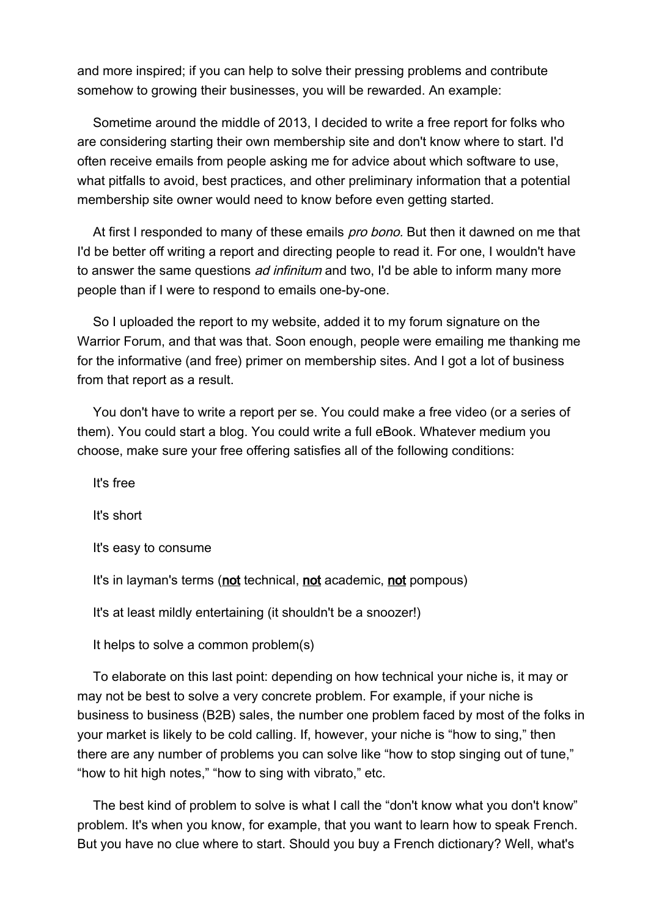and more inspired; if you can help to solve their pressing problems and contribute somehow to growing their businesses, you will be rewarded. An example:

Sometime around the middle of 2013, I decided to write a free report for folks who are considering starting their own membership site and don't know where to start. I'd often receive emails from people asking me for advice about which software to use, what pitfalls to avoid, best practices, and other preliminary information that a potential membership site owner would need to know before even getting started.

At first I responded to many of these emails *pro bono*. But then it dawned on me that I'd be better off writing a report and directing people to read it. For one, I wouldn't have to answer the same questions *ad infinitum* and two, I'd be able to inform many more people than if I were to respond to emails one-by-one.

So I uploaded the report to my website, added it to my forum signature on the Warrior Forum, and that was that. Soon enough, people were emailing me thanking me for the informative (and free) primer on membership sites. And I got a lot of business from that report as a result.

You don't have to write a report per se. You could make a free video (or a series of them). You could start a blog. You could write a full eBook. Whatever medium you choose, make sure your free offering satisfies all of the following conditions:

It's free

It's short

It's easy to consume

It's in layman's terms (not technical, not academic, not pompous)

It's at least mildly entertaining (it shouldn't be a snoozer!)

It helps to solve a common problem(s)

To elaborate on this last point: depending on how technical your niche is, it may or may not be best to solve a very concrete problem. For example, if your niche is business to business (B2B) sales, the number one problem faced by most of the folks in your market is likely to be cold calling. If, however, your niche is "how to sing," then there are any number of problems you can solve like "how to stop singing out of tune," "how to hit high notes," "how to sing with vibrato," etc.

The best kind of problem to solve is what I call the "don't know what you don't know" problem. It's when you know, for example, that you want to learn how to speak French. But you have no clue where to start. Should you buy a French dictionary? Well, what's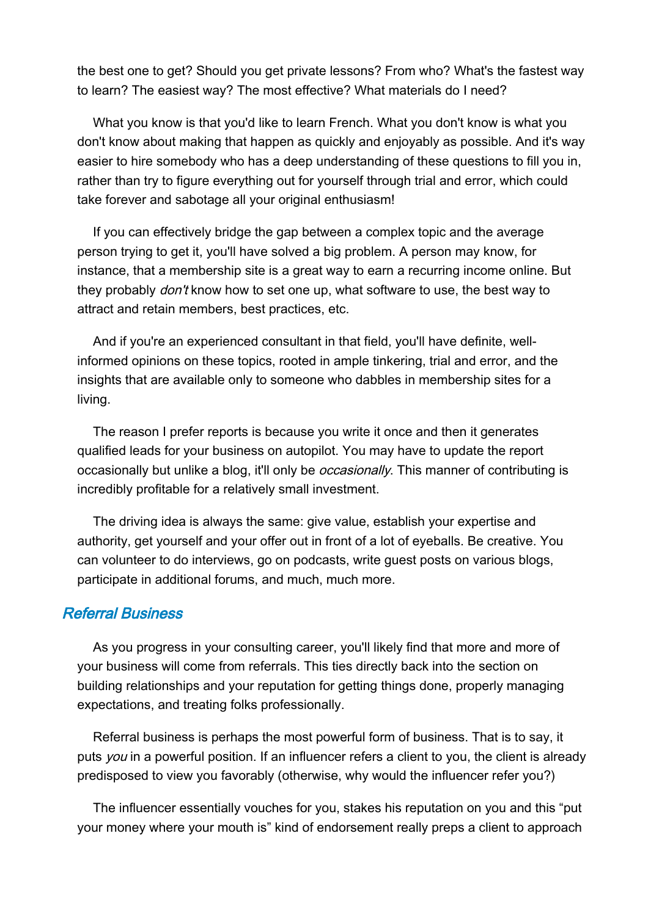the best one to get? Should you get private lessons? From who? What's the fastest way to learn? The easiest way? The most effective? What materials do I need?

What you know is that you'd like to learn French. What you don't know is what you don't know about making that happen as quickly and enjoyably as possible. And it's way easier to hire somebody who has a deep understanding of these questions to fill you in, rather than try to figure everything out for yourself through trial and error, which could take forever and sabotage all your original enthusiasm!

If you can effectively bridge the gap between a complex topic and the average person trying to get it, you'll have solved a big problem. A person may know, for instance, that a membership site is a great way to earn a recurring income online. But they probably *don't* know how to set one up, what software to use, the best way to attract and retain members, best practices, etc.

And if you're an experienced consultant in that field, you'll have definite, wellinformed opinions on these topics, rooted in ample tinkering, trial and error, and the insights that are available only to someone who dabbles in membership sites for a living.

The reason I prefer reports is because you write it once and then it generates qualified leads for your business on autopilot. You may have to update the report occasionally but unlike a blog, it'll only be *occasionally*. This manner of contributing is incredibly profitable for a relatively small investment.

The driving idea is always the same: give value, establish your expertise and authority, get yourself and your offer out in front of a lot of eyeballs. Be creative. You can volunteer to do interviews, go on podcasts, write guest posts on various blogs, participate in additional forums, and much, much more.

### Referral Business

As you progress in your consulting career, you'll likely find that more and more of your business will come from referrals. This ties directly back into the section on building relationships and your reputation for getting things done, properly managing expectations, and treating folks professionally.

Referral business is perhaps the most powerful form of business. That is to say, it puts you in a powerful position. If an influencer refers a client to you, the client is already predisposed to view you favorably (otherwise, why would the influencer refer you?)

The influencer essentially vouches for you, stakes his reputation on you and this "put your money where your mouth is" kind of endorsement really preps a client to approach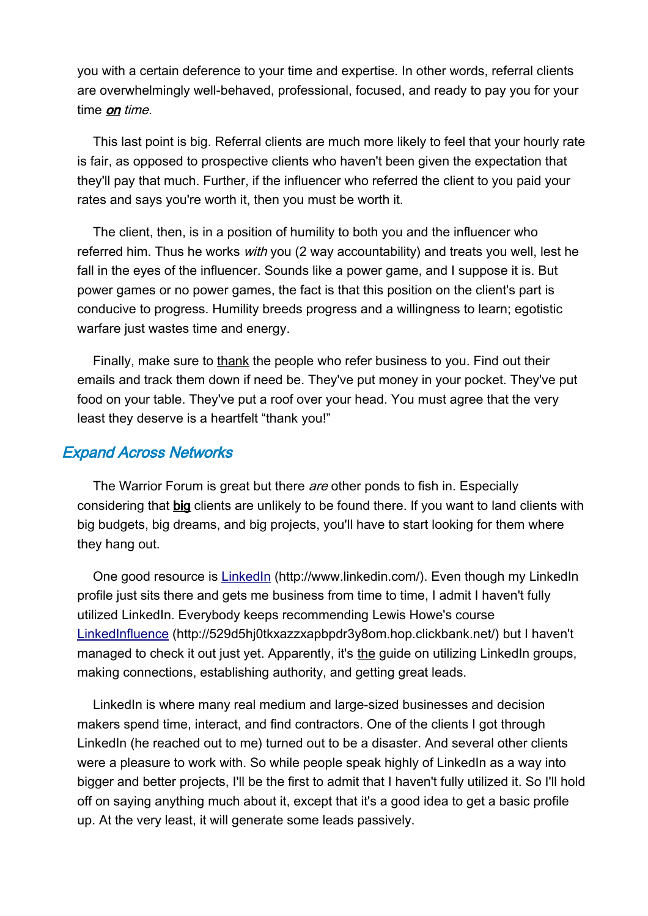you with a certain deference to your time and expertise. In other words, referral clients are overwhelmingly well-behaved, professional, focused, and ready to pay you for your time *on time*.

This last point is big. Referral clients are much more likely to feel that your hourly rate is fair, as opposed to prospective clients who haven't been given the expectation that they'll pay that much. Further, if the influencer who referred the client to you paid your rates and says you're worth it, then you must be worth it.

The client, then, is in a position of humility to both you and the influencer who referred him. Thus he works with you (2 way accountability) and treats you well, lest he fall in the eyes of the influencer. Sounds like a power game, and I suppose it is. But power games or no power games, the fact is that this position on the client's part is conducive to progress. Humility breeds progress and a willingness to learn; egotistic warfare just wastes time and energy.

Finally, make sure to thank the people who refer business to you. Find out their emails and track them down if need be. They've put money in your pocket. They've put food on your table. They've put a roof over your head. You must agree that the very least they deserve is a heartfelt "thank you!"

### Expand Across Networks

The Warrior Forum is great but there are other ponds to fish in. Especially considering that big clients are unlikely to be found there. If you want to land clients with big budgets, big dreams, and big projects, you'll have to start looking for them where they hang out.

One good resource is [LinkedIn](http://www.linkedin.com/) (http://www.linkedin.com/). Even though my LinkedIn profile just sits there and gets me business from time to time, I admit I haven't fully utilized LinkedIn. Everybody keeps recommending Lewis Howe's course [LinkedInfluence](http://529d5hj0tkxazzxapbpdr3y8om.hop.clickbank.net/) (http://529d5hj0tkxazzxapbpdr3y8om.hop.clickbank.net/) but I haven't managed to check it out just yet. Apparently, it's the guide on utilizing LinkedIn groups, making connections, establishing authority, and getting great leads.

LinkedIn is where many real medium and large-sized businesses and decision makers spend time, interact, and find contractors. One of the clients I got through LinkedIn (he reached out to me) turned out to be a disaster. And several other clients were a pleasure to work with. So while people speak highly of LinkedIn as a way into bigger and better projects, I'll be the first to admit that I haven't fully utilized it. So I'll hold off on saying anything much about it, except that it's a good idea to get a basic profile up. At the very least, it will generate some leads passively.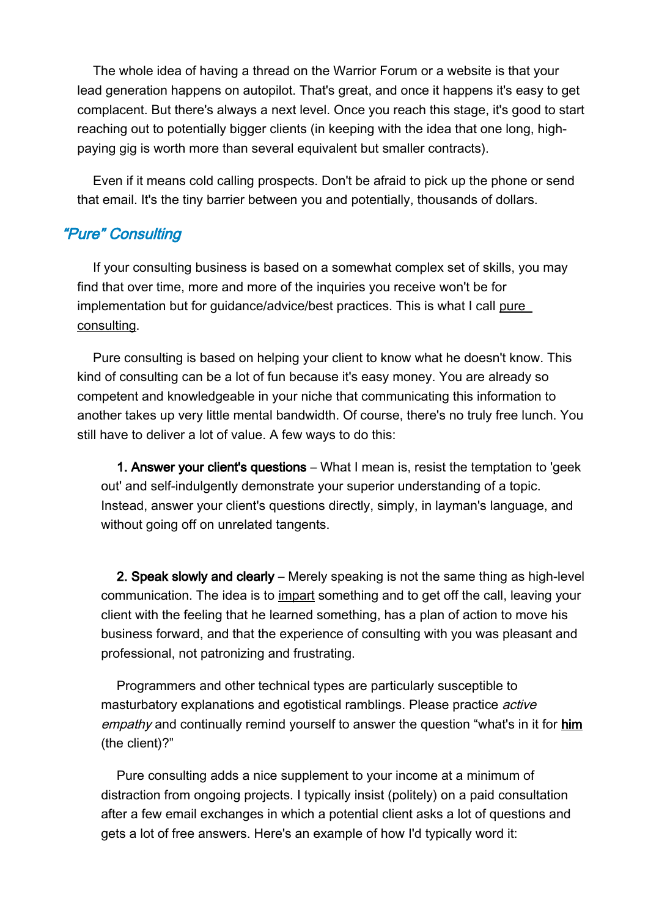The whole idea of having a thread on the Warrior Forum or a website is that your lead generation happens on autopilot. That's great, and once it happens it's easy to get complacent. But there's always a next level. Once you reach this stage, it's good to start reaching out to potentially bigger clients (in keeping with the idea that one long, highpaying gig is worth more than several equivalent but smaller contracts).

Even if it means cold calling prospects. Don't be afraid to pick up the phone or send that email. It's the tiny barrier between you and potentially, thousands of dollars.

## "Pure" Consulting

If your consulting business is based on a somewhat complex set of skills, you may find that over time, more and more of the inquiries you receive won't be for implementation but for guidance/advice/best practices. This is what I call pure consulting.

Pure consulting is based on helping your client to know what he doesn't know. This kind of consulting can be a lot of fun because it's easy money. You are already so competent and knowledgeable in your niche that communicating this information to another takes up very little mental bandwidth. Of course, there's no truly free lunch. You still have to deliver a lot of value. A few ways to do this:

1. Answer your client's questions – What I mean is, resist the temptation to 'geek out' and self-indulgently demonstrate your superior understanding of a topic. Instead, answer your client's questions directly, simply, in layman's language, and without going off on unrelated tangents.

2. Speak slowly and clearly – Merely speaking is not the same thing as high-level communication. The idea is to impart something and to get off the call, leaving your client with the feeling that he learned something, has a plan of action to move his business forward, and that the experience of consulting with you was pleasant and professional, not patronizing and frustrating.

Programmers and other technical types are particularly susceptible to masturbatory explanations and egotistical ramblings. Please practice *active* empathy and continually remind yourself to answer the question "what's in it for him (the client)?"

Pure consulting adds a nice supplement to your income at a minimum of distraction from ongoing projects. I typically insist (politely) on a paid consultation after a few email exchanges in which a potential client asks a lot of questions and gets a lot of free answers. Here's an example of how I'd typically word it: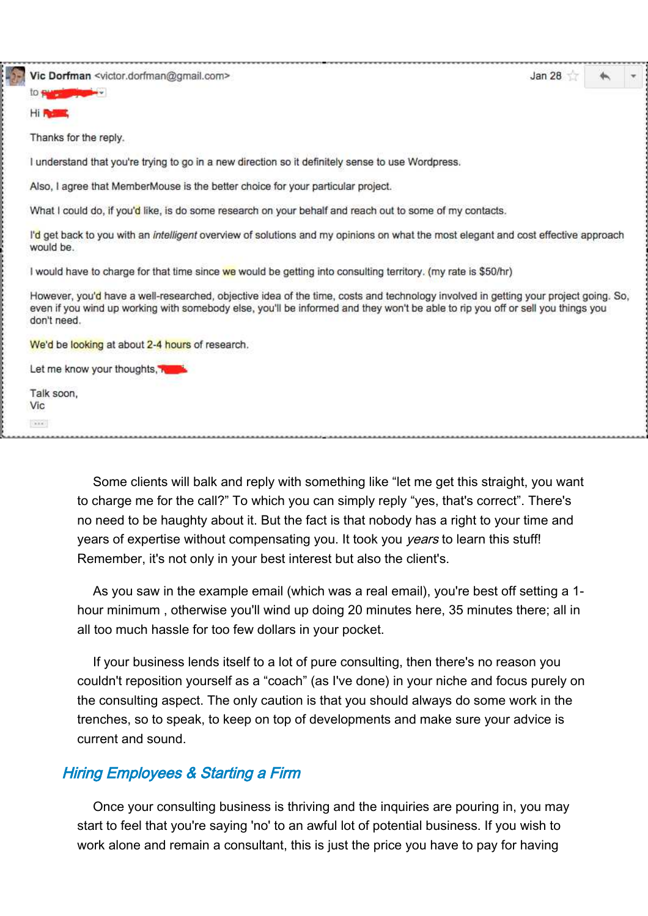Vic Dorfman <victor.dorfman@gmail.com>

Jan 28

to e Hi Russ

Thanks for the reply.

**Beatle** 

I understand that you're trying to go in a new direction so it definitely sense to use Wordpress.

Also, I agree that MemberMouse is the better choice for your particular project.

What I could do, if you'd like, is do some research on your behalf and reach out to some of my contacts.

I'd get back to you with an intelligent overview of solutions and my opinions on what the most elegant and cost effective approach would be.

I would have to charge for that time since we would be getting into consulting territory. (my rate is \$50/hr)

However, you'd have a well-researched, objective idea of the time, costs and technology involved in getting your project going. So, even if you wind up working with somebody else, you'll be informed and they won't be able to rip you off or sell you things you don't need.

We'd be looking at about 2-4 hours of research.

Let me know your thoughts, Run

Talk soon, Vic  $\lambda\lambda\lambda$ 

> Some clients will balk and reply with something like "let me get this straight, you want to charge me for the call?" To which you can simply reply "yes, that's correct". There's no need to be haughty about it. But the fact is that nobody has a right to your time and years of expertise without compensating you. It took you *years* to learn this stuff! Remember, it's not only in your best interest but also the client's.

> As you saw in the example email (which was a real email), you're best off setting a 1 hour minimum , otherwise you'll wind up doing 20 minutes here, 35 minutes there; all in all too much hassle for too few dollars in your pocket.

> If your business lends itself to a lot of pure consulting, then there's no reason you couldn't reposition yourself as a "coach" (as I've done) in your niche and focus purely on the consulting aspect. The only caution is that you should always do some work in the trenches, so to speak, to keep on top of developments and make sure your advice is current and sound.

#### Hiring Employees & Starting a Firm

Once your consulting business is thriving and the inquiries are pouring in, you may start to feel that you're saying 'no' to an awful lot of potential business. If you wish to work alone and remain a consultant, this is just the price you have to pay for having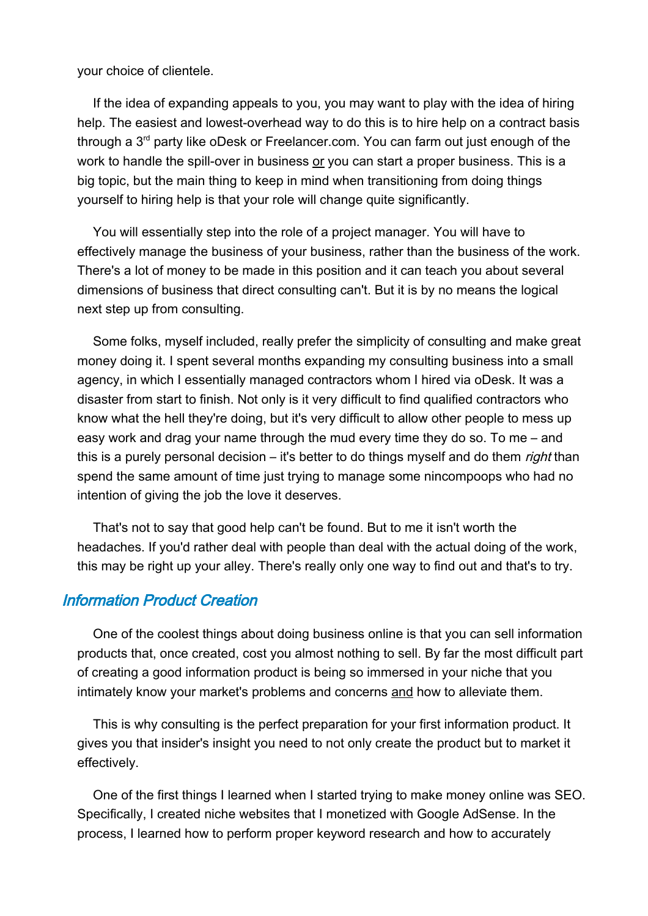your choice of clientele.

If the idea of expanding appeals to you, you may want to play with the idea of hiring help. The easiest and lowest-overhead way to do this is to hire help on a contract basis through a 3<sup>rd</sup> party like oDesk or Freelancer.com. You can farm out just enough of the work to handle the spill-over in business or you can start a proper business. This is a big topic, but the main thing to keep in mind when transitioning from doing things yourself to hiring help is that your role will change quite significantly.

You will essentially step into the role of a project manager. You will have to effectively manage the business of your business, rather than the business of the work. There's a lot of money to be made in this position and it can teach you about several dimensions of business that direct consulting can't. But it is by no means the logical next step up from consulting.

Some folks, myself included, really prefer the simplicity of consulting and make great money doing it. I spent several months expanding my consulting business into a small agency, in which I essentially managed contractors whom I hired via oDesk. It was a disaster from start to finish. Not only is it very difficult to find qualified contractors who know what the hell they're doing, but it's very difficult to allow other people to mess up easy work and drag your name through the mud every time they do so. To me – and this is a purely personal decision – it's better to do things myself and do them *right* than spend the same amount of time just trying to manage some nincompoops who had no intention of giving the job the love it deserves.

That's not to say that good help can't be found. But to me it isn't worth the headaches. If you'd rather deal with people than deal with the actual doing of the work, this may be right up your alley. There's really only one way to find out and that's to try.

#### Information Product Creation

One of the coolest things about doing business online is that you can sell information products that, once created, cost you almost nothing to sell. By far the most difficult part of creating a good information product is being so immersed in your niche that you intimately know your market's problems and concerns and how to alleviate them.

This is why consulting is the perfect preparation for your first information product. It gives you that insider's insight you need to not only create the product but to market it effectively.

One of the first things I learned when I started trying to make money online was SEO. Specifically, I created niche websites that I monetized with Google AdSense. In the process, I learned how to perform proper keyword research and how to accurately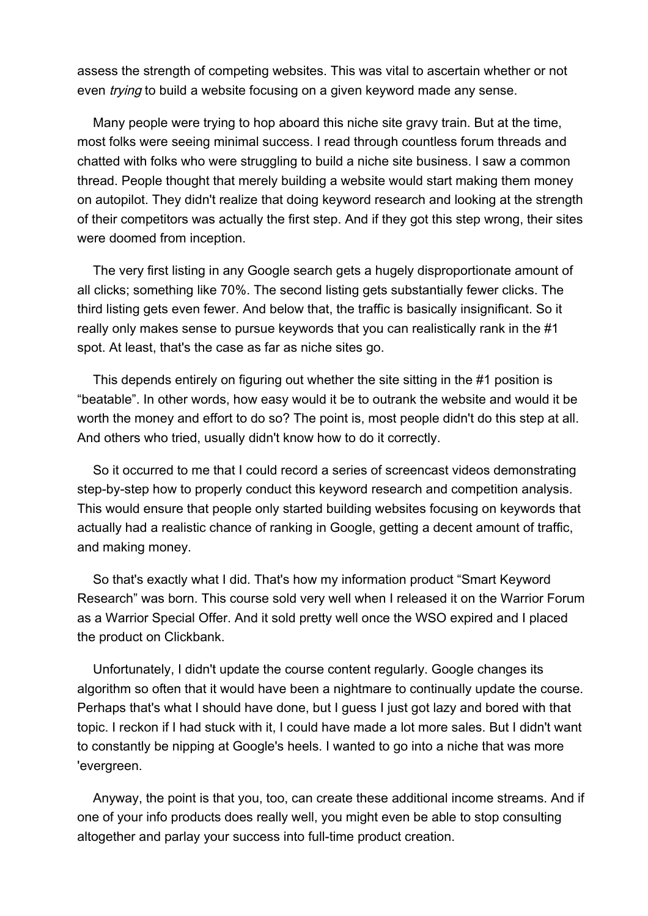assess the strength of competing websites. This was vital to ascertain whether or not even *trying* to build a website focusing on a given keyword made any sense.

Many people were trying to hop aboard this niche site gravy train. But at the time, most folks were seeing minimal success. I read through countless forum threads and chatted with folks who were struggling to build a niche site business. I saw a common thread. People thought that merely building a website would start making them money on autopilot. They didn't realize that doing keyword research and looking at the strength of their competitors was actually the first step. And if they got this step wrong, their sites were doomed from inception.

The very first listing in any Google search gets a hugely disproportionate amount of all clicks; something like 70%. The second listing gets substantially fewer clicks. The third listing gets even fewer. And below that, the traffic is basically insignificant. So it really only makes sense to pursue keywords that you can realistically rank in the #1 spot. At least, that's the case as far as niche sites go.

This depends entirely on figuring out whether the site sitting in the #1 position is "beatable". In other words, how easy would it be to outrank the website and would it be worth the money and effort to do so? The point is, most people didn't do this step at all. And others who tried, usually didn't know how to do it correctly.

So it occurred to me that I could record a series of screencast videos demonstrating step-by-step how to properly conduct this keyword research and competition analysis. This would ensure that people only started building websites focusing on keywords that actually had a realistic chance of ranking in Google, getting a decent amount of traffic, and making money.

So that's exactly what I did. That's how my information product "Smart Keyword Research" was born. This course sold very well when I released it on the Warrior Forum as a Warrior Special Offer. And it sold pretty well once the WSO expired and I placed the product on Clickbank.

Unfortunately, I didn't update the course content regularly. Google changes its algorithm so often that it would have been a nightmare to continually update the course. Perhaps that's what I should have done, but I guess I just got lazy and bored with that topic. I reckon if I had stuck with it, I could have made a lot more sales. But I didn't want to constantly be nipping at Google's heels. I wanted to go into a niche that was more 'evergreen.

Anyway, the point is that you, too, can create these additional income streams. And if one of your info products does really well, you might even be able to stop consulting altogether and parlay your success into full-time product creation.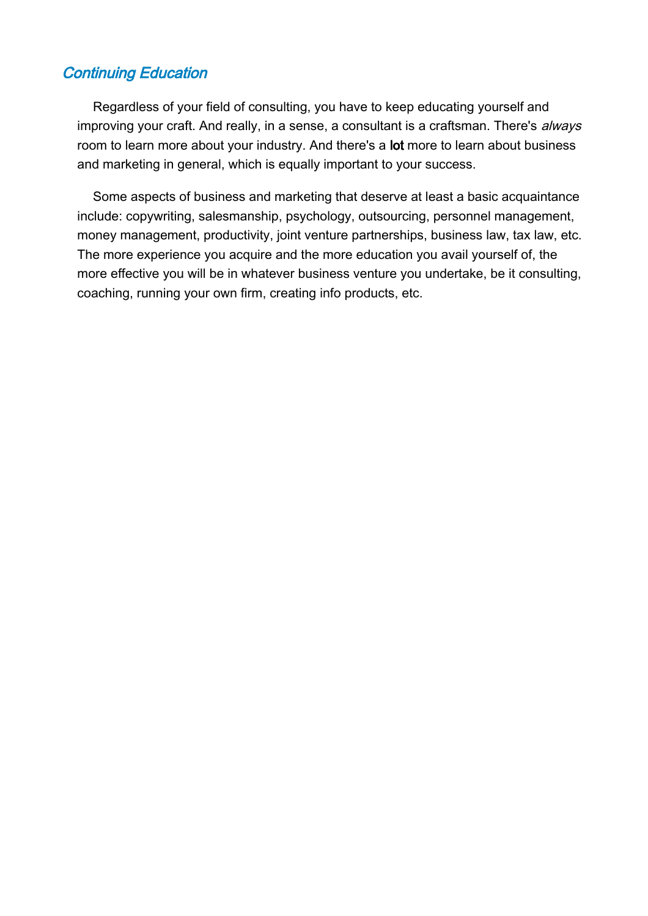## Continuing Education

Regardless of your field of consulting, you have to keep educating yourself and improving your craft. And really, in a sense, a consultant is a craftsman. There's always room to learn more about your industry. And there's a lot more to learn about business and marketing in general, which is equally important to your success.

Some aspects of business and marketing that deserve at least a basic acquaintance include: copywriting, salesmanship, psychology, outsourcing, personnel management, money management, productivity, joint venture partnerships, business law, tax law, etc. The more experience you acquire and the more education you avail yourself of, the more effective you will be in whatever business venture you undertake, be it consulting, coaching, running your own firm, creating info products, etc.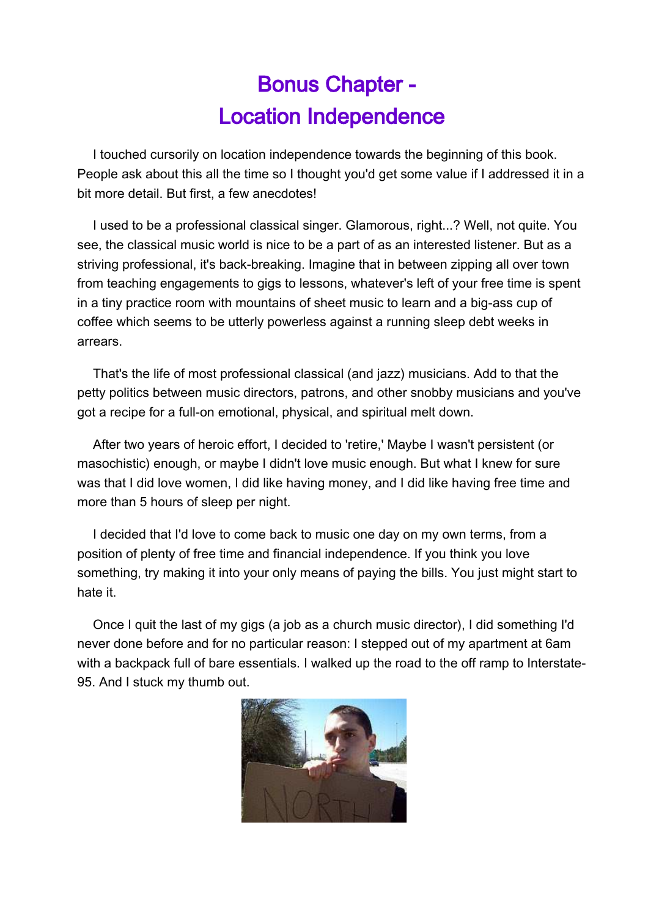# Bonus Chapter - Location Independence

I touched cursorily on location independence towards the beginning of this book. People ask about this all the time so I thought you'd get some value if I addressed it in a bit more detail. But first, a few anecdotes!

I used to be a professional classical singer. Glamorous, right...? Well, not quite. You see, the classical music world is nice to be a part of as an interested listener. But as a striving professional, it's back-breaking. Imagine that in between zipping all over town from teaching engagements to gigs to lessons, whatever's left of your free time is spent in a tiny practice room with mountains of sheet music to learn and a big-ass cup of coffee which seems to be utterly powerless against a running sleep debt weeks in arrears.

That's the life of most professional classical (and jazz) musicians. Add to that the petty politics between music directors, patrons, and other snobby musicians and you've got a recipe for a full-on emotional, physical, and spiritual melt down.

After two years of heroic effort, I decided to 'retire,' Maybe I wasn't persistent (or masochistic) enough, or maybe I didn't love music enough. But what I knew for sure was that I did love women, I did like having money, and I did like having free time and more than 5 hours of sleep per night.

I decided that I'd love to come back to music one day on my own terms, from a position of plenty of free time and financial independence. If you think you love something, try making it into your only means of paying the bills. You just might start to hate it.

Once I quit the last of my gigs (a job as a church music director), I did something I'd never done before and for no particular reason: I stepped out of my apartment at 6am with a backpack full of bare essentials. I walked up the road to the off ramp to Interstate-95. And I stuck my thumb out.

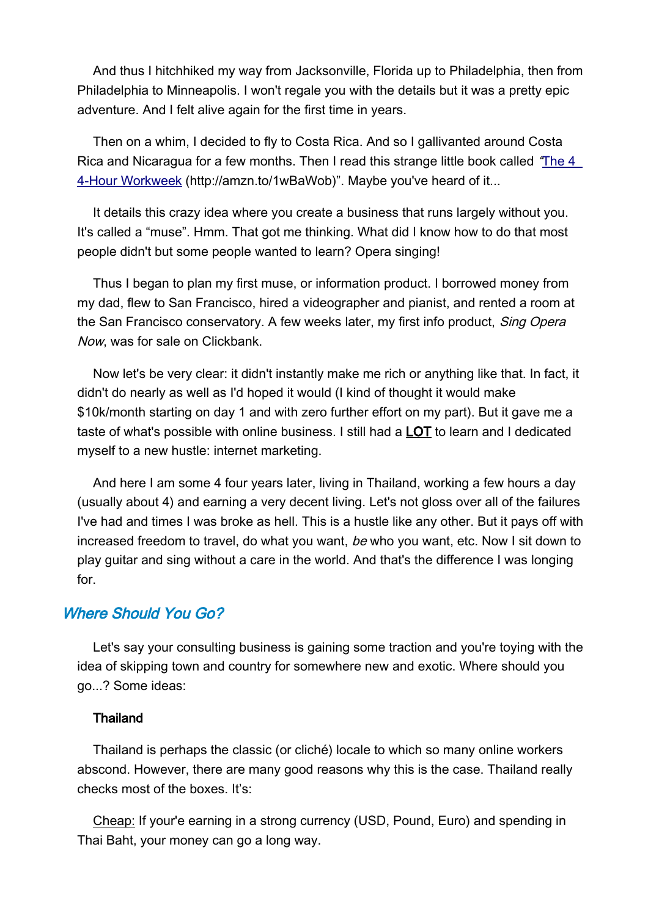And thus I hitchhiked my way from Jacksonville, Florida up to Philadelphia, then from Philadelphia to Minneapolis. I won't regale you with the details but it was a pretty epic adventure. And I felt alive again for the first time in years.

Then on a whim, I decided to fly to Costa Rica. And so I gallivanted around Costa Rica and Nicaragua for a few months. Then I read this strange little book called "[The 4](file:///Users/airbus/Downloads/HYPERLINK)  [4-Hour Workweek](file:///Users/airbus/Downloads/HYPERLINK) (http://amzn.to/1wBaWob)". Maybe you've heard of it...

It details this crazy idea where you create a business that runs largely without you. It's called a "muse". Hmm. That got me thinking. What did I know how to do that most people didn't but some people wanted to learn? Opera singing!

Thus I began to plan my first muse, or information product. I borrowed money from my dad, flew to San Francisco, hired a videographer and pianist, and rented a room at the San Francisco conservatory. A few weeks later, my first info product, *Sing Opera* Now, was for sale on Clickbank.

Now let's be very clear: it didn't instantly make me rich or anything like that. In fact, it didn't do nearly as well as I'd hoped it would (I kind of thought it would make \$10k/month starting on day 1 and with zero further effort on my part). But it gave me a taste of what's possible with online business. I still had a **LOT** to learn and I dedicated myself to a new hustle: internet marketing.

And here I am some 4 four years later, living in Thailand, working a few hours a day (usually about 4) and earning a very decent living. Let's not gloss over all of the failures I've had and times I was broke as hell. This is a hustle like any other. But it pays off with increased freedom to travel, do what you want, be who you want, etc. Now I sit down to play guitar and sing without a care in the world. And that's the difference I was longing for.

## Where Should You Go?

Let's say your consulting business is gaining some traction and you're toying with the idea of skipping town and country for somewhere new and exotic. Where should you go...? Some ideas:

#### Thailand

Thailand is perhaps the classic (or cliché) locale to which so many online workers abscond. However, there are many good reasons why this is the case. Thailand really checks most of the boxes. It's:

Cheap: If your'e earning in a strong currency (USD, Pound, Euro) and spending in Thai Baht, your money can go a long way.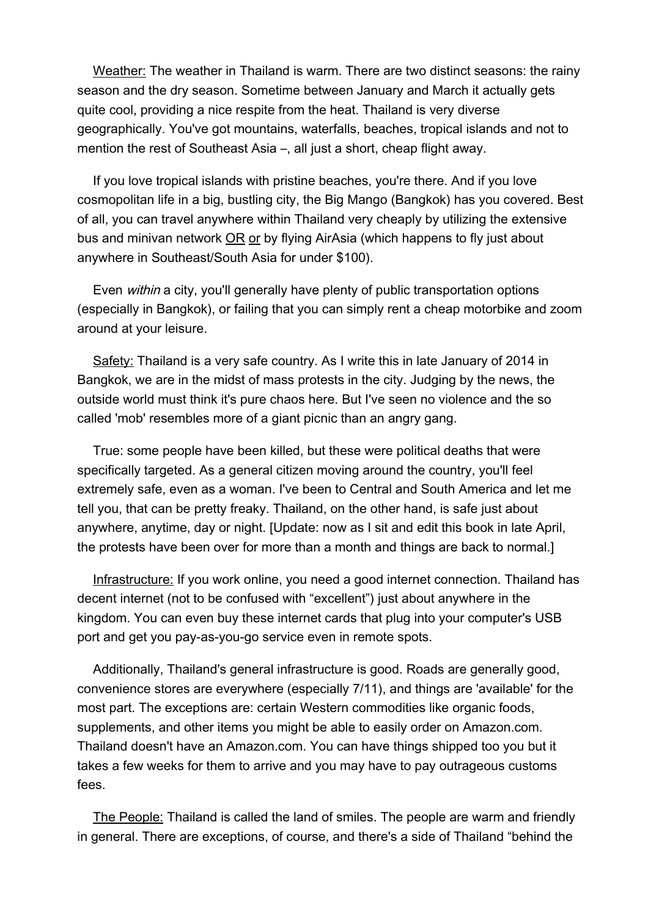Weather: The weather in Thailand is warm. There are two distinct seasons: the rainy season and the dry season. Sometime between January and March it actually gets quite cool, providing a nice respite from the heat. Thailand is very diverse geographically. You've got mountains, waterfalls, beaches, tropical islands and not to mention the rest of Southeast Asia –, all just a short, cheap flight away.

If you love tropical islands with pristine beaches, you're there. And if you love cosmopolitan life in a big, bustling city, the Big Mango (Bangkok) has you covered. Best of all, you can travel anywhere within Thailand very cheaply by utilizing the extensive bus and minivan network OR or by flying AirAsia (which happens to fly just about anywhere in Southeast/South Asia for under \$100).

Even within a city, you'll generally have plenty of public transportation options (especially in Bangkok), or failing that you can simply rent a cheap motorbike and zoom around at your leisure.

Safety: Thailand is a very safe country. As I write this in late January of 2014 in Bangkok, we are in the midst of mass protests in the city. Judging by the news, the outside world must think it's pure chaos here. But I've seen no violence and the so called 'mob' resembles more of a giant picnic than an angry gang.

True: some people have been killed, but these were political deaths that were specifically targeted. As a general citizen moving around the country, you'll feel extremely safe, even as a woman. I've been to Central and South America and let me tell you, that can be pretty freaky. Thailand, on the other hand, is safe just about anywhere, anytime, day or night. [Update: now as I sit and edit this book in late April, the protests have been over for more than a month and things are back to normal.]

Infrastructure: If you work online, you need a good internet connection. Thailand has decent internet (not to be confused with "excellent") just about anywhere in the kingdom. You can even buy these internet cards that plug into your computer's USB port and get you pay-as-you-go service even in remote spots.

Additionally, Thailand's general infrastructure is good. Roads are generally good, convenience stores are everywhere (especially 7/11), and things are 'available' for the most part. The exceptions are: certain Western commodities like organic foods, supplements, and other items you might be able to easily order on Amazon.com. Thailand doesn't have an Amazon.com. You can have things shipped too you but it takes a few weeks for them to arrive and you may have to pay outrageous customs fees.

The People: Thailand is called the land of smiles. The people are warm and friendly in general. There are exceptions, of course, and there's a side of Thailand "behind the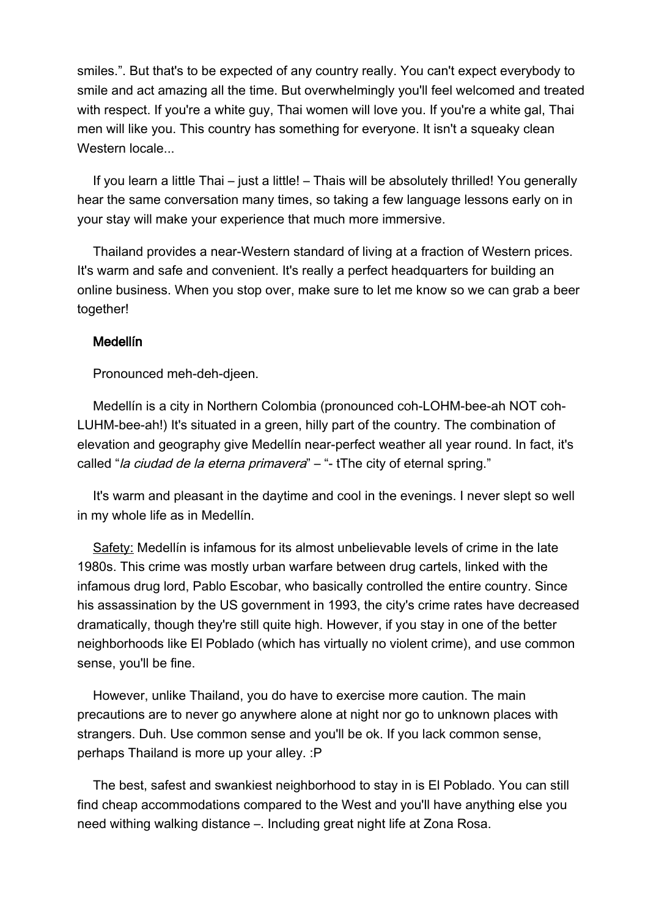smiles.". But that's to be expected of any country really. You can't expect everybody to smile and act amazing all the time. But overwhelmingly you'll feel welcomed and treated with respect. If you're a white guy, Thai women will love you. If you're a white gal, Thai men will like you. This country has something for everyone. It isn't a squeaky clean Western locale...

If you learn a little Thai – just a little! – Thais will be absolutely thrilled! You generally hear the same conversation many times, so taking a few language lessons early on in your stay will make your experience that much more immersive.

Thailand provides a near-Western standard of living at a fraction of Western prices. It's warm and safe and convenient. It's really a perfect headquarters for building an online business. When you stop over, make sure to let me know so we can grab a beer together!

#### Medellín

Pronounced meh-deh-djeen.

Medellín is a city in Northern Colombia (pronounced coh-LOHM-bee-ah NOT coh-LUHM-bee-ah!) It's situated in a green, hilly part of the country. The combination of elevation and geography give Medellín near-perfect weather all year round. In fact, it's called "la ciudad de la eterna primavera" – "- tThe city of eternal spring."

It's warm and pleasant in the daytime and cool in the evenings. I never slept so well in my whole life as in Medellín.

Safety: Medellín is infamous for its almost unbelievable levels of crime in the late 1980s. This crime was mostly urban warfare between drug cartels, linked with the infamous drug lord, Pablo Escobar, who basically controlled the entire country. Since his assassination by the US government in 1993, the city's crime rates have decreased dramatically, though they're still quite high. However, if you stay in one of the better neighborhoods like El Poblado (which has virtually no violent crime), and use common sense, you'll be fine.

However, unlike Thailand, you do have to exercise more caution. The main precautions are to never go anywhere alone at night nor go to unknown places with strangers. Duh. Use common sense and you'll be ok. If you lack common sense, perhaps Thailand is more up your alley. :P

The best, safest and swankiest neighborhood to stay in is El Poblado. You can still find cheap accommodations compared to the West and you'll have anything else you need withing walking distance –. Including great night life at Zona Rosa.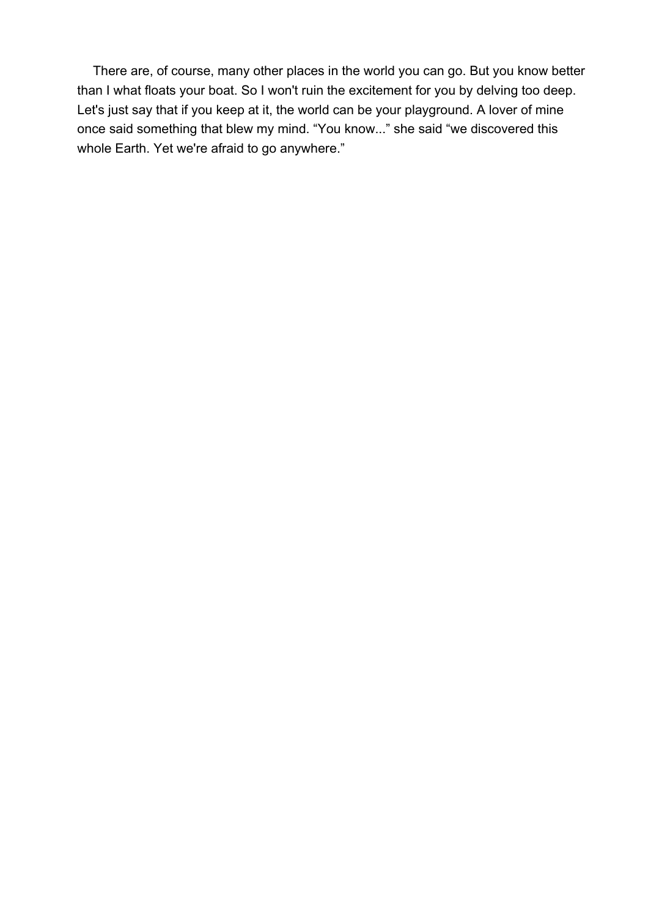There are, of course, many other places in the world you can go. But you know better than I what floats your boat. So I won't ruin the excitement for you by delving too deep. Let's just say that if you keep at it, the world can be your playground. A lover of mine once said something that blew my mind. "You know..." she said "we discovered this whole Earth. Yet we're afraid to go anywhere."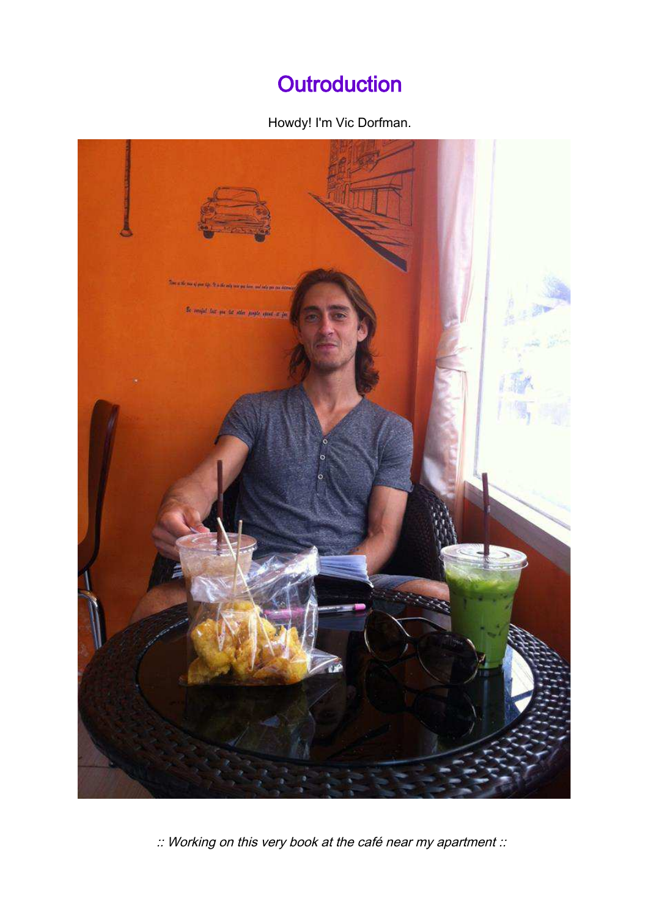## **Outroduction**

## Howdy! I'm Vic Dorfman.



:: Working on this very book at the café near my apartment ::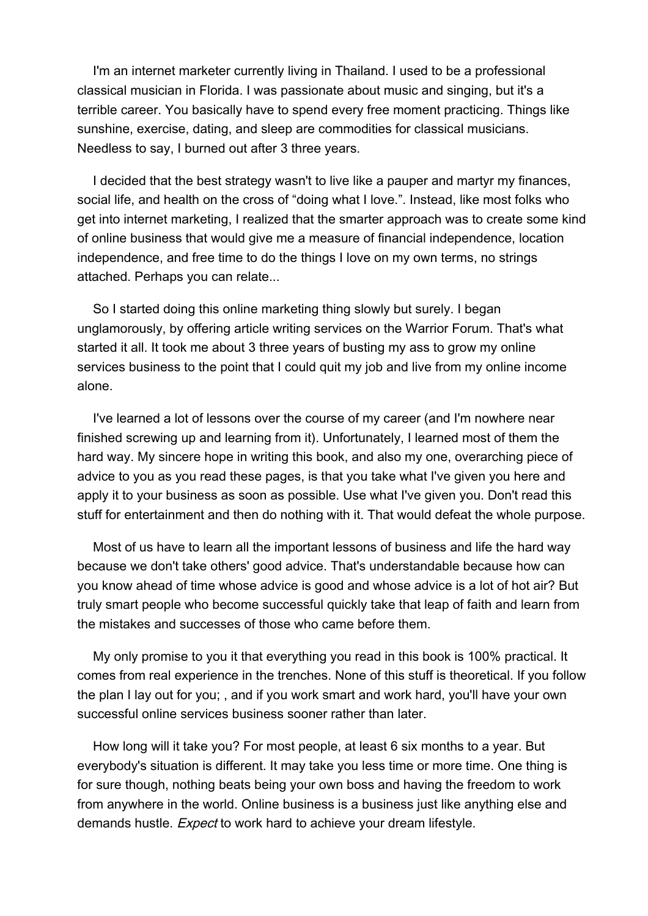I'm an internet marketer currently living in Thailand. I used to be a professional classical musician in Florida. I was passionate about music and singing, but it's a terrible career. You basically have to spend every free moment practicing. Things like sunshine, exercise, dating, and sleep are commodities for classical musicians. Needless to say, I burned out after 3 three years.

I decided that the best strategy wasn't to live like a pauper and martyr my finances, social life, and health on the cross of "doing what I love.". Instead, like most folks who get into internet marketing, I realized that the smarter approach was to create some kind of online business that would give me a measure of financial independence, location independence, and free time to do the things I love on my own terms, no strings attached. Perhaps you can relate...

So I started doing this online marketing thing slowly but surely. I began unglamorously, by offering article writing services on the Warrior Forum. That's what started it all. It took me about 3 three years of busting my ass to grow my online services business to the point that I could quit my job and live from my online income alone.

I've learned a lot of lessons over the course of my career (and I'm nowhere near finished screwing up and learning from it). Unfortunately, I learned most of them the hard way. My sincere hope in writing this book, and also my one, overarching piece of advice to you as you read these pages, is that you take what I've given you here and apply it to your business as soon as possible. Use what I've given you. Don't read this stuff for entertainment and then do nothing with it. That would defeat the whole purpose.

Most of us have to learn all the important lessons of business and life the hard way because we don't take others' good advice. That's understandable because how can you know ahead of time whose advice is good and whose advice is a lot of hot air? But truly smart people who become successful quickly take that leap of faith and learn from the mistakes and successes of those who came before them.

My only promise to you it that everything you read in this book is 100% practical. It comes from real experience in the trenches. None of this stuff is theoretical. If you follow the plan I lay out for you; , and if you work smart and work hard, you'll have your own successful online services business sooner rather than later.

How long will it take you? For most people, at least 6 six months to a year. But everybody's situation is different. It may take you less time or more time. One thing is for sure though, nothing beats being your own boss and having the freedom to work from anywhere in the world. Online business is a business just like anything else and demands hustle. *Expect* to work hard to achieve your dream lifestyle.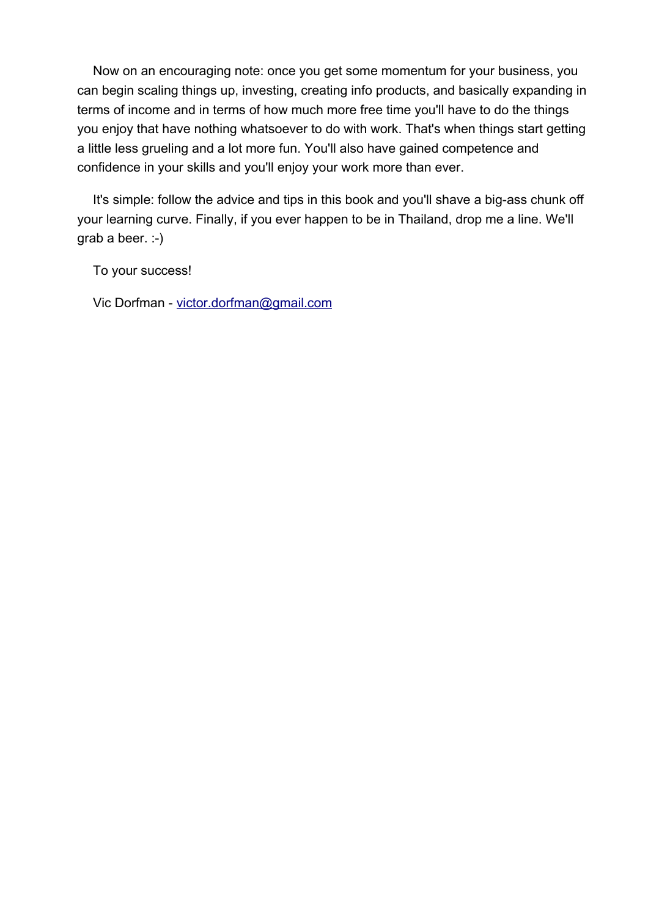Now on an encouraging note: once you get some momentum for your business, you can begin scaling things up, investing, creating info products, and basically expanding in terms of income and in terms of how much more free time you'll have to do the things you enjoy that have nothing whatsoever to do with work. That's when things start getting a little less grueling and a lot more fun. You'll also have gained competence and confidence in your skills and you'll enjoy your work more than ever.

It's simple: follow the advice and tips in this book and you'll shave a big-ass chunk off your learning curve. Finally, if you ever happen to be in Thailand, drop me a line. We'll grab a beer. :-)

To your success!

Vic Dorfman - [victor.dorfman@gmail.com](mailto:victor.dorfman@gmail.com)